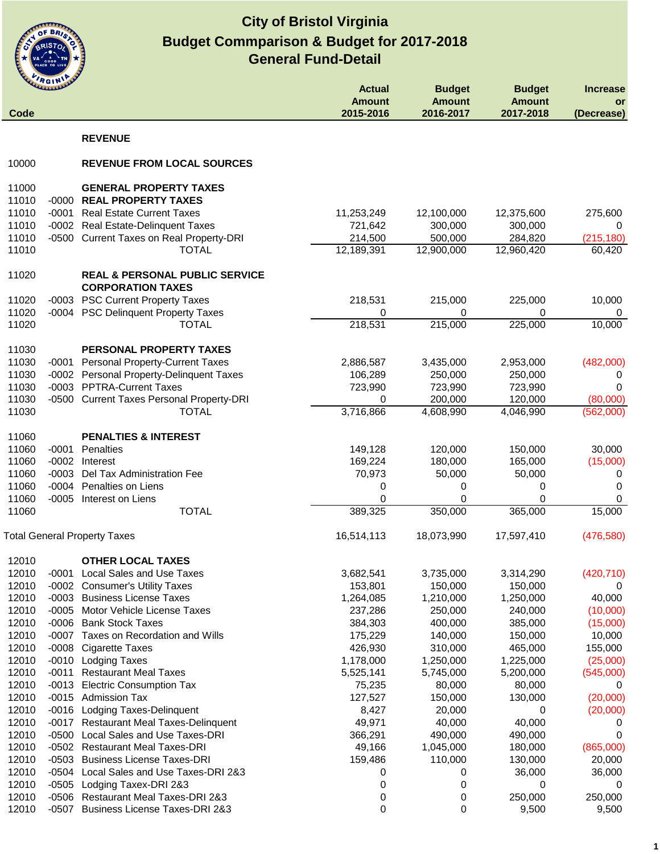

|                | <b>RGIN</b> |                                                                       | <b>Actual</b>              |                                             |                                             |                                     |
|----------------|-------------|-----------------------------------------------------------------------|----------------------------|---------------------------------------------|---------------------------------------------|-------------------------------------|
| Code           |             |                                                                       | <b>Amount</b><br>2015-2016 | <b>Budget</b><br><b>Amount</b><br>2016-2017 | <b>Budget</b><br><b>Amount</b><br>2017-2018 | <b>Increase</b><br>or<br>(Decrease) |
|                |             | <b>REVENUE</b>                                                        |                            |                                             |                                             |                                     |
| 10000          |             | <b>REVENUE FROM LOCAL SOURCES</b>                                     |                            |                                             |                                             |                                     |
|                |             |                                                                       |                            |                                             |                                             |                                     |
| 11000          |             | <b>GENERAL PROPERTY TAXES</b>                                         |                            |                                             |                                             |                                     |
| 11010          |             | -0000 REAL PROPERTY TAXES                                             |                            |                                             |                                             |                                     |
| 11010<br>11010 |             | -0001 Real Estate Current Taxes<br>-0002 Real Estate-Delinquent Taxes | 11,253,249<br>721,642      | 12,100,000<br>300,000                       | 12,375,600<br>300,000                       | 275,600<br>0                        |
| 11010          |             | -0500 Current Taxes on Real Property-DRI                              | 214,500                    | 500,000                                     | 284,820                                     | (215, 180)                          |
| 11010          |             | <b>TOTAL</b>                                                          | 12,189,391                 | 12,900,000                                  | 12,960,420                                  | 60,420                              |
| 11020          |             | <b>REAL &amp; PERSONAL PUBLIC SERVICE</b>                             |                            |                                             |                                             |                                     |
|                |             | <b>CORPORATION TAXES</b>                                              |                            |                                             |                                             |                                     |
| 11020          |             | -0003 PSC Current Property Taxes                                      | 218,531                    | 215,000                                     | 225,000                                     | 10,000                              |
| 11020          |             | -0004 PSC Delinquent Property Taxes                                   | 0                          | 0                                           | 0                                           | 0                                   |
| 11020          |             | <b>TOTAL</b>                                                          | 218,531                    | 215,000                                     | 225,000                                     | 10,000                              |
| 11030          |             | PERSONAL PROPERTY TAXES                                               |                            |                                             |                                             |                                     |
| 11030          |             | -0001 Personal Property-Current Taxes                                 | 2,886,587                  | 3,435,000                                   | 2,953,000                                   | (482,000)                           |
| 11030          |             | -0002 Personal Property-Delinquent Taxes                              | 106,289                    | 250,000                                     | 250,000                                     | 0                                   |
| 11030          |             | -0003 PPTRA-Current Taxes                                             | 723,990                    | 723,990                                     | 723,990                                     | 0                                   |
| 11030          |             | -0500 Current Taxes Personal Property-DRI                             | 0                          | 200,000                                     | 120,000                                     | (80,000)                            |
| 11030          |             | <b>TOTAL</b>                                                          | 3,716,866                  | 4,608,990                                   | 4,046,990                                   | (562,000)                           |
| 11060          |             | <b>PENALTIES &amp; INTEREST</b>                                       |                            |                                             |                                             |                                     |
| 11060          |             | -0001 Penalties                                                       | 149,128                    | 120,000                                     | 150,000                                     | 30,000                              |
| 11060          |             | -0002 Interest                                                        | 169,224                    | 180,000                                     | 165,000                                     | (15,000)                            |
| 11060          | $-0003$     | Del Tax Administration Fee                                            | 70,973                     | 50,000                                      | 50,000                                      | 0                                   |
| 11060<br>11060 |             | -0004 Penalties on Liens<br>-0005 Interest on Liens                   | 0<br>0                     | 0<br>0                                      | 0<br>$\mathbf 0$                            | 0<br>0                              |
| 11060          |             | <b>TOTAL</b>                                                          | 389,325                    | 350,000                                     | 365,000                                     | 15,000                              |
|                |             | <b>Total General Property Taxes</b>                                   | 16,514,113                 | 18,073,990                                  | 17,597,410                                  | (476, 580)                          |
|                |             |                                                                       |                            |                                             |                                             |                                     |
| 12010          |             | <b>OTHER LOCAL TAXES</b>                                              |                            |                                             |                                             |                                     |
| 12010          |             | -0001 Local Sales and Use Taxes                                       | 3,682,541                  | 3,735,000                                   | 3,314,290                                   | (420, 710)                          |
| 12010<br>12010 |             | -0002 Consumer's Utility Taxes<br>-0003 Business License Taxes        | 153,801<br>1,264,085       | 150,000<br>1,210,000                        | 150,000<br>1,250,000                        | 40,000                              |
| 12010          | $-0005$     | Motor Vehicle License Taxes                                           | 237,286                    | 250,000                                     | 240,000                                     | (10,000)                            |
| 12010          |             | -0006 Bank Stock Taxes                                                | 384,303                    | 400,000                                     | 385,000                                     | (15,000)                            |
| 12010          |             | -0007 Taxes on Recordation and Wills                                  | 175,229                    | 140,000                                     | 150,000                                     | 10,000                              |
| 12010          | $-0008$     | Cigarette Taxes                                                       | 426,930                    | 310,000                                     | 465,000                                     | 155,000                             |
| 12010          | $-0010$     | <b>Lodging Taxes</b>                                                  | 1,178,000                  | 1,250,000                                   | 1,225,000                                   | (25,000)                            |
| 12010          | -0011       | <b>Restaurant Meal Taxes</b>                                          | 5,525,141                  | 5,745,000                                   | 5,200,000                                   | (545,000)                           |
| 12010          |             | -0013 Electric Consumption Tax                                        | 75,235                     | 80,000                                      | 80,000                                      | 0                                   |
| 12010<br>12010 |             | -0015 Admission Tax<br>-0016 Lodging Taxes-Delinquent                 | 127,527<br>8,427           | 150,000<br>20,000                           | 130,000<br>0                                | (20,000)<br>(20,000)                |
| 12010          |             | -0017 Restaurant Meal Taxes-Delinquent                                | 49,971                     | 40,000                                      | 40,000                                      | U                                   |
| 12010          | $-0500$     | Local Sales and Use Taxes-DRI                                         | 366,291                    | 490,000                                     | 490,000                                     | 0                                   |
| 12010          |             | -0502 Restaurant Meal Taxes-DRI                                       | 49,166                     | 1,045,000                                   | 180,000                                     | (865,000)                           |
| 12010          |             | -0503 Business License Taxes-DRI                                      | 159,486                    | 110,000                                     | 130,000                                     | 20,000                              |
| 12010          |             | -0504 Local Sales and Use Taxes-DRI 2&3                               | 0                          | 0                                           | 36,000                                      | 36,000                              |
| 12010          | $-0505$     | Lodging Taxex-DRI 2&3                                                 | 0                          | 0                                           | 0                                           | 0                                   |
| 12010          | -0506       | <b>Restaurant Meal Taxes-DRI 2&amp;3</b>                              | 0                          | 0                                           | 250,000                                     | 250,000                             |
| 12010          | $-0507$     | <b>Business License Taxes-DRI 2&amp;3</b>                             | 0                          | 0                                           | 9,500                                       | 9,500                               |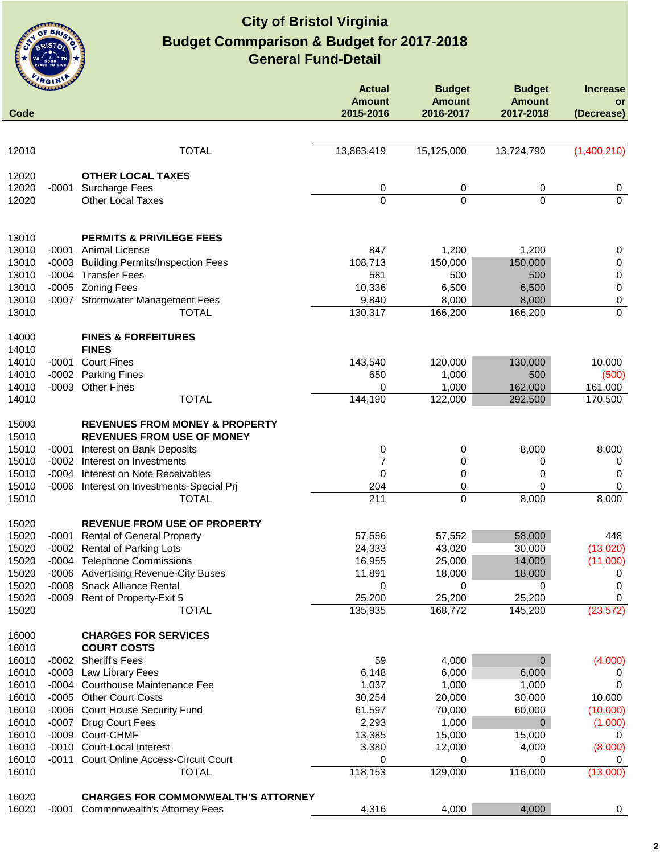

|                | <b>ULLILLER</b>    |                                                                     | <b>Actual</b>              | <b>Budget</b>              | <b>Budget</b>              | <b>Increase</b>             |
|----------------|--------------------|---------------------------------------------------------------------|----------------------------|----------------------------|----------------------------|-----------------------------|
| Code           |                    |                                                                     | <b>Amount</b><br>2015-2016 | <b>Amount</b><br>2016-2017 | <b>Amount</b><br>2017-2018 | or<br>(Decrease)            |
|                |                    |                                                                     |                            |                            |                            |                             |
| 12010          |                    | <b>TOTAL</b>                                                        | 13,863,419                 | 15,125,000                 | 13,724,790                 | (1,400,210)                 |
| 12020          |                    | <b>OTHER LOCAL TAXES</b>                                            |                            |                            |                            |                             |
| 12020          | $-0001$            | <b>Surcharge Fees</b>                                               | 0                          | 0                          | 0                          | $\boldsymbol{0}$            |
| 12020          |                    | Other Local Taxes                                                   | 0                          | 0                          | $\overline{0}$             | $\overline{0}$              |
| 13010          |                    | <b>PERMITS &amp; PRIVILEGE FEES</b>                                 |                            |                            |                            |                             |
| 13010          | -0001              | <b>Animal License</b>                                               | 847                        | 1,200                      | 1,200                      | 0                           |
| 13010          | $-0003$            | <b>Building Permits/Inspection Fees</b>                             | 108,713                    | 150,000                    | 150,000                    | 0                           |
| 13010          |                    | -0004 Transfer Fees                                                 | 581                        | 500                        | 500                        | $\pmb{0}$                   |
| 13010<br>13010 | $-0005$<br>$-0007$ | <b>Zoning Fees</b>                                                  | 10,336<br>9,840            | 6,500<br>8,000             | 6,500<br>8,000             | $\pmb{0}$                   |
| 13010          |                    | <b>Stormwater Management Fees</b><br><b>TOTAL</b>                   | 130,317                    | 166,200                    | 166,200                    | $\pmb{0}$<br>$\overline{0}$ |
|                |                    |                                                                     |                            |                            |                            |                             |
| 14000<br>14010 |                    | <b>FINES &amp; FORFEITURES</b><br><b>FINES</b>                      |                            |                            |                            |                             |
| 14010          | $-0001$            | <b>Court Fines</b>                                                  | 143,540                    | 120,000                    | 130,000                    | 10,000                      |
| 14010          |                    | -0002 Parking Fines                                                 | 650                        | 1,000                      | 500                        | (500)                       |
| 14010          | $-0003$            | <b>Other Fines</b>                                                  | 0                          | 1,000                      | 162,000                    | 161,000                     |
| 14010          |                    | <b>TOTAL</b>                                                        | 144,190                    | 122,000                    | 292,500                    | 170,500                     |
| 15000          |                    | <b>REVENUES FROM MONEY &amp; PROPERTY</b>                           |                            |                            |                            |                             |
| 15010          |                    | <b>REVENUES FROM USE OF MONEY</b>                                   |                            |                            |                            |                             |
| 15010<br>15010 | -0001              | <b>Interest on Bank Deposits</b>                                    | 0<br>7                     | 0                          | 8,000                      | 8,000                       |
| 15010          |                    | -0002 Interest on Investments<br>-0004 Interest on Note Receivables | 0                          | 0<br>0                     | 0<br>0                     | 0<br>0                      |
| 15010          |                    | -0006 Interest on Investments-Special Prj                           | 204                        | 0                          | $\Omega$                   | 0                           |
| 15010          |                    | <b>TOTAL</b>                                                        | 211                        | 0                          | 8,000                      | 8,000                       |
| 15020          |                    | <b>REVENUE FROM USE OF PROPERTY</b>                                 |                            |                            |                            |                             |
| 15020          |                    | -0001 Rental of General Property                                    | 57,556                     | 57,552                     | 58,000                     | 448                         |
| 15020          |                    | -0002 Rental of Parking Lots                                        | 24,333                     | 43,020                     | 30,000                     | (13,020)                    |
| 15020          |                    | -0004 Telephone Commissions                                         | 16,955                     | 25,000                     | 14,000                     | (11,000)                    |
| 15020          |                    | -0006 Advertising Revenue-City Buses                                | 11,891                     | 18,000                     | 18,000                     | 0                           |
| 15020          | $-0008$            | <b>Snack Alliance Rental</b>                                        | 0                          | 0                          | 0                          | 0                           |
| 15020<br>15020 | $-0009$            | Rent of Property-Exit 5<br><b>TOTAL</b>                             | 25,200<br>135,935          | 25,200                     | 25,200                     | 0                           |
|                |                    |                                                                     |                            | 168,772                    | 145,200                    | (23, 572)                   |
| 16000<br>16010 |                    | <b>CHARGES FOR SERVICES</b><br><b>COURT COSTS</b>                   |                            |                            |                            |                             |
| 16010          |                    | -0002 Sheriff's Fees                                                | 59                         | 4,000                      | $\mathbf 0$                | (4,000)                     |
| 16010          |                    | -0003 Law Library Fees                                              | 6,148                      | 6,000                      | 6,000                      | U                           |
| 16010          |                    | -0004 Courthouse Maintenance Fee                                    | 1,037                      | 1,000                      | 1,000                      | 0                           |
| 16010          |                    | -0005 Other Court Costs                                             | 30,254                     | 20,000                     | 30,000                     | 10,000                      |
| 16010          |                    | -0006 Court House Security Fund                                     | 61,597                     | 70,000                     | 60,000                     | (10,000)                    |
| 16010          | $-0007$            | Drug Court Fees                                                     | 2,293                      | 1,000                      | $\mathbf 0$                | (1,000)                     |
| 16010          | $-0009$            | Court-CHMF                                                          | 13,385                     | 15,000                     | 15,000                     | 0                           |
| 16010          | $-0010$            | Court-Local Interest                                                | 3,380                      | 12,000                     | 4,000                      | (8,000)                     |
| 16010          | $-0011$            | Court Online Access-Circuit Court                                   | 0                          | 0                          | 0                          | 0                           |
| 16010          |                    | <b>TOTAL</b>                                                        | 118,153                    | 129,000                    | 116,000                    | (13,000)                    |
| 16020          |                    | <b>CHARGES FOR COMMONWEALTH'S ATTORNEY</b>                          |                            |                            |                            |                             |
| 16020          | -0001              | <b>Commonwealth's Attorney Fees</b>                                 | 4,316                      | 4,000                      | 4,000                      | 0                           |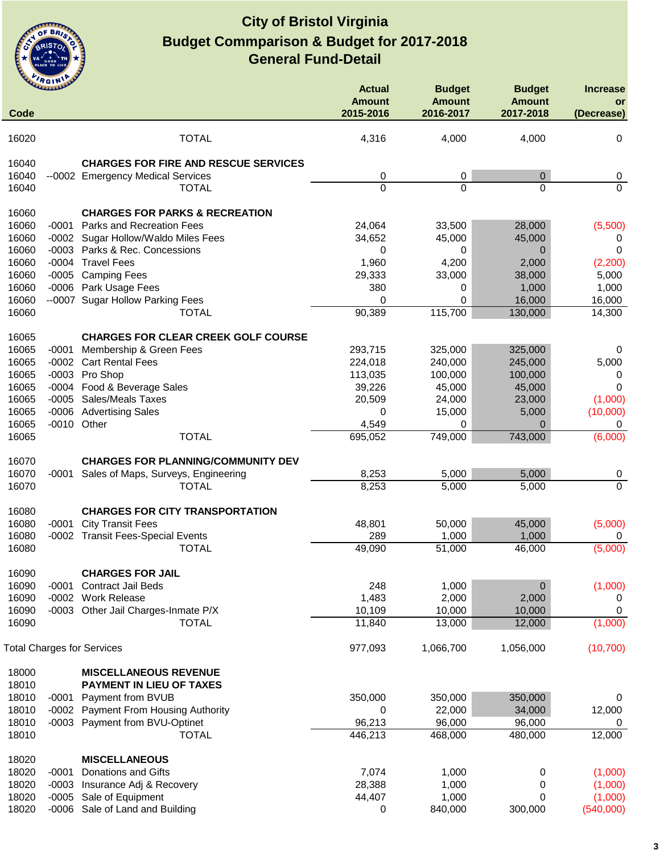

|       | <b>HGIN</b> |                                             | <b>Actual</b><br><b>Amount</b> | <b>Budget</b><br><b>Amount</b> | <b>Budget</b><br><b>Amount</b> | <b>Increase</b><br>or |
|-------|-------------|---------------------------------------------|--------------------------------|--------------------------------|--------------------------------|-----------------------|
| Code  |             |                                             | 2015-2016                      | 2016-2017                      | 2017-2018                      | (Decrease)            |
| 16020 |             | <b>TOTAL</b>                                | 4,316                          | 4,000                          | 4,000                          | 0                     |
| 16040 |             | <b>CHARGES FOR FIRE AND RESCUE SERVICES</b> |                                |                                |                                |                       |
| 16040 |             | --0002 Emergency Medical Services           | 0                              | 0                              | $\mathbf 0$                    | 0                     |
| 16040 |             | <b>TOTAL</b>                                | $\overline{0}$                 | $\Omega$                       | $\Omega$                       | $\Omega$              |
| 16060 |             | <b>CHARGES FOR PARKS &amp; RECREATION</b>   |                                |                                |                                |                       |
| 16060 |             | -0001 Parks and Recreation Fees             | 24,064                         | 33,500                         | 28,000                         | (5,500)               |
| 16060 |             | -0002 Sugar Hollow/Waldo Miles Fees         | 34,652                         | 45,000                         | 45,000                         | 0                     |
| 16060 |             | -0003 Parks & Rec. Concessions              | 0                              | 0                              | $\mathbf 0$                    | $\Omega$              |
| 16060 |             | -0004 Travel Fees                           | 1,960                          | 4,200                          | 2,000                          | (2, 200)              |
| 16060 |             | -0005 Camping Fees                          | 29,333                         | 33,000                         | 38,000                         | 5,000                 |
| 16060 |             | -0006 Park Usage Fees                       | 380                            | 0                              | 1,000                          | 1,000                 |
| 16060 |             | --0007 Sugar Hollow Parking Fees            | $\mathbf 0$                    | $\Omega$                       | 16,000                         | 16,000                |
| 16060 |             | <b>TOTAL</b>                                | 90,389                         | 115,700                        | 130,000                        | 14,300                |
| 16065 |             | <b>CHARGES FOR CLEAR CREEK GOLF COURSE</b>  |                                |                                |                                |                       |
| 16065 |             | -0001 Membership & Green Fees               | 293,715                        | 325,000                        | 325,000                        | 0                     |
| 16065 |             | -0002 Cart Rental Fees                      | 224,018                        | 240,000                        | 245,000                        | 5,000                 |
| 16065 |             | -0003 Pro Shop                              | 113,035                        | 100,000                        | 100,000                        | 0                     |
| 16065 | -0004       | Food & Beverage Sales                       | 39,226                         | 45,000                         | 45,000                         | $\Omega$              |
| 16065 | $-0005$     | <b>Sales/Meals Taxes</b>                    | 20,509                         | 24,000                         | 23,000                         | (1,000)               |
| 16065 |             | -0006 Advertising Sales                     | 0                              | 15,000                         | 5,000                          | (10,000)              |
| 16065 | $-0010$     | Other                                       | 4,549                          | 0                              | $\Omega$                       | 0                     |
| 16065 |             | <b>TOTAL</b>                                | 695,052                        | 749,000                        | 743,000                        | (6,000)               |
| 16070 |             | <b>CHARGES FOR PLANNING/COMMUNITY DEV</b>   |                                |                                |                                |                       |
| 16070 | -0001       | Sales of Maps, Surveys, Engineering         | 8,253                          | 5,000                          | 5,000                          | 0                     |
| 16070 |             | <b>TOTAL</b>                                | 8,253                          | 5,000                          | 5,000                          | $\Omega$              |
| 16080 |             | <b>CHARGES FOR CITY TRANSPORTATION</b>      |                                |                                |                                |                       |
| 16080 | $-0001$     | <b>City Transit Fees</b>                    | 48,801                         | 50,000                         | 45,000                         | (5,000)               |
| 16080 |             | -0002 Transit Fees-Special Events           | 289                            | 1,000                          | 1,000                          | 0                     |
| 16080 |             | <b>TOTAL</b>                                | 49,090                         | 51,000                         | 46,000                         | (5,000)               |
| 16090 |             | <b>CHARGES FOR JAIL</b>                     |                                |                                |                                |                       |
| 16090 | $-0001$     | <b>Contract Jail Beds</b>                   | 248                            | 1,000                          | $\mathbf 0$                    | (1,000)               |
| 16090 |             | -0002 Work Release                          | 1,483                          | 2,000                          | 2,000                          | 0                     |
| 16090 |             | -0003 Other Jail Charges-Inmate P/X         | 10,109                         | 10,000                         | 10,000                         | 0                     |
| 16090 |             | <b>TOTAL</b>                                | 11,840                         | 13,000                         | 12,000                         | (1,000)               |
|       |             | <b>Total Charges for Services</b>           | 977,093                        | 1,066,700                      | 1,056,000                      | (10, 700)             |
| 18000 |             | <b>MISCELLANEOUS REVENUE</b>                |                                |                                |                                |                       |
| 18010 |             | PAYMENT IN LIEU OF TAXES                    |                                |                                |                                |                       |
| 18010 | -0001       | Payment from BVUB                           | 350,000                        | 350,000                        | 350,000                        | 0                     |
| 18010 |             | -0002 Payment From Housing Authority        | 0                              | 22,000                         | 34,000                         | 12,000                |
| 18010 | -0003       | Payment from BVU-Optinet                    | 96,213                         | 96,000                         | 96,000                         | 0                     |
| 18010 |             | <b>TOTAL</b>                                | 446,213                        | 468,000                        | 480,000                        | 12,000                |
| 18020 |             | <b>MISCELLANEOUS</b>                        |                                |                                |                                |                       |
| 18020 | $-0001$     | <b>Donations and Gifts</b>                  | 7,074                          | 1,000                          | 0                              | (1,000)               |
| 18020 |             | -0003 Insurance Adj & Recovery              | 28,388                         | 1,000                          | $\pmb{0}$                      | (1,000)               |
| 18020 | $-0005$     | Sale of Equipment                           | 44,407                         | 1,000                          | 0                              | (1,000)               |
| 18020 | $-0006$     | Sale of Land and Building                   | 0                              | 840,000                        | 300,000                        | (540,000)             |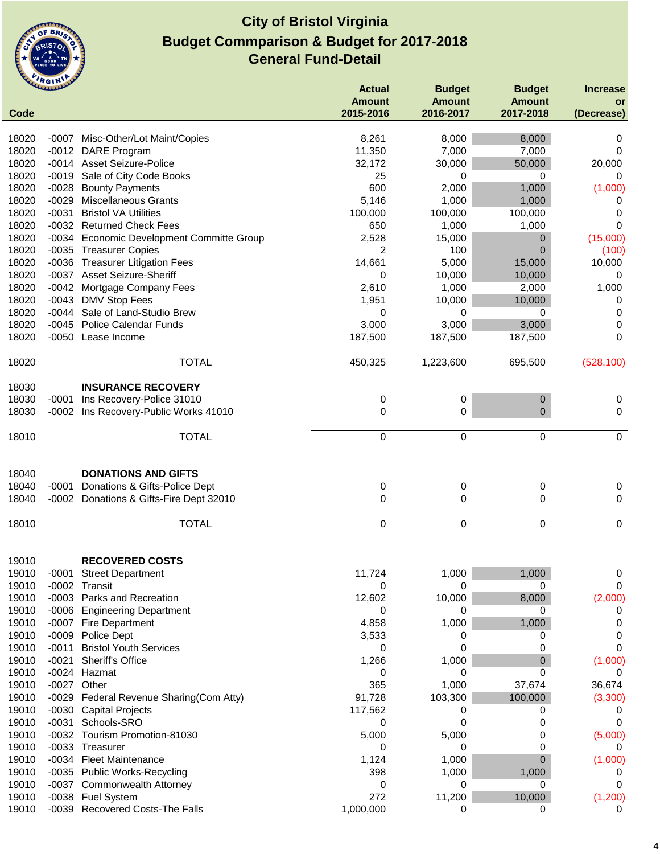

|             | ummer   |                                            | <b>Actual</b> | <b>Budget</b> | <b>Budget</b>  | <b>Increase</b> |
|-------------|---------|--------------------------------------------|---------------|---------------|----------------|-----------------|
|             |         |                                            | <b>Amount</b> | <b>Amount</b> | <b>Amount</b>  | or              |
| <b>Code</b> |         |                                            | 2015-2016     | 2016-2017     | 2017-2018      | (Decrease)      |
|             |         |                                            |               |               |                |                 |
| 18020       | -0007   | Misc-Other/Lot Maint/Copies                | 8,261         | 8,000         | 8,000          | 0               |
| 18020       | $-0012$ | <b>DARE</b> Program                        | 11,350        | 7,000         | 7,000          | 0               |
| 18020       |         | -0014 Asset Seizure-Police                 | 32,172        | 30,000        | 50,000         | 20,000          |
| 18020       | $-0019$ | Sale of City Code Books                    | 25            | 0             | 0              | 0               |
| 18020       | $-0028$ | <b>Bounty Payments</b>                     | 600           | 2,000         | 1,000          | (1,000)         |
| 18020       | $-0029$ | <b>Miscellaneous Grants</b>                | 5,146         | 1,000         | 1,000          | 0               |
| 18020       | $-0031$ | <b>Bristol VA Utilities</b>                | 100,000       | 100,000       | 100,000        | 0               |
| 18020       |         | -0032 Returned Check Fees                  | 650           | 1,000         | 1,000          | 0               |
| 18020       | -0034   | <b>Economic Development Committe Group</b> | 2,528         | 15,000        | 0              | (15,000)        |
| 18020       | $-0035$ | <b>Treasurer Copies</b>                    | 2             | 100           | $\mathbf 0$    | (100)           |
| 18020       | $-0036$ | <b>Treasurer Litigation Fees</b>           | 14,661        | 5,000         | 15,000         | 10,000          |
| 18020       | $-0037$ | <b>Asset Seizure-Sheriff</b>               | 0             | 10,000        | 10,000         | 0               |
| 18020       | $-0042$ | Mortgage Company Fees                      | 2,610         | 1,000         | 2,000          | 1,000           |
| 18020       | $-0043$ | <b>DMV Stop Fees</b>                       | 1,951         | 10,000        | 10,000         | 0               |
| 18020       | $-0044$ | Sale of Land-Studio Brew                   | 0             | 0             | 0              | 0               |
| 18020       | $-0045$ | <b>Police Calendar Funds</b>               | 3,000         | 3,000         | 3,000          | 0               |
| 18020       |         | -0050 Lease Income                         | 187,500       | 187,500       | 187,500        | $\mathbf 0$     |
|             |         |                                            |               |               |                |                 |
| 18020       |         | <b>TOTAL</b>                               | 450,325       | 1,223,600     | 695,500        | (528, 100)      |
| 18030       |         | <b>INSURANCE RECOVERY</b>                  |               |               |                |                 |
| 18030       | $-0001$ | Ins Recovery-Police 31010                  | 0             | $\pmb{0}$     | $\pmb{0}$      | $\mathbf 0$     |
| 18030       |         | -0002 Ins Recovery-Public Works 41010      | 0             | 0             | 0              | 0               |
|             |         |                                            |               |               |                |                 |
| 18010       |         | <b>TOTAL</b>                               | 0             | $\Omega$      | $\mathbf 0$    | $\mathbf 0$     |
| 18040       |         | <b>DONATIONS AND GIFTS</b>                 |               |               |                |                 |
| 18040       | $-0001$ | Donations & Gifts-Police Dept              | 0             | 0             | 0              | $\mathbf 0$     |
| 18040       |         | -0002 Donations & Gifts-Fire Dept 32010    | $\mathbf 0$   | 0             | 0              | $\mathbf 0$     |
|             |         |                                            |               |               |                |                 |
| 18010       |         | <b>TOTAL</b>                               | 0             | 0             | 0              | $\overline{0}$  |
| 19010       |         | <b>RECOVERED COSTS</b>                     |               |               |                |                 |
| 19010       | -0001   | <b>Street Department</b>                   | 11,724        | 1,000         | 1,000          | 0               |
| 19010       | $-0002$ | Transit                                    | 0             | 0             | 0              | 0               |
| 19010       | $-0003$ | Parks and Recreation                       | 12,602        | 10,000        | 8,000          | (2,000)         |
| 19010       | $-0006$ | <b>Engineering Department</b>              | 0             | 0             | 0              | 0               |
| 19010       | $-0007$ | <b>Fire Department</b>                     | 4,858         | 1,000         | 1,000          | 0               |
| 19010       | $-0009$ | Police Dept                                | 3,533         | 0             | 0              | 0               |
| 19010       | $-0011$ | <b>Bristol Youth Services</b>              | 0             | 0             | 0              | 0               |
| 19010       | $-0021$ | Sheriff's Office                           | 1,266         | 1,000         | 0              | (1,000)         |
| 19010       | $-0024$ | Hazmat                                     |               | 0             | 0              | 0               |
|             | $-0027$ | Other                                      | 0<br>365      | 1,000         | 37,674         |                 |
| 19010       |         |                                            |               |               |                | 36,674          |
| 19010       | $-0029$ | Federal Revenue Sharing(Com Atty)          | 91,728        | 103,300       | 100,000        | (3,300)         |
| 19010       | $-0030$ | <b>Capital Projects</b>                    | 117,562       | 0             | 0              | 0               |
| 19010       | $-0031$ | Schools-SRO                                | 0             | 0             | 0              | 0               |
| 19010       | $-0032$ | Tourism Promotion-81030                    | 5,000         | 5,000         | 0              | (5,000)         |
| 19010       | $-0033$ | Treasurer                                  | 0             | 0             | 0              | 0               |
| 19010       |         | -0034 Fleet Maintenance                    | 1,124         | 1,000         | $\overline{0}$ | (1,000)         |
| 19010       | -0035   | <b>Public Works-Recycling</b>              | 398           | 1,000         | 1,000          | U               |
| 19010       | $-0037$ | Commonwealth Attorney                      | 0             | 0             | 0              | 0               |
| 19010       | $-0038$ | <b>Fuel System</b>                         | 272           | 11,200        | 10,000         | (1,200)         |
| 19010       | $-0039$ | <b>Recovered Costs-The Falls</b>           | 1,000,000     | 0             | 0              | 0               |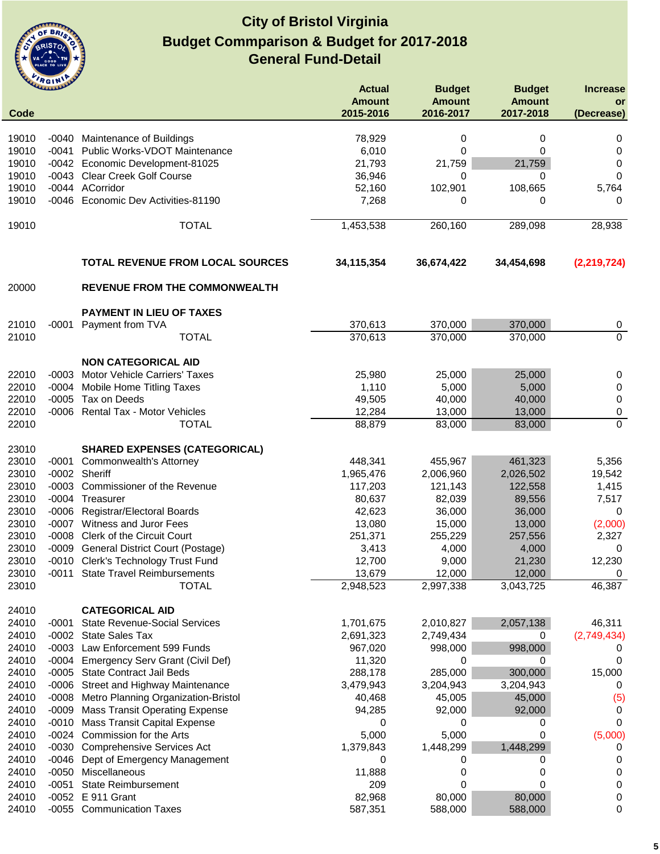

|       | <b>CLARALLAND</b> |                                         | <b>Actual</b> | <b>Budget</b> | <b>Budget</b> | <b>Increase</b> |
|-------|-------------------|-----------------------------------------|---------------|---------------|---------------|-----------------|
|       |                   |                                         | <b>Amount</b> | <b>Amount</b> | <b>Amount</b> | or              |
| Code  |                   |                                         | 2015-2016     | 2016-2017     | 2017-2018     | (Decrease)      |
|       |                   |                                         |               |               |               |                 |
| 19010 | $-0040$           | Maintenance of Buildings                | 78,929        | 0             | 0             | 0               |
| 19010 | $-0041$           | Public Works-VDOT Maintenance           | 6,010         | 0             | 0             | 0               |
| 19010 |                   | -0042 Economic Development-81025        | 21,793        | 21,759        | 21,759        | 0               |
| 19010 | -0043             | <b>Clear Creek Golf Course</b>          | 36,946        | 0             | 0             | 0               |
| 19010 |                   | -0044 ACorridor                         | 52,160        | 102,901       | 108,665       | 5,764           |
| 19010 | $-0046$           | Economic Dev Activities-81190           | 7,268         | 0             | 0             | 0               |
| 19010 |                   | <b>TOTAL</b>                            | 1,453,538     | 260,160       | 289,098       | 28,938          |
|       |                   | <b>TOTAL REVENUE FROM LOCAL SOURCES</b> | 34,115,354    | 36,674,422    | 34,454,698    | (2, 219, 724)   |
| 20000 |                   | <b>REVENUE FROM THE COMMONWEALTH</b>    |               |               |               |                 |
|       |                   | PAYMENT IN LIEU OF TAXES                |               |               |               |                 |
| 21010 |                   | -0001 Payment from TVA                  | 370,613       | 370,000       | 370,000       | 0               |
| 21010 |                   | <b>TOTAL</b>                            | 370,613       | 370,000       | 370,000       | $\overline{0}$  |
|       |                   | <b>NON CATEGORICAL AID</b>              |               |               |               |                 |
| 22010 |                   | -0003 Motor Vehicle Carriers' Taxes     | 25,980        | 25,000        | 25,000        | 0               |
| 22010 | $-0004$           | <b>Mobile Home Titling Taxes</b>        | 1,110         | 5,000         | 5,000         | 0               |
| 22010 | $-0005$           | Tax on Deeds                            | 49,505        | 40,000        | 40,000        | $\pmb{0}$       |
| 22010 |                   | -0006 Rental Tax - Motor Vehicles       | 12,284        | 13,000        | 13,000        | $\pmb{0}$       |
| 22010 |                   | <b>TOTAL</b>                            | 88,879        | 83,000        | 83,000        | $\mathbf 0$     |
|       |                   |                                         |               |               |               |                 |
| 23010 |                   | <b>SHARED EXPENSES (CATEGORICAL)</b>    |               |               |               |                 |
| 23010 | -0001             | Commonwealth's Attorney                 | 448,341       | 455,967       | 461,323       | 5,356           |
| 23010 | $-0002$           | Sheriff                                 | 1,965,476     | 2,006,960     | 2,026,502     | 19,542          |
| 23010 | $-0003$           | Commissioner of the Revenue             | 117,203       | 121,143       | 122,558       | 1,415           |
| 23010 | -0004             | Treasurer                               | 80,637        | 82,039        | 89,556        | 7,517           |
| 23010 |                   | -0006 Registrar/Electoral Boards        | 42,623        | 36,000        | 36,000        | 0               |
| 23010 |                   | -0007 Witness and Juror Fees            | 13,080        | 15,000        | 13,000        | (2,000)         |
| 23010 | $-0008$           | <b>Clerk of the Circuit Court</b>       | 251,371       | 255,229       | 257,556       | 2,327           |
| 23010 | -0009             | <b>General District Court (Postage)</b> | 3,413         | 4,000         | 4,000         | 0               |
| 23010 |                   | -0010 Clerk's Technology Trust Fund     | 12,700        | 9,000         | 21,230        | 12,230          |
| 23010 | $-0011$           | <b>State Travel Reimbursements</b>      | 13,679        | 12,000        | 12,000        | 0               |
| 23010 |                   | <b>TOTAL</b>                            | 2,948,523     | 2,997,338     | 3,043,725     | 46,387          |
| 24010 |                   | <b>CATEGORICAL AID</b>                  |               |               |               |                 |
| 24010 | -0001             | <b>State Revenue-Social Services</b>    | 1,701,675     | 2,010,827     | 2,057,138     | 46,311          |
| 24010 | -0002             | <b>State Sales Tax</b>                  | 2,691,323     | 2,749,434     | 0             | (2,749,434)     |
| 24010 | $-0003$           | Law Enforcement 599 Funds               | 967,020       | 998,000       | 998,000       | 0               |
| 24010 | $-0004$           | <b>Emergency Serv Grant (Civil Def)</b> | 11,320        | 0             | 0             | 0               |
| 24010 | $-0005$           | <b>State Contract Jail Beds</b>         | 288,178       | 285,000       | 300,000       | 15,000          |
| 24010 |                   | -0006 Street and Highway Maintenance    | 3,479,943     | 3,204,943     | 3,204,943     | 0               |
| 24010 | $-0008$           | Metro Planning Organization-Bristol     | 40,468        | 45,005        | 45,000        | (5)             |
| 24010 | $-0009$           | <b>Mass Transit Operating Expense</b>   | 94,285        | 92,000        | 92,000        | 0               |
| 24010 | $-0010$           | <b>Mass Transit Capital Expense</b>     | 0             | 0             | 0             | 0               |
| 24010 |                   | -0024 Commission for the Arts           | 5,000         | 5,000         | 0             | (5,000)         |
| 24010 |                   | -0030 Comprehensive Services Act        | 1,379,843     | 1,448,299     | 1,448,299     | 0               |
| 24010 | $-0046$           | Dept of Emergency Management            | 0             | 0             | 0             | 0               |
| 24010 | $-0050$           | Miscellaneous                           | 11,888        | 0             | 0             | 0               |
| 24010 | $-0051$           | <b>State Reimbursement</b>              | 209           | 0             | 0             | 0               |
| 24010 | $-0052$           | E 911 Grant                             | 82,968        | 80,000        | 80,000        | 0               |
| 24010 |                   | -0055 Communication Taxes               | 587,351       | 588,000       | 588,000       | 0               |
|       |                   |                                         |               |               |               |                 |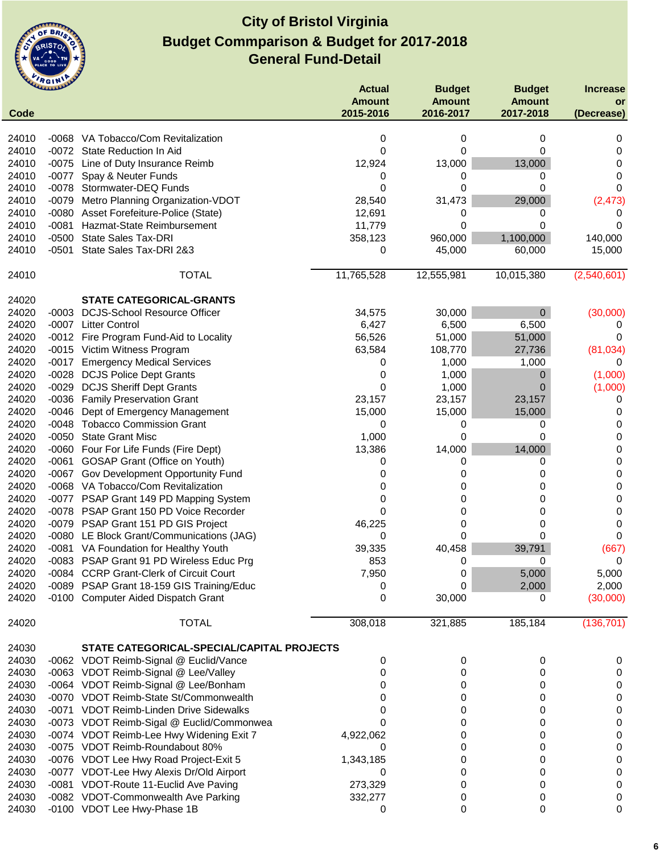

|       | ummer   |                                            | <b>Actual</b>              | <b>Budget</b>              | <b>Budget</b>              | <b>Increase</b>  |
|-------|---------|--------------------------------------------|----------------------------|----------------------------|----------------------------|------------------|
| Code  |         |                                            | <b>Amount</b><br>2015-2016 | <b>Amount</b><br>2016-2017 | <b>Amount</b><br>2017-2018 | or<br>(Decrease) |
| 24010 |         | -0068 VA Tobacco/Com Revitalization        | 0                          | 0                          | 0                          | 0                |
| 24010 | $-0072$ | <b>State Reduction In Aid</b>              | 0                          | 0                          | 0                          | 0                |
| 24010 | $-0075$ | Line of Duty Insurance Reimb               | 12,924                     | 13,000                     | 13,000                     | 0                |
| 24010 | $-0077$ | Spay & Neuter Funds                        | 0                          | 0                          | 0                          | 0                |
| 24010 |         | -0078 Stormwater-DEQ Funds                 | 0                          | 0                          | 0                          | 0                |
| 24010 | $-0079$ | Metro Planning Organization-VDOT           | 28,540                     | 31,473                     | 29,000                     | (2, 473)         |
| 24010 | -0080   | Asset Forefeiture-Police (State)           | 12,691                     | 0                          | 0                          |                  |
| 24010 | $-0081$ | Hazmat-State Reimbursement                 | 11,779                     | 0                          | 0                          | $\Omega$         |
| 24010 | $-0500$ | <b>State Sales Tax-DRI</b>                 | 358,123                    | 960,000                    | 1,100,000                  | 140,000          |
| 24010 | $-0501$ | State Sales Tax-DRI 2&3                    | 0                          | 45,000                     | 60,000                     | 15,000           |
| 24010 |         | <b>TOTAL</b>                               | 11,765,528                 | 12,555,981                 | 10,015,380                 | (2,540,601)      |
| 24020 |         | <b>STATE CATEGORICAL-GRANTS</b>            |                            |                            |                            |                  |
| 24020 |         | -0003 DCJS-School Resource Officer         | 34,575                     | 30,000                     | $\mathbf 0$                | (30,000)         |
| 24020 |         | -0007 Litter Control                       | 6,427                      | 6,500                      | 6,500                      | 0                |
| 24020 |         | -0012 Fire Program Fund-Aid to Locality    | 56,526                     | 51,000                     | 51,000                     | 0                |
| 24020 |         | -0015 Victim Witness Program               | 63,584                     | 108,770                    | 27,736                     | (81, 034)        |
| 24020 | -0017   | <b>Emergency Medical Services</b>          | 0                          | 1,000                      | 1,000                      | $\Omega$         |
| 24020 | -0028   | <b>DCJS Police Dept Grants</b>             | 0                          | 1,000                      | 0                          | (1,000)          |
| 24020 | -0029   | <b>DCJS Sheriff Dept Grants</b>            | 0                          | 1,000                      | 0                          | (1,000)          |
| 24020 |         | -0036 Family Preservation Grant            | 23,157                     | 23,157                     | 23,157                     | 0                |
| 24020 | -0046   | Dept of Emergency Management               | 15,000                     | 15,000                     | 15,000                     | 0                |
| 24020 |         | -0048 Tobacco Commission Grant             | 0                          | 0                          | 0                          | 0                |
| 24020 |         | -0050 State Grant Misc                     | 1,000                      | 0                          | 0                          | 0                |
| 24020 |         | -0060 Four For Life Funds (Fire Dept)      | 13,386                     | 14,000                     | 14,000                     | 0                |
| 24020 | -0061   | <b>GOSAP Grant (Office on Youth)</b>       | 0                          | 0                          | 0                          | 0                |
| 24020 | $-0067$ | Gov Development Opportunity Fund           | 0                          | 0                          | 0                          | 0                |
| 24020 |         | -0068 VA Tobacco/Com Revitalization        | 0                          | 0                          | 0                          | 0                |
| 24020 |         | -0077 PSAP Grant 149 PD Mapping System     | 0                          | 0                          | 0                          | 0                |
| 24020 |         | -0078 PSAP Grant 150 PD Voice Recorder     | 0                          | 0                          | 0                          | 0                |
| 24020 |         | -0079 PSAP Grant 151 PD GIS Project        | 46,225                     | 0                          | 0                          | 0                |
| 24020 |         | -0080 LE Block Grant/Communications (JAG)  | 0                          | 0                          | 0                          | 0                |
| 24020 |         | -0081 VA Foundation for Healthy Youth      | 39,335                     | 40,458                     | 39,791                     | (667)            |
| 24020 |         | -0083 PSAP Grant 91 PD Wireless Educ Prg   | 853                        | 0                          | 0                          | 0                |
| 24020 |         | -0084 CCRP Grant-Clerk of Circuit Court    | 7,950                      | 0                          | 5,000                      | 5,000            |
| 24020 |         | -0089 PSAP Grant 18-159 GIS Training/Educ  | 0                          | 0                          | 2,000                      | 2,000            |
| 24020 |         | -0100 Computer Aided Dispatch Grant        | 0                          | 30,000                     | 0                          | (30,000)         |
| 24020 |         | <b>TOTAL</b>                               | 308,018                    | 321,885                    | 185,184                    | (136, 701)       |
| 24030 |         | STATE CATEGORICAL-SPECIAL/CAPITAL PROJECTS |                            |                            |                            |                  |
| 24030 |         | -0062 VDOT Reimb-Signal @ Euclid/Vance     | 0                          | 0                          | 0                          | 0                |
| 24030 |         | -0063 VDOT Reimb-Signal @ Lee/Valley       | 0                          | 0                          | 0                          | 0                |
| 24030 |         | -0064 VDOT Reimb-Signal @ Lee/Bonham       | 0                          | 0                          | 0                          | 0                |
| 24030 |         | -0070 VDOT Reimb-State St/Commonwealth     | 0                          | 0                          | 0                          | 0                |
| 24030 |         | -0071 VDOT Reimb-Linden Drive Sidewalks    | 0                          | 0                          | 0                          | 0                |
| 24030 |         | -0073 VDOT Reimb-Sigal @ Euclid/Commonwea  | 0                          | 0                          | 0                          | 0                |
| 24030 |         | -0074 VDOT Reimb-Lee Hwy Widening Exit 7   | 4,922,062                  | 0                          | 0                          | 0                |
| 24030 |         | -0075 VDOT Reimb-Roundabout 80%            | 0                          | 0                          | 0                          | 0                |
| 24030 |         | -0076 VDOT Lee Hwy Road Project-Exit 5     | 1,343,185                  | 0                          | 0                          | 0                |
| 24030 |         | -0077 VDOT-Lee Hwy Alexis Dr/Old Airport   | 0                          | 0                          | 0                          | 0                |
| 24030 |         | -0081 VDOT-Route 11-Euclid Ave Paving      | 273,329                    | 0                          | 0                          | 0                |
| 24030 |         | -0082 VDOT-Commonwealth Ave Parking        | 332,277                    | 0                          | 0                          | 0                |
| 24030 |         | -0100 VDOT Lee Hwy-Phase 1B                | 0                          | 0                          | 0                          | 0                |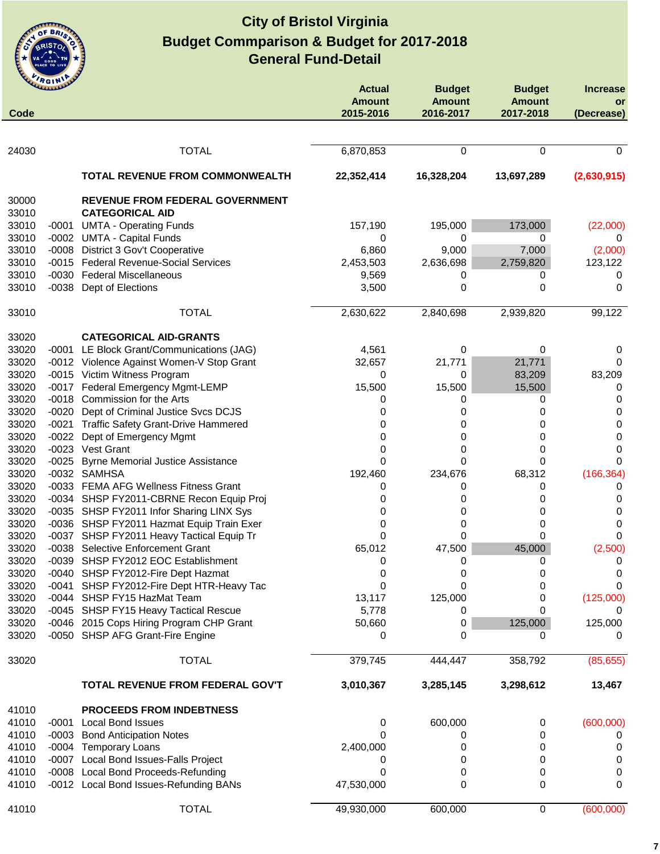

|                | ummer   |                                                                              | <b>Actual</b>              | <b>Budget</b>              | <b>Budget</b>              | <b>Increase</b>  |
|----------------|---------|------------------------------------------------------------------------------|----------------------------|----------------------------|----------------------------|------------------|
| Code           |         |                                                                              | <b>Amount</b><br>2015-2016 | <b>Amount</b><br>2016-2017 | <b>Amount</b><br>2017-2018 | or<br>(Decrease) |
|                |         |                                                                              |                            |                            |                            |                  |
| 24030          |         | <b>TOTAL</b>                                                                 | 6,870,853                  | 0                          | 0                          | $\Omega$         |
|                |         | TOTAL REVENUE FROM COMMONWEALTH                                              | 22,352,414                 | 16,328,204                 | 13,697,289                 | (2,630,915)      |
| 30000          |         | <b>REVENUE FROM FEDERAL GOVERNMENT</b>                                       |                            |                            |                            |                  |
| 33010          |         | <b>CATEGORICAL AID</b>                                                       |                            |                            |                            |                  |
| 33010          |         | -0001 UMTA - Operating Funds                                                 | 157,190                    | 195,000                    | 173,000                    | (22,000)         |
| 33010          |         | -0002 UMTA - Capital Funds                                                   | 0                          | 0                          | 0                          | 0                |
| 33010          | -0008   | District 3 Gov't Cooperative                                                 | 6,860                      | 9,000                      | 7,000                      | (2,000)          |
| 33010          |         | -0015 Federal Revenue-Social Services                                        | 2,453,503                  | 2,636,698                  | 2,759,820                  | 123,122          |
| 33010          |         | -0030 Federal Miscellaneous                                                  | 9,569                      | 0                          | 0                          | 0                |
| 33010          | $-0038$ | Dept of Elections                                                            | 3,500                      | 0                          | 0                          | 0                |
| 33010          |         | <b>TOTAL</b>                                                                 | 2,630,622                  | 2,840,698                  | 2,939,820                  | 99,122           |
| 33020          |         | <b>CATEGORICAL AID-GRANTS</b>                                                |                            |                            |                            |                  |
| 33020          |         | -0001 LE Block Grant/Communications (JAG)                                    | 4,561                      | 0                          | 0                          | 0                |
| 33020          |         | -0012 Violence Against Women-V Stop Grant                                    | 32,657                     | 21,771                     | 21,771                     | 0                |
| 33020          |         | -0015 Victim Witness Program                                                 | 0                          | 0                          | 83,209                     | 83,209           |
| 33020          |         | -0017 Federal Emergency Mgmt-LEMP                                            | 15,500                     | 15,500                     | 15,500                     | 0                |
| 33020          |         | -0018 Commission for the Arts                                                | 0                          | 0                          | 0                          | 0                |
| 33020          |         | -0020 Dept of Criminal Justice Svcs DCJS                                     | 0                          | 0                          | 0                          | 0                |
| 33020          |         | -0021 Traffic Safety Grant-Drive Hammered                                    | 0                          | 0                          | 0                          | 0                |
| 33020          |         | -0022 Dept of Emergency Mgmt                                                 | 0                          | 0                          | 0                          | 0                |
| 33020          |         | -0023 Vest Grant                                                             | 0                          | 0                          | 0                          | 0                |
| 33020          | $-0025$ | <b>Byrne Memorial Justice Assistance</b>                                     | 0                          | 0                          | 0                          | 0                |
| 33020          |         | -0032 SAMHSA                                                                 | 192,460                    | 234,676                    | 68,312                     | (166, 364)       |
| 33020          |         | -0033 FEMA AFG Wellness Fitness Grant                                        | 0                          | 0                          | 0                          | 0                |
| 33020          |         | -0034 SHSP FY2011-CBRNE Recon Equip Proj                                     | 0                          | 0                          | 0                          | 0                |
| 33020          |         | -0035 SHSP FY2011 Infor Sharing LINX Sys                                     | 0                          | 0                          | 0                          | 0                |
| 33020          |         | -0036 SHSP FY2011 Hazmat Equip Train Exer                                    | 0                          | 0                          | 0                          | 0                |
| 33020          | -0037   | SHSP FY2011 Heavy Tactical Equip Tr                                          | 0                          | 0                          | 0                          | 0                |
| 33020          | $-0038$ | Selective Enforcement Grant                                                  | 65,012                     | 47,500                     | 45,000                     | (2,500)          |
| 33020          |         | -0039 SHSP FY2012 EOC Establishment                                          | 0                          | 0                          | 0                          | 0                |
| 33020          |         | -0040 SHSP FY2012-Fire Dept Hazmat                                           | 0                          | 0                          | 0                          | $\mathbf 0$      |
| 33020          |         | -0041 SHSP FY2012-Fire Dept HTR-Heavy Tac                                    | 0                          | 0                          | 0                          | 0                |
| 33020          |         | -0044 SHSP FY15 HazMat Team                                                  | 13,117                     | 125,000                    | 0                          | (125,000)        |
| 33020          |         | -0045 SHSP FY15 Heavy Tactical Rescue                                        | 5,778                      | 0                          | 0                          | 0                |
| 33020<br>33020 |         | -0046 2015 Cops Hiring Program CHP Grant<br>-0050 SHSP AFG Grant-Fire Engine | 50,660<br>0                | 0<br>0                     | 125,000<br>0               | 125,000<br>0     |
|                |         |                                                                              |                            |                            |                            |                  |
| 33020          |         | <b>TOTAL</b>                                                                 | 379,745                    | 444,447                    | 358,792                    | (85, 655)        |
|                |         | TOTAL REVENUE FROM FEDERAL GOV'T                                             | 3,010,367                  | 3,285,145                  | 3,298,612                  | 13,467           |
| 41010          |         | <b>PROCEEDS FROM INDEBTNESS</b>                                              |                            |                            |                            |                  |
| 41010          |         | -0001 Local Bond Issues                                                      | 0                          | 600,000                    | $\pmb{0}$                  | (600,000)        |
| 41010          |         | -0003 Bond Anticipation Notes                                                | 0                          | 0                          | 0                          | 0                |
| 41010          |         | -0004 Temporary Loans                                                        | 2,400,000                  | 0                          | 0                          | 0                |
| 41010          |         | -0007 Local Bond Issues-Falls Project                                        | 0                          | 0                          | 0                          | 0                |
| 41010          |         | -0008 Local Bond Proceeds-Refunding                                          | 0                          | 0                          | 0                          | 0                |
| 41010          |         | -0012 Local Bond Issues-Refunding BANs                                       | 47,530,000                 | 0                          | 0                          | 0                |
| 41010          |         | <b>TOTAL</b>                                                                 | 49,930,000                 | 600,000                    | 0                          | (600,000)        |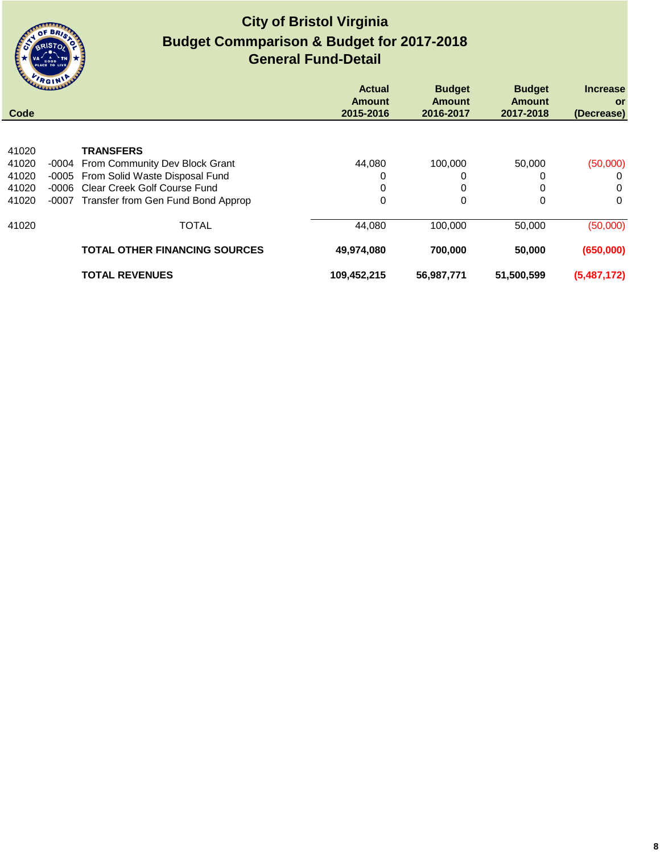

|       | <b>WALLAULAULAU</b> |                                      | <b>Actual</b><br><b>Amount</b> | <b>Budget</b><br><b>Amount</b> | <b>Budget</b><br><b>Amount</b> | <b>Increase</b><br><b>or</b> |
|-------|---------------------|--------------------------------------|--------------------------------|--------------------------------|--------------------------------|------------------------------|
| Code  |                     |                                      | 2015-2016                      | 2016-2017                      | 2017-2018                      | (Decrease)                   |
|       |                     |                                      |                                |                                |                                |                              |
| 41020 |                     | <b>TRANSFERS</b>                     |                                |                                |                                |                              |
| 41020 |                     | -0004 From Community Dev Block Grant | 44.080                         | 100,000                        | 50,000                         | (50,000)                     |
| 41020 | -0005               | From Solid Waste Disposal Fund       | 0                              | 0                              | 0                              | 0                            |
| 41020 | -0006               | Clear Creek Golf Course Fund         | 0                              | 0                              | 0                              | 0                            |
| 41020 | $-0007$             | Transfer from Gen Fund Bond Approp   | 0                              | 0                              | 0                              | $\Omega$                     |
| 41020 |                     | <b>TOTAL</b>                         | 44,080                         | 100.000                        | 50,000                         | (50,000)                     |
|       |                     | <b>TOTAL OTHER FINANCING SOURCES</b> | 49,974,080                     | 700,000                        | 50,000                         | (650,000)                    |
|       |                     | <b>TOTAL REVENUES</b>                | 109,452,215                    | 56,987,771                     | 51,500,599                     | (5,487,172)                  |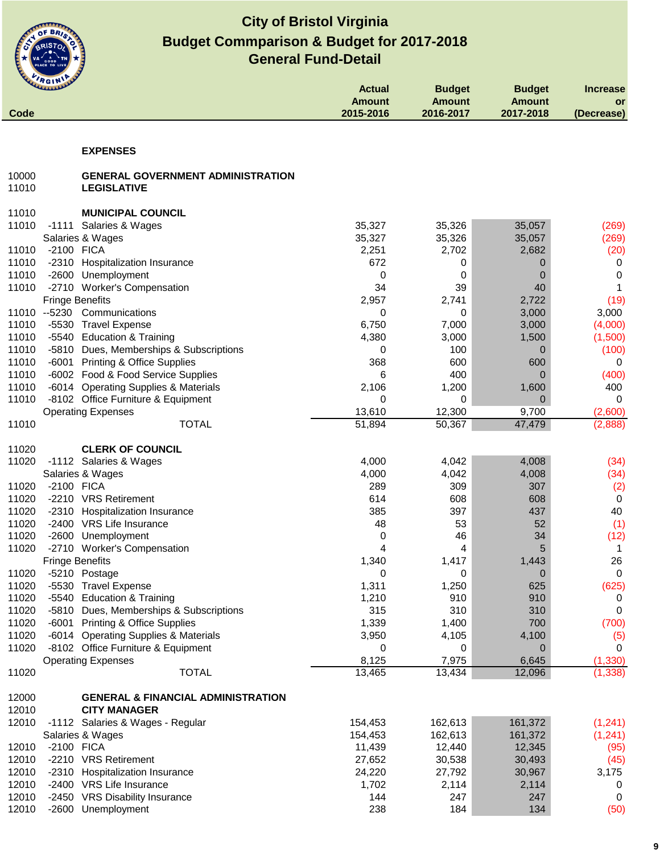

| Code           | <b>WELLINGTON</b>                                              | <b>Actual</b><br><b>Amount</b><br>2015-2016 | <b>Budget</b><br><b>Amount</b><br>2016-2017 | <b>Budget</b><br><b>Amount</b><br>2017-2018 | <b>Increase</b><br>or<br>(Decrease) |
|----------------|----------------------------------------------------------------|---------------------------------------------|---------------------------------------------|---------------------------------------------|-------------------------------------|
|                |                                                                |                                             |                                             |                                             |                                     |
|                | <b>EXPENSES</b>                                                |                                             |                                             |                                             |                                     |
| 10000<br>11010 | <b>GENERAL GOVERNMENT ADMINISTRATION</b><br><b>LEGISLATIVE</b> |                                             |                                             |                                             |                                     |
|                |                                                                |                                             |                                             |                                             |                                     |
| 11010<br>11010 | <b>MUNICIPAL COUNCIL</b><br>-1111 Salaries & Wages             | 35,327                                      | 35,326                                      | 35,057                                      | (269)                               |
|                | Salaries & Wages                                               | 35,327                                      | 35,326                                      | 35,057                                      | (269)                               |
| 11010          | -2100 FICA                                                     | 2,251                                       | 2,702                                       | 2,682                                       | (20)                                |
| 11010          | -2310 Hospitalization Insurance                                | 672                                         | 0                                           | 0                                           | 0                                   |
| 11010          | -2600 Unemployment                                             | 0                                           | 0                                           | $\mathbf 0$                                 | 0                                   |
| 11010          | -2710 Worker's Compensation                                    | 34                                          | 39                                          | 40                                          | 1                                   |
|                | <b>Fringe Benefits</b>                                         | 2,957                                       | 2,741                                       | 2,722                                       | (19)                                |
|                | 11010 -- 5230<br>Communications                                | 0                                           | 0                                           | 3,000                                       | 3,000                               |
| 11010          | -5530 Travel Expense                                           | 6,750                                       | 7,000                                       | 3,000                                       | (4,000)                             |
| 11010          | -5540 Education & Training                                     | 4,380                                       | 3,000                                       | 1,500                                       | (1,500)                             |
| 11010          | -5810 Dues, Memberships & Subscriptions                        | 0                                           | 100                                         | 0                                           | (100)                               |
| 11010          | -6001 Printing & Office Supplies                               | 368                                         | 600                                         | 600                                         | 0                                   |
| 11010          | -6002 Food & Food Service Supplies                             | 6                                           | 400                                         | 0                                           | (400)                               |
| 11010          | -6014 Operating Supplies & Materials                           | 2,106                                       | 1,200                                       | 1,600                                       | 400                                 |
| 11010          | -8102 Office Furniture & Equipment                             | 0                                           | 0                                           | $\Omega$                                    | 0                                   |
|                | <b>Operating Expenses</b>                                      | 13,610                                      | 12,300                                      | 9,700                                       | (2,600)                             |
| 11010          | <b>TOTAL</b>                                                   | 51,894                                      | 50,367                                      | 47,479                                      | (2,888)                             |
|                |                                                                |                                             |                                             |                                             |                                     |
| 11020<br>11020 | <b>CLERK OF COUNCIL</b><br>-1112 Salaries & Wages              | 4,000                                       | 4,042                                       | 4,008                                       | (34)                                |
|                | Salaries & Wages                                               | 4,000                                       | 4,042                                       | 4,008                                       | (34)                                |
| 11020          | -2100 FICA                                                     | 289                                         | 309                                         | 307                                         | (2)                                 |
| 11020          | -2210 VRS Retirement                                           | 614                                         | 608                                         | 608                                         | $\mathbf 0$                         |
| 11020          | -2310 Hospitalization Insurance                                | 385                                         | 397                                         | 437                                         | 40                                  |
| 11020          | -2400 VRS Life Insurance                                       | 48                                          | 53                                          | 52                                          | (1)                                 |
| 11020          | -2600 Unemployment                                             | 0                                           | 46                                          | 34                                          | (12)                                |
| 11020          | -2710 Worker's Compensation                                    | 4                                           | 4                                           | 5                                           | 1                                   |
|                | <b>Fringe Benefits</b>                                         | 1,340                                       | 1,417                                       | 1,443                                       | 26                                  |
| 11020          | -5210 Postage                                                  | 0                                           | 0                                           | $\mathbf 0$                                 | $\pmb{0}$                           |
| 11020          | -5530 Travel Expense                                           | 1,311                                       | 1,250                                       | 625                                         | (625)                               |
| 11020          | -5540 Education & Training                                     | 1,210                                       | 910                                         | 910                                         | 0                                   |
| 11020          | -5810 Dues, Memberships & Subscriptions                        | 315                                         | 310                                         | 310                                         | 0                                   |
| 11020          | -6001 Printing & Office Supplies                               | 1,339                                       | 1,400                                       | 700                                         | (700)                               |
| 11020          | -6014 Operating Supplies & Materials                           | 3,950                                       | 4,105                                       | 4,100                                       | (5)                                 |
| 11020          | -8102 Office Furniture & Equipment                             | 0                                           | 0                                           | $\mathbf 0$                                 | 0                                   |
|                | <b>Operating Expenses</b>                                      | 8,125                                       | 7,975                                       | 6,645                                       | (1, 330)                            |
| 11020          | <b>TOTAL</b>                                                   | 13,465                                      | 13,434                                      | 12,096                                      | (1, 338)                            |
| 12000          | <b>GENERAL &amp; FINANCIAL ADMINISTRATION</b>                  |                                             |                                             |                                             |                                     |
| 12010          | <b>CITY MANAGER</b>                                            |                                             |                                             |                                             |                                     |
| 12010          | -1112 Salaries & Wages - Regular                               | 154,453                                     | 162,613                                     | 161,372                                     | (1, 241)                            |
|                | Salaries & Wages                                               | 154,453                                     | 162,613                                     | 161,372                                     | (1, 241)                            |
| 12010          | -2100 FICA                                                     | 11,439                                      | 12,440                                      | 12,345                                      | (95)                                |
| 12010          | -2210 VRS Retirement                                           | 27,652                                      | 30,538                                      | 30,493                                      | (45)                                |
| 12010          | -2310 Hospitalization Insurance                                | 24,220                                      | 27,792                                      | 30,967                                      | 3,175                               |
| 12010          | -2400 VRS Life Insurance                                       | 1,702                                       | 2,114                                       | 2,114                                       | 0                                   |
| 12010          | -2450 VRS Disability Insurance                                 | 144                                         | 247                                         | 247                                         | 0                                   |
| 12010          | -2600 Unemployment                                             | 238                                         | 184                                         | 134                                         | (50)                                |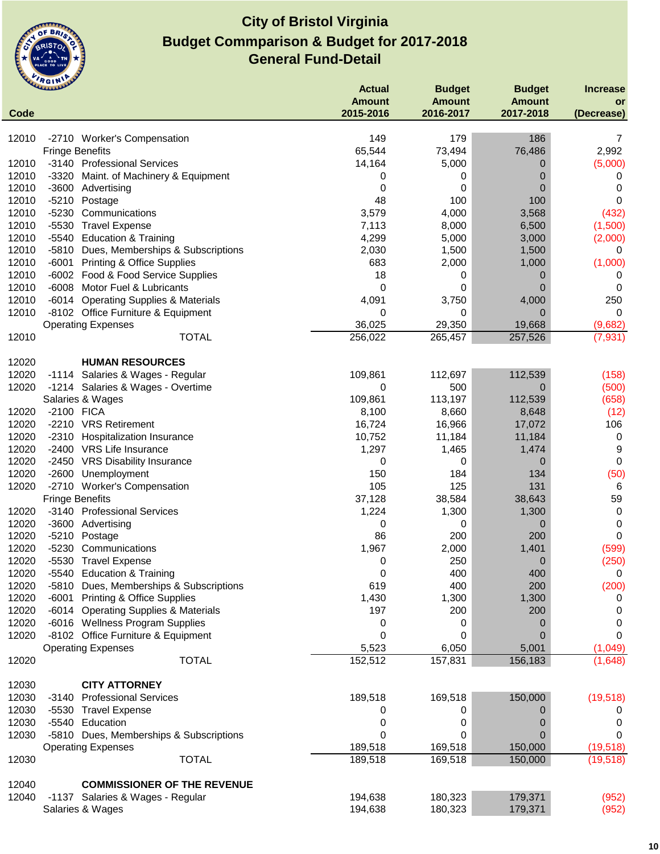

| Code           | $\cdots$<br><b>UNITED</b> |                                                                      | <b>Actual</b><br><b>Amount</b><br>2015-2016 | <b>Budget</b><br><b>Amount</b><br>2016-2017 | <b>Budget</b><br><b>Amount</b><br>2017-2018 | <b>Increase</b><br><b>or</b><br>(Decrease) |
|----------------|---------------------------|----------------------------------------------------------------------|---------------------------------------------|---------------------------------------------|---------------------------------------------|--------------------------------------------|
|                |                           |                                                                      |                                             |                                             |                                             |                                            |
| 12010          |                           | -2710 Worker's Compensation                                          | 149                                         | 179                                         | 186                                         | 7                                          |
|                | <b>Fringe Benefits</b>    |                                                                      | 65,544                                      | 73,494                                      | 76,486                                      | 2,992                                      |
| 12010          |                           | -3140 Professional Services                                          | 14,164                                      | 5,000                                       | 0                                           | (5,000)                                    |
| 12010          |                           | -3320 Maint. of Machinery & Equipment                                | 0                                           | 0                                           | 0                                           | 0                                          |
| 12010          |                           | -3600 Advertising                                                    | 0                                           | 0                                           | 0                                           | 0                                          |
| 12010          | $-5210$                   | Postage                                                              | 48                                          | 100                                         | 100                                         | 0                                          |
| 12010          | $-5230$                   | Communications                                                       | 3,579                                       | 4,000                                       | 3,568                                       | (432)                                      |
| 12010          | $-5530$                   | <b>Travel Expense</b>                                                | 7,113                                       | 8,000                                       | 6,500                                       | (1,500)                                    |
| 12010          |                           | -5540 Education & Training                                           | 4,299                                       | 5,000                                       | 3,000                                       | (2,000)                                    |
| 12010          |                           | -5810 Dues, Memberships & Subscriptions                              | 2,030                                       | 1,500                                       | 1,500                                       | 0                                          |
| 12010          | -6001                     | <b>Printing &amp; Office Supplies</b>                                | 683                                         | 2,000                                       | 1,000                                       | (1,000)                                    |
| 12010          |                           | -6002 Food & Food Service Supplies                                   | 18                                          | 0                                           | 0                                           | 0                                          |
| 12010          |                           | -6008 Motor Fuel & Lubricants                                        | 0                                           | 0                                           | 0                                           | 0                                          |
| 12010<br>12010 | -6014                     | <b>Operating Supplies &amp; Materials</b>                            | 4,091                                       | 3,750                                       | 4,000                                       | 250<br>0                                   |
|                |                           | -8102 Office Furniture & Equipment<br><b>Operating Expenses</b>      | 0<br>36,025                                 | 0<br>29,350                                 | 0<br>19,668                                 | (9,682)                                    |
| 12010          |                           | <b>TOTAL</b>                                                         | 256,022                                     | 265,457                                     | 257,526                                     | (7, 931)                                   |
|                |                           |                                                                      |                                             |                                             |                                             |                                            |
| 12020          |                           | <b>HUMAN RESOURCES</b>                                               |                                             |                                             |                                             |                                            |
| 12020          |                           | -1114 Salaries & Wages - Regular                                     | 109,861                                     | 112,697                                     | 112,539                                     | (158)                                      |
| 12020          |                           | -1214 Salaries & Wages - Overtime                                    | 0                                           | 500                                         | 0                                           | (500)                                      |
|                |                           | Salaries & Wages                                                     | 109,861                                     | 113,197                                     | 112,539                                     | (658)                                      |
| 12020          | -2100 FICA                |                                                                      | 8,100                                       | 8,660                                       | 8,648                                       | (12)                                       |
| 12020          |                           | -2210 VRS Retirement                                                 | 16,724                                      | 16,966                                      | 17,072                                      | 106                                        |
| 12020          |                           | -2310 Hospitalization Insurance                                      | 10,752                                      | 11,184                                      | 11,184                                      | 0                                          |
| 12020          |                           | -2400 VRS Life Insurance                                             | 1,297                                       | 1,465                                       | 1,474                                       | 9                                          |
| 12020          |                           | -2450 VRS Disability Insurance                                       | 0                                           | 0                                           | 0                                           | 0                                          |
| 12020          | -2600                     | Unemployment                                                         | 150                                         | 184                                         | 134                                         | (50)                                       |
| 12020          |                           | -2710 Worker's Compensation                                          | 105                                         | 125                                         | 131                                         | 6                                          |
|                | <b>Fringe Benefits</b>    |                                                                      | 37,128                                      | 38,584                                      | 38,643                                      | 59                                         |
| 12020          |                           | -3140 Professional Services                                          | 1,224                                       | 1,300                                       | 1,300                                       | 0                                          |
| 12020          |                           | -3600 Advertising                                                    | 0                                           | 0                                           | 0                                           | 0                                          |
| 12020<br>12020 | $-5210$<br>$-5230$        | Postage<br>Communications                                            | 86<br>1,967                                 | 200<br>2,000                                | 200<br>1,401                                | 0                                          |
| 12020          | $-5530$                   | <b>Travel Expense</b>                                                | 0                                           | 250                                         | 0                                           | (599)<br>(250)                             |
| 12020          |                           | -5540 Education & Training                                           | 0                                           | 400                                         | 400                                         | 0                                          |
| 12020          | $-5810$                   | Dues, Memberships & Subscriptions                                    | 619                                         | 400                                         | 200                                         | (200)                                      |
| 12020          | -6001                     | <b>Printing &amp; Office Supplies</b>                                | 1,430                                       | 1,300                                       | 1,300                                       | 0                                          |
| 12020          | -6014                     | <b>Operating Supplies &amp; Materials</b>                            | 197                                         | 200                                         | 200                                         | 0                                          |
| 12020          |                           | -6016 Wellness Program Supplies                                      | 0                                           | 0                                           | 0                                           | 0                                          |
| 12020          |                           | -8102 Office Furniture & Equipment                                   | 0                                           | 0                                           | 0                                           | 0                                          |
|                |                           | <b>Operating Expenses</b>                                            | 5,523                                       | 6,050                                       | 5,001                                       | (1,049)                                    |
| 12020          |                           | <b>TOTAL</b>                                                         | 152,512                                     | 157,831                                     | 156,183                                     | (1,648)                                    |
|                |                           |                                                                      |                                             |                                             |                                             |                                            |
| 12030          |                           | <b>CITY ATTORNEY</b>                                                 |                                             |                                             |                                             |                                            |
| 12030          | -3140                     | <b>Professional Services</b>                                         | 189,518                                     | 169,518                                     | 150,000                                     | (19, 518)                                  |
| 12030<br>12030 |                           | -5530 Travel Expense                                                 | 0                                           | 0                                           | 0                                           | 0                                          |
| 12030          |                           | -5540 Education                                                      | 0<br>0                                      | 0<br>0                                      | 0<br>0                                      | 0<br>0                                     |
|                |                           | -5810 Dues, Memberships & Subscriptions<br><b>Operating Expenses</b> | 189,518                                     | 169,518                                     | 150,000                                     | (19, 518)                                  |
| 12030          |                           | <b>TOTAL</b>                                                         | 189,518                                     | 169,518                                     | 150,000                                     | (19, 518)                                  |
|                |                           |                                                                      |                                             |                                             |                                             |                                            |
| 12040          |                           | <b>COMMISSIONER OF THE REVENUE</b>                                   |                                             |                                             |                                             |                                            |
| 12040          |                           | -1137 Salaries & Wages - Regular                                     | 194,638                                     | 180,323                                     | 179,371                                     | (952)                                      |
|                |                           | Salaries & Wages                                                     | 194,638                                     | 180,323                                     | 179,371                                     | (952)                                      |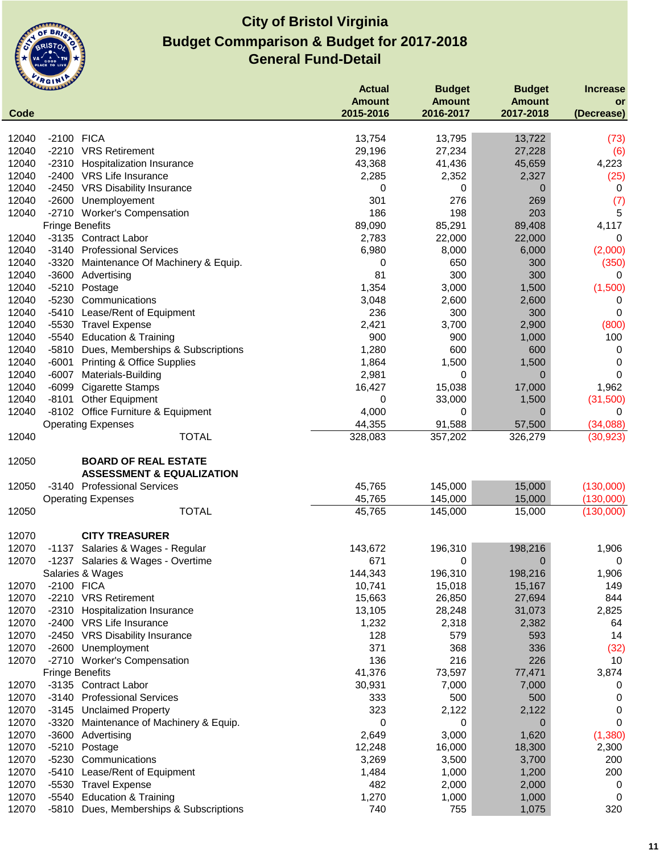

|       |                        |                                                                     | <b>Actual</b> | <b>Budget</b> | <b>Budget</b> | <b>Increase</b> |
|-------|------------------------|---------------------------------------------------------------------|---------------|---------------|---------------|-----------------|
|       |                        |                                                                     | <b>Amount</b> | <b>Amount</b> | <b>Amount</b> | or              |
| Code  |                        |                                                                     | 2015-2016     | 2016-2017     | 2017-2018     | (Decrease)      |
| 12040 | -2100 FICA             |                                                                     | 13,754        | 13,795        | 13,722        |                 |
| 12040 |                        | -2210 VRS Retirement                                                | 29,196        | 27,234        | 27,228        | (73)<br>(6)     |
| 12040 |                        | -2310 Hospitalization Insurance                                     | 43,368        | 41,436        | 45,659        | 4,223           |
| 12040 |                        | -2400 VRS Life Insurance                                            | 2,285         | 2,352         | 2,327         |                 |
| 12040 |                        | -2450 VRS Disability Insurance                                      | 0             | 0             | 0             | (25)<br>0       |
| 12040 | $-2600$                | Unemployement                                                       | 301           | 276           | 269           | (7)             |
| 12040 |                        | -2710 Worker's Compensation                                         | 186           | 198           | 203           | $\sqrt{5}$      |
|       | <b>Fringe Benefits</b> |                                                                     | 89,090        | 85,291        | 89,408        | 4,117           |
| 12040 |                        | -3135 Contract Labor                                                | 2,783         | 22,000        | 22,000        | 0               |
| 12040 | -3140                  | <b>Professional Services</b>                                        | 6,980         | 8,000         | 6,000         | (2,000)         |
| 12040 | $-3320$                | Maintenance Of Machinery & Equip.                                   | 0             | 650           | 300           | (350)           |
| 12040 | $-3600$                | Advertising                                                         | 81            | 300           | 300           | 0               |
| 12040 | $-5210$                | Postage                                                             | 1,354         | 3,000         | 1,500         | (1,500)         |
| 12040 | $-5230$                | Communications                                                      | 3,048         | 2,600         | 2,600         | 0               |
| 12040 | $-5410$                | Lease/Rent of Equipment                                             | 236           | 300           | 300           | 0               |
| 12040 | $-5530$                | <b>Travel Expense</b>                                               | 2,421         | 3,700         | 2,900         | (800)           |
| 12040 | -5540                  | <b>Education &amp; Training</b>                                     | 900           | 900           | 1,000         | 100             |
| 12040 | $-5810$                | Dues, Memberships & Subscriptions                                   | 1,280         | 600           | 600           | 0               |
| 12040 | $-6001$                | <b>Printing &amp; Office Supplies</b>                               | 1,864         | 1,500         | 1,500         | 0               |
| 12040 | $-6007$                | Materials-Building                                                  | 2,981         | 0             | $\mathbf 0$   | $\mathbf 0$     |
| 12040 |                        | -6099 Cigarette Stamps                                              | 16,427        | 15,038        | 17,000        | 1,962           |
| 12040 | $-8101$                | <b>Other Equipment</b>                                              | 0             | 33,000        | 1,500         | (31,500)        |
| 12040 |                        | -8102 Office Furniture & Equipment                                  | 4,000         | 0             | $\mathbf 0$   | 0               |
|       |                        | <b>Operating Expenses</b>                                           | 44,355        | 91,588        | 57,500        | (34,088)        |
| 12040 |                        | <b>TOTAL</b>                                                        | 328,083       | 357,202       | 326,279       | (30, 923)       |
| 12050 |                        | <b>BOARD OF REAL ESTATE</b><br><b>ASSESSMENT &amp; EQUALIZATION</b> |               |               |               |                 |
| 12050 |                        | -3140 Professional Services                                         | 45,765        | 145,000       | 15,000        | (130,000)       |
|       |                        | <b>Operating Expenses</b>                                           | 45,765        | 145,000       | 15,000        | (130,000)       |
| 12050 |                        | <b>TOTAL</b>                                                        | 45,765        | 145,000       | 15,000        | (130,000)       |
| 12070 |                        | <b>CITY TREASURER</b>                                               |               |               |               |                 |
| 12070 |                        | -1137 Salaries & Wages - Regular                                    | 143,672       | 196,310       | 198,216       | 1,906           |
| 12070 |                        | -1237 Salaries & Wages - Overtime                                   | 671           | 0             | $\mathbf 0$   | 0               |
|       |                        | Salaries & Wages                                                    | 144,343       | 196,310       | 198,216       | 1,906           |
| 12070 | -2100 FICA             |                                                                     | 10,741        | 15,018        | 15,167        | 149             |
| 12070 |                        | -2210 VRS Retirement                                                | 15,663        | 26,850        | 27,694        | 844             |
| 12070 |                        | -2310 Hospitalization Insurance                                     | 13,105        | 28,248        | 31,073        | 2,825           |
| 12070 |                        | -2400 VRS Life Insurance                                            | 1,232         | 2,318         | 2,382         | 64              |
| 12070 |                        | -2450 VRS Disability Insurance                                      | 128           | 579           | 593           | 14              |
| 12070 | $-2600$                | Unemployment                                                        | 371           | 368           | 336           | (32)            |
| 12070 |                        | -2710 Worker's Compensation                                         | 136           | 216           | 226           | 10              |
|       | <b>Fringe Benefits</b> |                                                                     | 41,376        | 73,597        | 77,471        | 3,874           |
| 12070 |                        | -3135 Contract Labor                                                | 30,931        | 7,000         | 7,000         | 0               |
| 12070 |                        | -3140 Professional Services                                         | 333           | 500           | 500           | 0               |
| 12070 |                        | -3145 Unclaimed Property                                            | 323           | 2,122         | 2,122         | 0               |
| 12070 | -3320                  | Maintenance of Machinery & Equip.                                   | 0             | 0             | 0             | 0               |
| 12070 | $-3600$                | Advertising                                                         | 2,649         | 3,000         | 1,620         | (1, 380)        |
| 12070 | $-5210$                | Postage                                                             | 12,248        | 16,000        | 18,300        | 2,300           |
| 12070 | $-5230$                | Communications                                                      | 3,269         | 3,500         | 3,700         | 200             |
| 12070 | -5410                  | Lease/Rent of Equipment                                             | 1,484         | 1,000         | 1,200         | 200             |
| 12070 | $-5530$                | <b>Travel Expense</b>                                               | 482           | 2,000         | 2,000         | 0               |
| 12070 | -5540                  | <b>Education &amp; Training</b>                                     | 1,270         | 1,000         | 1,000         | 0               |
| 12070 | -5810                  | Dues, Memberships & Subscriptions                                   | 740           | 755           | 1,075         | 320             |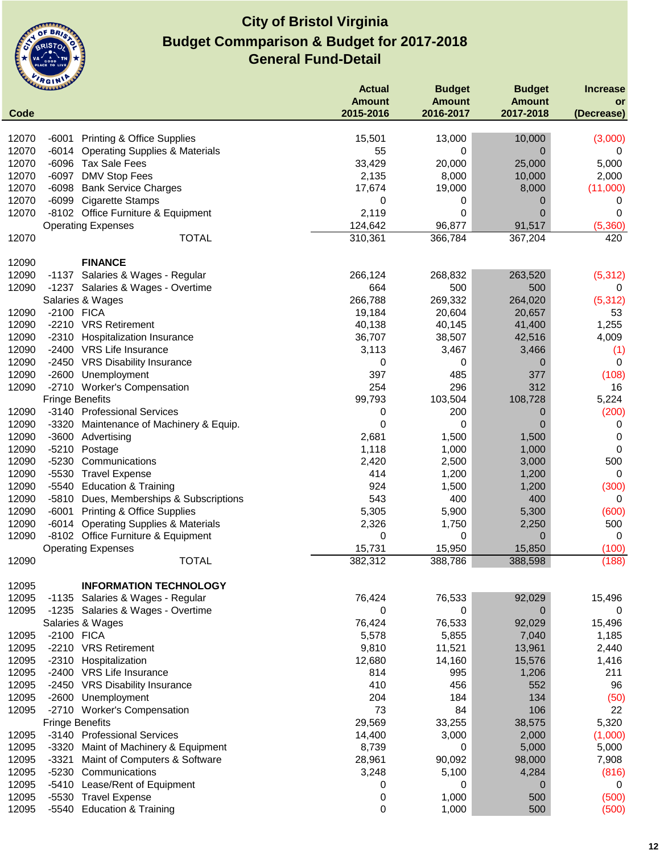

|       | <b>GALLIAN</b>         |                                           | <b>Actual</b> | <b>Budget</b> | <b>Budget</b>         | <b>Increase</b> |
|-------|------------------------|-------------------------------------------|---------------|---------------|-----------------------|-----------------|
|       |                        |                                           | <b>Amount</b> | <b>Amount</b> | <b>Amount</b>         | or              |
| Code  |                        |                                           | 2015-2016     | 2016-2017     | 2017-2018             | (Decrease)      |
| 12070 |                        | <b>Printing &amp; Office Supplies</b>     | 15,501        | 13,000        |                       | (3,000)         |
| 12070 | -6001<br>$-6014$       | <b>Operating Supplies &amp; Materials</b> | 55            | 0             | 10,000<br>$\mathbf 0$ | 0               |
| 12070 |                        | -6096 Tax Sale Fees                       | 33,429        | 20,000        | 25,000                | 5,000           |
| 12070 | $-6097$                | DMV Stop Fees                             | 2,135         | 8,000         | 10,000                | 2,000           |
| 12070 | $-6098$                | <b>Bank Service Charges</b>               | 17,674        | 19,000        | 8,000                 | (11,000)        |
| 12070 | -6099                  | <b>Cigarette Stamps</b>                   | 0             | 0             | 0                     | 0               |
| 12070 |                        | -8102 Office Furniture & Equipment        | 2,119         | 0             | $\mathbf 0$           | 0               |
|       |                        | <b>Operating Expenses</b>                 | 124,642       | 96,877        | 91,517                | (5,360)         |
| 12070 |                        | <b>TOTAL</b>                              | 310,361       | 366,784       | 367,204               | 420             |
|       |                        |                                           |               |               |                       |                 |
| 12090 |                        | <b>FINANCE</b>                            |               |               |                       |                 |
| 12090 |                        | -1137 Salaries & Wages - Regular          | 266,124       | 268,832       | 263,520               | (5, 312)        |
| 12090 |                        | -1237 Salaries & Wages - Overtime         | 664           | 500           | 500                   | 0               |
|       |                        | Salaries & Wages                          | 266,788       | 269,332       | 264,020               | (5, 312)        |
| 12090 | -2100 FICA             |                                           | 19,184        | 20,604        | 20,657                | 53              |
| 12090 |                        | -2210 VRS Retirement                      | 40,138        | 40,145        | 41,400                | 1,255           |
| 12090 | -2310                  | <b>Hospitalization Insurance</b>          | 36,707        | 38,507        | 42,516                | 4,009           |
| 12090 |                        | -2400 VRS Life Insurance                  | 3,113         | 3,467         | 3,466                 | (1)             |
| 12090 | -2450                  | <b>VRS Disability Insurance</b>           | 0             | 0             | $\mathbf 0$           | $\mathbf 0$     |
| 12090 | $-2600$                | Unemployment                              | 397           | 485           | 377                   | (108)           |
| 12090 |                        | -2710 Worker's Compensation               | 254           | 296           | 312                   | 16              |
|       | <b>Fringe Benefits</b> |                                           | 99,793        | 103,504       | 108,728               | 5,224           |
| 12090 |                        | -3140 Professional Services               | 0             | 200           | 0                     | (200)           |
| 12090 | $-3320$                | Maintenance of Machinery & Equip.         | 0             | 0             | 0                     | 0               |
| 12090 |                        | -3600 Advertising                         | 2,681         | 1,500         | 1,500                 | 0               |
| 12090 | $-5210$                | Postage                                   | 1,118         | 1,000         | 1,000                 | 0               |
| 12090 | $-5230$                | Communications                            | 2,420         | 2,500         | 3,000                 | 500             |
| 12090 | $-5530$                | <b>Travel Expense</b>                     | 414           | 1,200         | 1,200                 | 0               |
| 12090 | -5540                  | <b>Education &amp; Training</b>           | 924           | 1,500         | 1,200                 | (300)           |
| 12090 | $-5810$                | Dues, Memberships & Subscriptions         | 543           | 400           | 400                   | 0               |
| 12090 | $-6001$                | <b>Printing &amp; Office Supplies</b>     | 5,305         | 5,900         | 5,300                 | (600)           |
| 12090 | -6014                  | <b>Operating Supplies &amp; Materials</b> | 2,326         | 1,750         | 2,250                 | 500             |
| 12090 |                        | -8102 Office Furniture & Equipment        | 0             | 0             | $\mathbf 0$           | $\mathbf 0$     |
|       |                        | <b>Operating Expenses</b>                 | 15,731        | 15,950        | 15,850                | (100)           |
| 12090 |                        | <b>TOTAL</b>                              | 382,312       | 388,786       | 388,598               | (188)           |
|       |                        |                                           |               |               |                       |                 |
| 12095 |                        | <b>INFORMATION TECHNOLOGY</b>             |               |               |                       |                 |
| 12095 |                        | -1135 Salaries & Wages - Regular          | 76,424        | 76,533        | 92,029                | 15,496          |
| 12095 |                        | -1235 Salaries & Wages - Overtime         | 0             | 0             | $\mathbf 0$           | 0               |
|       |                        | Salaries & Wages                          | 76,424        | 76,533        | 92,029                | 15,496          |
| 12095 | -2100 FICA             | -2210 VRS Retirement                      | 5,578         | 5,855         | 7,040                 | 1,185           |
| 12095 |                        |                                           | 9,810         | 11,521        | 13,961                | 2,440           |
| 12095 | $-2310$                | Hospitalization                           | 12,680        | 14,160        | 15,576                | 1,416           |
| 12095 | $-2400$                | <b>VRS Life Insurance</b>                 | 814           | 995           | 1,206                 | 211             |
| 12095 | -2450                  | <b>VRS Disability Insurance</b>           | 410           | 456           | 552                   | 96              |
| 12095 | $-2600$                | Unemployment                              | 204           | 184           | 134                   | (50)            |
| 12095 | -2710                  | <b>Worker's Compensation</b>              | 73            | 84            | 106                   | 22              |
|       | <b>Fringe Benefits</b> |                                           | 29,569        | 33,255        | 38,575                | 5,320           |
| 12095 |                        | -3140 Professional Services               | 14,400        | 3,000         | 2,000                 | (1,000)         |
| 12095 | $-3320$                | Maint of Machinery & Equipment            | 8,739         | 0             | 5,000                 | 5,000           |
| 12095 | $-3321$                | Maint of Computers & Software             | 28,961        | 90,092        | 98,000                | 7,908           |
| 12095 | -5230                  | Communications                            | 3,248         | 5,100         | 4,284                 | (816)           |
| 12095 | $-5410$                | Lease/Rent of Equipment                   | 0             | 0             | $\mathbf 0$           | 0               |
| 12095 | $-5530$                | <b>Travel Expense</b>                     | 0             | 1,000         | 500                   | (500)           |
| 12095 | -5540                  | <b>Education &amp; Training</b>           | 0             | 1,000         | 500                   | (500)           |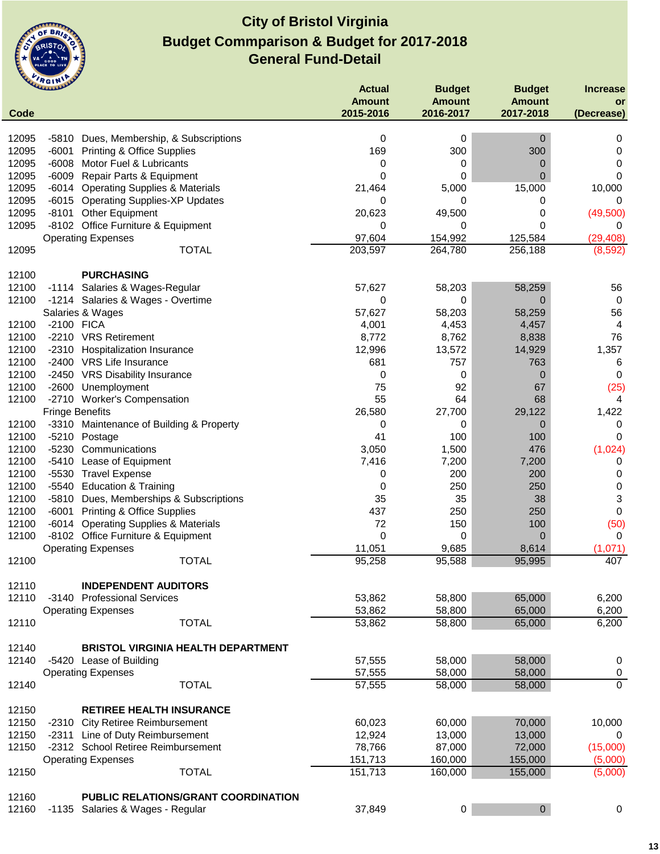

|       | <b>CLARANCE</b>                                  |                                           | <b>Actual</b> | <b>Budget</b>    | <b>Budget</b>  | <b>Increase</b> |
|-------|--------------------------------------------------|-------------------------------------------|---------------|------------------|----------------|-----------------|
|       |                                                  |                                           | <b>Amount</b> | <b>Amount</b>    | <b>Amount</b>  | or              |
| Code  |                                                  |                                           | 2015-2016     | 2016-2017        | 2017-2018      | (Decrease)      |
|       |                                                  |                                           |               |                  |                |                 |
| 12095 | $-5810$<br>Dues, Membership, & Subscriptions     |                                           | 0             | 0                | 0              | 0               |
| 12095 | $-6001$<br><b>Printing &amp; Office Supplies</b> |                                           | 169           | 300              | 300            | 0               |
| 12095 | $-6008$<br>Motor Fuel & Lubricants               |                                           | 0             | 0                | 0              | 0               |
| 12095 | $-6009$<br>Repair Parts & Equipment              |                                           | 0             | 0                | 0              | 0               |
| 12095 | -6014 Operating Supplies & Materials             |                                           | 21,464        | 5,000            | 15,000         | 10,000          |
| 12095 | -6015 Operating Supplies-XP Updates              |                                           | 0             | 0                | 0              | 0               |
| 12095 | -8101 Other Equipment                            |                                           | 20,623        | 49,500           | 0              | (49, 500)       |
| 12095 | -8102 Office Furniture & Equipment               |                                           | 0             | 0                | 0              | 0               |
|       | <b>Operating Expenses</b>                        |                                           | 97,604        | 154,992          | 125,584        | (29, 408)       |
| 12095 |                                                  | <b>TOTAL</b>                              | 203,597       | 264,780          | 256,188        | (8,592)         |
|       |                                                  |                                           |               |                  |                |                 |
| 12100 | <b>PURCHASING</b>                                |                                           |               |                  |                |                 |
| 12100 | -1114 Salaries & Wages-Regular                   |                                           | 57,627        | 58,203           | 58,259         | 56              |
| 12100 | -1214 Salaries & Wages - Overtime                |                                           | 0             | 0                | $\overline{0}$ | 0               |
|       | Salaries & Wages                                 |                                           | 57,627        | 58,203           | 58,259         | 56              |
| 12100 | -2100 FICA                                       |                                           | 4,001         | 4,453            | 4,457          | 4               |
| 12100 | -2210 VRS Retirement                             |                                           | 8,772         | 8,762            | 8,838          | 76              |
| 12100 | -2310 Hospitalization Insurance                  |                                           | 12,996        | 13,572           | 14,929         | 1,357           |
| 12100 | -2400 VRS Life Insurance                         |                                           | 681           | 757              | 763            | 6               |
| 12100 | -2450 VRS Disability Insurance                   |                                           | 0             | 0                | 0              | 0               |
| 12100 | $-2600$<br>Unemployment                          |                                           | 75            | 92               | 67             | (25)            |
| 12100 | -2710 Worker's Compensation                      |                                           | 55            | 64               | 68             | 4               |
|       | <b>Fringe Benefits</b>                           |                                           | 26,580        | 27,700           | 29,122         | 1,422           |
| 12100 | -3310 Maintenance of Building & Property         |                                           | 0             | 0                | $\overline{0}$ | 0               |
| 12100 | -5210 Postage                                    |                                           | 41            | 100              | 100            | 0               |
| 12100 | $-5230$<br>Communications                        |                                           | 3,050         | 1,500            | 476            | (1,024)         |
| 12100 | $-5410$<br>Lease of Equipment                    |                                           | 7,416         | 7,200            | 7,200          | 0               |
| 12100 | $-5530$<br><b>Travel Expense</b>                 |                                           | 0             | 200              | 200            | 0               |
| 12100 | <b>Education &amp; Training</b><br>-5540         |                                           | 0             | 250              | 250            | 0               |
| 12100 | -5810 Dues, Memberships & Subscriptions          |                                           | 35            | 35               | 38             | 3               |
| 12100 | $-6001$<br><b>Printing &amp; Office Supplies</b> |                                           | 437           | 250              | 250            | 0               |
| 12100 | -6014 Operating Supplies & Materials             |                                           | 72            | 150              | 100            | (50)            |
| 12100 | -8102 Office Furniture & Equipment               |                                           | 0             | 0                | 0              | $\mathbf 0$     |
|       | <b>Operating Expenses</b>                        |                                           | 11,051        | 9,685            | 8,614          | (1,071)         |
| 12100 |                                                  | <b>TOTAL</b>                              | 95,258        | 95,588           | 95,995         | 407             |
|       |                                                  |                                           |               |                  |                |                 |
| 12110 | <b>INDEPENDENT AUDITORS</b>                      |                                           |               |                  |                |                 |
| 12110 | -3140 Professional Services                      |                                           | 53,862        | 58,800           | 65,000         | 6,200           |
|       | <b>Operating Expenses</b>                        |                                           | 53,862        | 58,800           | 65,000         | 6,200           |
| 12110 |                                                  | <b>TOTAL</b>                              | 53,862        | 58,800           | 65,000         | 6,200           |
|       |                                                  |                                           |               |                  |                |                 |
| 12140 |                                                  | <b>BRISTOL VIRGINIA HEALTH DEPARTMENT</b> |               |                  |                |                 |
| 12140 | -5420 Lease of Building                          |                                           | 57,555        | 58,000           | 58,000         | 0               |
|       | <b>Operating Expenses</b>                        |                                           | 57,555        | 58,000           | 58,000         | 0               |
| 12140 |                                                  | <b>TOTAL</b>                              | 57,555        | 58,000           | 58,000         | $\overline{0}$  |
|       |                                                  |                                           |               |                  |                |                 |
| 12150 | <b>RETIREE HEALTH INSURANCE</b>                  |                                           |               |                  |                |                 |
| 12150 | -2310 City Retiree Reimbursement                 |                                           | 60,023        | 60,000           | 70,000         | 10,000          |
| 12150 | -2311 Line of Duty Reimbursement                 |                                           | 12,924        | 13,000           | 13,000         | 0               |
| 12150 | -2312 School Retiree Reimbursement               |                                           | 78,766        | 87,000           | 72,000         | (15,000)        |
|       | <b>Operating Expenses</b>                        |                                           | 151,713       | 160,000          | 155,000        | (5,000)         |
| 12150 |                                                  | <b>TOTAL</b>                              | 151,713       | 160,000          | 155,000        | (5,000)         |
|       |                                                  |                                           |               |                  |                |                 |
| 12160 |                                                  | PUBLIC RELATIONS/GRANT COORDINATION       |               |                  |                |                 |
| 12160 | -1135 Salaries & Wages - Regular                 |                                           | 37,849        | $\boldsymbol{0}$ | $\mathbf 0$    | $\mathbf 0$     |
|       |                                                  |                                           |               |                  |                |                 |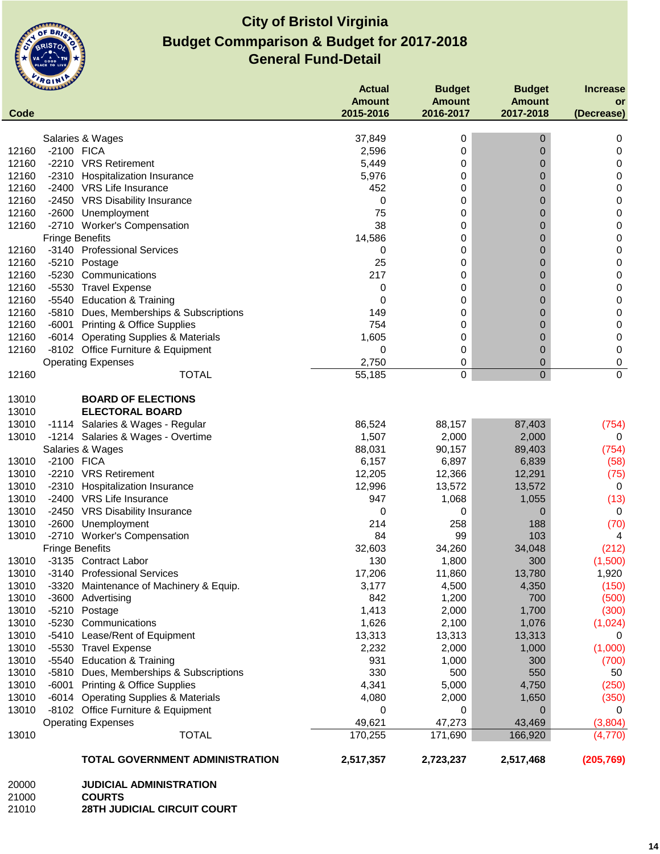

|       | <b>CLAMAN AND</b>      |                                         | <b>Actual</b>              | <b>Budget</b>              | <b>Budget</b>              | <b>Increase</b> |
|-------|------------------------|-----------------------------------------|----------------------------|----------------------------|----------------------------|-----------------|
| Code  |                        |                                         | <b>Amount</b><br>2015-2016 | <b>Amount</b><br>2016-2017 | <b>Amount</b><br>2017-2018 | <b>or</b>       |
|       |                        |                                         |                            |                            |                            | (Decrease)      |
|       |                        | Salaries & Wages                        | 37,849                     | 0                          | 0                          | 0               |
| 12160 | -2100 FICA             |                                         | 2,596                      | 0                          | 0                          | 0               |
| 12160 |                        | -2210 VRS Retirement                    | 5,449                      | 0                          | 0                          | 0               |
| 12160 | $-2310$                | <b>Hospitalization Insurance</b>        | 5,976                      | 0                          | 0                          | 0               |
| 12160 |                        | -2400 VRS Life Insurance                | 452                        | 0                          | 0                          | 0               |
| 12160 |                        | -2450 VRS Disability Insurance          | 0                          | 0                          | 0                          | 0               |
| 12160 |                        | -2600 Unemployment                      | 75                         | 0                          | 0                          | 0               |
| 12160 |                        | -2710 Worker's Compensation             | 38                         | 0                          | 0                          | 0               |
|       | <b>Fringe Benefits</b> |                                         | 14,586                     | 0                          | 0                          | 0               |
| 12160 |                        | -3140 Professional Services             | 0                          | 0                          | 0                          | 0               |
| 12160 |                        | -5210 Postage                           | 25                         | 0                          | 0                          | 0               |
| 12160 |                        | -5230 Communications                    | 217                        | 0                          | 0                          | 0               |
| 12160 |                        | -5530 Travel Expense                    | 0                          | 0                          | 0                          | 0               |
| 12160 |                        | -5540 Education & Training              | 0                          | 0                          | 0                          | 0               |
| 12160 |                        | -5810 Dues, Memberships & Subscriptions | 149                        | 0                          | 0                          | 0               |
| 12160 |                        | -6001 Printing & Office Supplies        | 754                        | 0                          | 0                          | 0               |
| 12160 |                        | -6014 Operating Supplies & Materials    | 1,605                      | 0                          | 0                          | 0               |
| 12160 |                        | -8102 Office Furniture & Equipment      | 0                          | 0                          | 0                          | 0               |
|       |                        | <b>Operating Expenses</b>               | 2,750                      | 0                          | $\mathbf 0$                | 0               |
| 12160 |                        | <b>TOTAL</b>                            | 55,185                     | 0                          | $\pmb{0}$                  | 0               |
| 13010 |                        | <b>BOARD OF ELECTIONS</b>               |                            |                            |                            |                 |
| 13010 |                        | <b>ELECTORAL BOARD</b>                  |                            |                            |                            |                 |
| 13010 |                        | -1114 Salaries & Wages - Regular        | 86,524                     | 88,157                     | 87,403                     | (754)           |
| 13010 |                        | -1214 Salaries & Wages - Overtime       | 1,507                      | 2,000                      | 2,000                      | 0               |
|       |                        | Salaries & Wages                        | 88,031                     | 90,157                     | 89,403                     | (754)           |
| 13010 | -2100 FICA             |                                         | 6,157                      | 6,897                      | 6,839                      | (58)            |
| 13010 |                        | -2210 VRS Retirement                    | 12,205                     | 12,366                     | 12,291                     | (75)            |
| 13010 | $-2310$                | <b>Hospitalization Insurance</b>        | 12,996                     | 13,572                     | 13,572                     | 0               |
| 13010 |                        | -2400 VRS Life Insurance                | 947                        | 1,068                      | 1,055                      | (13)            |
| 13010 |                        | -2450 VRS Disability Insurance          | 0                          | 0                          | 0                          | 0               |
| 13010 |                        | -2600 Unemployment                      | 214                        | 258                        | 188                        | (70)            |
| 13010 |                        | -2710 Worker's Compensation             | 84                         | 99                         | 103                        | 4               |
|       | <b>Fringe Benefits</b> |                                         | 32,603                     | 34,260                     | 34,048                     | (212)           |
| 13010 |                        | -3135 Contract Labor                    | 130                        | 1,800                      | 300                        | (1,500)         |
| 13010 |                        | -3140 Professional Services             | 17,206                     | 11,860                     | 13,780                     | 1,920           |
| 13010 | $-3320$                | Maintenance of Machinery & Equip.       | 3,177                      | 4,500                      | 4,350                      | (150)           |
| 13010 |                        | -3600 Advertising                       | 842                        | 1,200                      | 700                        | (500)           |
| 13010 |                        | -5210 Postage                           | 1,413                      | 2,000                      | 1,700                      | (300)           |
| 13010 | $-5230$                | Communications                          | 1,626                      | 2,100                      | 1,076                      | (1,024)         |
| 13010 | $-5410$                | Lease/Rent of Equipment                 | 13,313                     | 13,313                     | 13,313                     | 0               |
| 13010 | $-5530$                | <b>Travel Expense</b>                   | 2,232                      | 2,000                      | 1,000                      | (1,000)         |
| 13010 |                        | -5540 Education & Training              | 931                        | 1,000                      | 300                        | (700)           |
| 13010 |                        | -5810 Dues, Memberships & Subscriptions | 330                        | 500                        | 550                        | 50              |
| 13010 |                        | -6001 Printing & Office Supplies        | 4,341                      | 5,000                      | 4,750                      | (250)           |
| 13010 |                        | -6014 Operating Supplies & Materials    | 4,080                      | 2,000                      | 1,650                      | (350)           |
| 13010 |                        | -8102 Office Furniture & Equipment      | 0                          | 0                          | 0                          | 0               |
|       |                        | <b>Operating Expenses</b>               | 49,621                     | 47,273                     | 43,469                     | (3,804)         |
| 13010 |                        | <b>TOTAL</b>                            | 170,255                    | 171,690                    | 166,920                    | (4,770)         |
|       |                        | TOTAL GOVERNMENT ADMINISTRATION         | 2,517,357                  | 2,723,237                  | 2,517,468                  | (205, 769)      |
| 20000 |                        | <b>JUDICIAL ADMINISTRATION</b>          |                            |                            |                            |                 |
| 21000 |                        | <b>COURTS</b>                           |                            |                            |                            |                 |

**28TH JUDICIAL CIRCUIT COURT**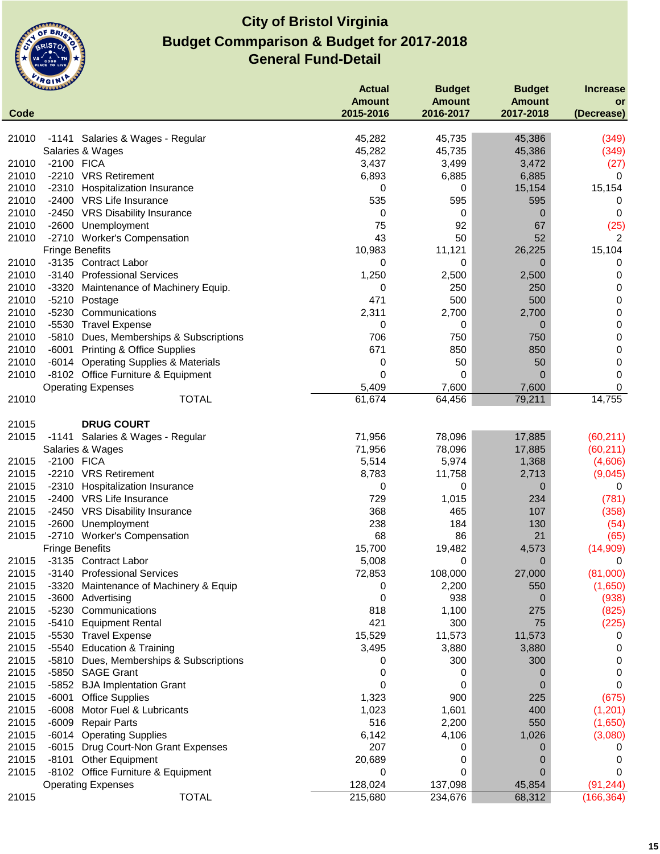

|       | <b>UMMAN</b>                                                | <b>Actual</b>    | <b>Budget</b>    | <b>Budget</b>           | <b>Increase</b>        |
|-------|-------------------------------------------------------------|------------------|------------------|-------------------------|------------------------|
|       |                                                             | <b>Amount</b>    | <b>Amount</b>    | <b>Amount</b>           | or                     |
| Code  |                                                             | 2015-2016        | 2016-2017        | 2017-2018               | (Decrease)             |
|       |                                                             |                  |                  |                         |                        |
| 21010 | -1141 Salaries & Wages - Regular                            | 45,282<br>45,282 | 45,735<br>45,735 | 45,386                  | (349)                  |
| 21010 | Salaries & Wages<br>-2100 FICA                              | 3,437            | 3,499            | 45,386                  | (349)                  |
| 21010 | -2210 VRS Retirement                                        |                  | 6,885            | 3,472                   | (27)<br>0              |
| 21010 |                                                             | 6,893            |                  | 6,885                   |                        |
| 21010 | -2310 Hospitalization Insurance<br>-2400 VRS Life Insurance | 0<br>535         | 0<br>595         | 15,154<br>595           | 15,154<br>0            |
| 21010 | -2450 VRS Disability Insurance                              | 0                | 0                | $\overline{0}$          | 0                      |
| 21010 | -2600 Unemployment                                          | 75               | 92               | 67                      | (25)                   |
| 21010 | -2710 Worker's Compensation                                 | 43               | 50               | 52                      |                        |
|       | <b>Fringe Benefits</b>                                      | 10,983           | 11,121           | 26,225                  | 2<br>15,104            |
| 21010 | -3135 Contract Labor                                        | 0                | 0                | 0                       | 0                      |
| 21010 | -3140 Professional Services                                 | 1,250            | 2,500            | 2,500                   | 0                      |
| 21010 |                                                             | 0                | 250              | 250                     | 0                      |
| 21010 | -3320<br>Maintenance of Machinery Equip.<br>-5210 Postage   | 471              | 500              | 500                     | 0                      |
| 21010 | $-5230$<br>Communications                                   |                  | 2,700            |                         |                        |
| 21010 | -5530 Travel Expense                                        | 2,311<br>0       | 0                | 2,700<br>$\overline{0}$ | 0<br>$\pmb{0}$         |
| 21010 |                                                             | 706              | 750              | 750                     | $\pmb{0}$              |
| 21010 | -5810 Dues, Memberships & Subscriptions                     | 671              | 850              | 850                     |                        |
| 21010 | -6001 Printing & Office Supplies                            |                  | 50               | 50                      | $\pmb{0}$<br>$\pmb{0}$ |
| 21010 | -6014 Operating Supplies & Materials                        | 0<br>0           | 0                | $\Omega$                | 0                      |
|       | -8102 Office Furniture & Equipment                          |                  | 7,600            |                         | 0                      |
| 21010 | <b>Operating Expenses</b><br><b>TOTAL</b>                   | 5,409<br>61,674  | 64,456           | 7,600<br>79,211         | 14,755                 |
|       |                                                             |                  |                  |                         |                        |
| 21015 | <b>DRUG COURT</b>                                           |                  |                  |                         |                        |
| 21015 | -1141 Salaries & Wages - Regular                            | 71,956           | 78,096           | 17,885                  | (60, 211)              |
|       | Salaries & Wages                                            | 71,956           | 78,096           | 17,885                  | (60, 211)              |
| 21015 | -2100 FICA                                                  | 5,514            | 5,974            | 1,368                   | (4,606)                |
| 21015 | -2210 VRS Retirement                                        | 8,783            | 11,758           | 2,713                   | (9,045)                |
| 21015 | -2310<br>Hospitalization Insurance                          | 0                | 0                | 0                       | 0                      |
| 21015 | -2400 VRS Life Insurance                                    | 729              | 1,015            | 234                     | (781)                  |
| 21015 | -2450 VRS Disability Insurance                              | 368              | 465              | 107                     | (358)                  |
| 21015 | -2600 Unemployment                                          | 238              | 184              | 130                     | (54)                   |
| 21015 | -2710 Worker's Compensation                                 | 68               | 86               | 21                      | (65)                   |
|       | <b>Fringe Benefits</b>                                      | 15,700           | 19,482           | 4,573                   | (14,909)               |
| 21015 | -3135 Contract Labor                                        | 5,008            | 0                | 0                       | 0                      |
| 21015 | -3140 Professional Services                                 | 72,853           | 108,000          | 27,000                  | (81,000)               |
| 21015 | $-3320$<br>Maintenance of Machinery & Equip                 | 0                | 2,200            | 550                     | (1,650)                |
| 21015 | -3600 Advertising                                           | 0                | 938              | 0                       | (938)                  |
| 21015 | -5230<br>Communications                                     | 818              | 1,100            | 275                     | (825)                  |
| 21015 | -5410 Equipment Rental                                      | 421              | 300              | 75                      | (225)                  |
| 21015 | -5530 Travel Expense                                        | 15,529           | 11,573           | 11,573                  | 0                      |
| 21015 | -5540 Education & Training                                  | 3,495            | 3,880            | 3,880                   | 0                      |
| 21015 | -5810<br>Dues, Memberships & Subscriptions                  | 0                | 300              | 300                     | 0                      |
| 21015 | -5850 SAGE Grant                                            | 0                | 0                | 0                       | 0                      |
| 21015 | -5852 BJA Implentation Grant                                | 0                | 0                | 0                       | 0                      |
| 21015 | $-6001$<br><b>Office Supplies</b>                           | 1,323            | 900              | 225                     | (675)                  |
| 21015 | $-6008$<br>Motor Fuel & Lubricants                          | 1,023            | 1,601            | 400                     | (1,201)                |
| 21015 | -6009 Repair Parts                                          | 516              | 2,200            | 550                     | (1,650)                |
| 21015 | -6014 Operating Supplies                                    | 6,142            | 4,106            | 1,026                   | (3,080)                |
| 21015 | -6015 Drug Court-Non Grant Expenses                         | 207              | 0                | 0                       | 0                      |
| 21015 | -8101 Other Equipment                                       | 20,689           | 0                | 0                       | 0                      |
| 21015 | -8102 Office Furniture & Equipment                          | 0                | 0                | 0                       | $\Omega$               |
|       | <b>Operating Expenses</b>                                   | 128,024          | 137,098          | 45,854                  | (91, 244)              |
| 21015 | <b>TOTAL</b>                                                | 215,680          | 234,676          | 68,312                  | (166, 364)             |
|       |                                                             |                  |                  |                         |                        |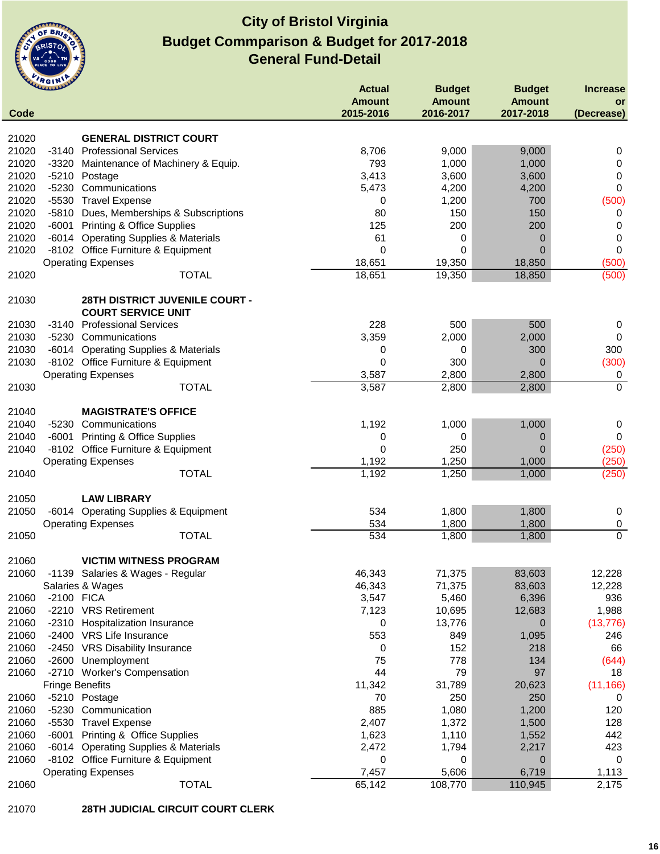

| Code  | <b>CLARANDE</b>                                             | <b>Actual</b><br><b>Amount</b><br>2015-2016 | <b>Budget</b><br><b>Amount</b><br>2016-2017 | <b>Budget</b><br><b>Amount</b><br>2017-2018 | <b>Increase</b><br><b>or</b><br>(Decrease) |
|-------|-------------------------------------------------------------|---------------------------------------------|---------------------------------------------|---------------------------------------------|--------------------------------------------|
|       |                                                             |                                             |                                             |                                             |                                            |
| 21020 | <b>GENERAL DISTRICT COURT</b>                               |                                             |                                             |                                             |                                            |
| 21020 | -3140 Professional Services                                 | 8,706                                       | 9,000                                       | 9,000                                       | 0                                          |
| 21020 | -3320 Maintenance of Machinery & Equip.                     | 793                                         | 1,000                                       | 1,000                                       | 0                                          |
| 21020 | $-5210$<br>Postage                                          | 3,413                                       | 3,600                                       | 3,600                                       | 0                                          |
| 21020 | Communications<br>$-5230$                                   | 5,473                                       | 4,200                                       | 4,200                                       | 0                                          |
| 21020 | $-5530$<br><b>Travel Expense</b>                            | 0                                           | 1,200                                       | 700                                         | (500)                                      |
| 21020 | -5810 Dues, Memberships & Subscriptions                     | 80                                          | 150                                         | 150                                         | 0                                          |
| 21020 | <b>Printing &amp; Office Supplies</b><br>$-6001$            | 125                                         | 200                                         | 200                                         | 0                                          |
| 21020 | -6014 Operating Supplies & Materials                        | 61                                          | 0                                           | 0                                           | 0                                          |
| 21020 | -8102 Office Furniture & Equipment                          | $\mathbf 0$                                 | 0                                           | $\Omega$                                    | 0                                          |
|       | <b>Operating Expenses</b>                                   | 18,651                                      | 19,350                                      | 18,850                                      | (500)                                      |
| 21020 | <b>TOTAL</b>                                                | 18,651                                      | 19,350                                      | 18,850                                      | (500)                                      |
| 21030 | 28TH DISTRICT JUVENILE COURT -<br><b>COURT SERVICE UNIT</b> |                                             |                                             |                                             |                                            |
| 21030 | <b>Professional Services</b><br>-3140                       | 228                                         | 500                                         | 500                                         | 0                                          |
| 21030 | -5230 Communications                                        | 3,359                                       | 2,000                                       | 2,000                                       | 0                                          |
| 21030 | -6014 Operating Supplies & Materials                        | 0                                           | 0                                           | 300                                         | 300                                        |
| 21030 | -8102 Office Furniture & Equipment                          | $\mathbf 0$                                 | 300                                         | $\Omega$                                    | (300)                                      |
|       | <b>Operating Expenses</b>                                   | 3,587                                       | 2,800                                       | 2,800                                       | 0                                          |
| 21030 | <b>TOTAL</b>                                                | 3,587                                       | 2,800                                       | 2,800                                       | $\mathbf 0$                                |
| 21040 | <b>MAGISTRATE'S OFFICE</b>                                  |                                             |                                             |                                             |                                            |
| 21040 | -5230 Communications                                        | 1,192                                       | 1,000                                       | 1,000                                       | 0                                          |
| 21040 | -6001 Printing & Office Supplies                            | 0                                           | 0                                           | 0                                           | 0                                          |
| 21040 | -8102 Office Furniture & Equipment                          | $\mathbf 0$                                 | 250                                         | 0                                           | (250)                                      |
|       | <b>Operating Expenses</b>                                   | 1,192                                       | 1,250                                       | 1,000                                       | (250)                                      |
| 21040 | <b>TOTAL</b>                                                | 1,192                                       | 1,250                                       | 1,000                                       | (250)                                      |
| 21050 | <b>LAW LIBRARY</b>                                          |                                             |                                             |                                             |                                            |
| 21050 | -6014 Operating Supplies & Equipment                        | 534                                         | 1,800                                       | 1,800                                       | $\mathbf 0$                                |
|       | <b>Operating Expenses</b>                                   | 534                                         | 1,800                                       | 1,800                                       | $\pmb{0}$                                  |
| 21050 | <b>TOTAL</b>                                                | 534                                         | 1,800                                       | 1,800                                       | $\overline{0}$                             |
| 21060 | <b>VICTIM WITNESS PROGRAM</b>                               |                                             |                                             |                                             |                                            |
| 21060 | -1139 Salaries & Wages - Regular                            | 46,343                                      | 71,375                                      | 83,603                                      | 12,228                                     |
|       | Salaries & Wages                                            | 46,343                                      | 71,375                                      | 83,603                                      | 12,228                                     |
| 21060 | -2100 FICA                                                  | 3,547                                       | 5,460                                       | 6,396                                       | 936                                        |
| 21060 | -2210 VRS Retirement                                        | 7,123                                       | 10,695                                      | 12,683                                      | 1,988                                      |
| 21060 | -2310 Hospitalization Insurance                             | 0                                           | 13,776                                      | 0                                           | (13, 776)                                  |
| 21060 | -2400 VRS Life Insurance                                    | 553                                         | 849                                         | 1,095                                       | 246                                        |
| 21060 | <b>VRS Disability Insurance</b><br>-2450                    | 0                                           | 152                                         | 218                                         | 66                                         |
| 21060 | $-2600$<br>Unemployment                                     | 75                                          | 778                                         | 134                                         | (644)                                      |
| 21060 | -2710 Worker's Compensation                                 | 44                                          | 79                                          | 97                                          | 18                                         |
|       | <b>Fringe Benefits</b>                                      | 11,342                                      | 31,789                                      | 20,623                                      | (11, 166)                                  |
| 21060 | -5210 Postage                                               | 70                                          | 250                                         | 250                                         | 0                                          |
| 21060 | $-5230$<br>Communication                                    | 885                                         | 1,080                                       | 1,200                                       | 120                                        |
| 21060 | $-5530$<br><b>Travel Expense</b>                            | 2,407                                       | 1,372                                       | 1,500                                       | 128                                        |
| 21060 | $-6001$<br>Printing & Office Supplies                       | 1,623                                       | 1,110                                       | 1,552                                       | 442                                        |
| 21060 | <b>Operating Supplies &amp; Materials</b><br>-6014          | 2,472                                       | 1,794                                       | 2,217                                       | 423                                        |
| 21060 | -8102 Office Furniture & Equipment                          | 0                                           | 0                                           | 0                                           | 0                                          |
|       | <b>Operating Expenses</b>                                   | 7,457                                       | 5,606                                       | 6,719                                       | 1,113                                      |
| 21060 | <b>TOTAL</b>                                                | 65,142                                      | 108,770                                     | 110,945                                     | 2,175                                      |
|       |                                                             |                                             |                                             |                                             |                                            |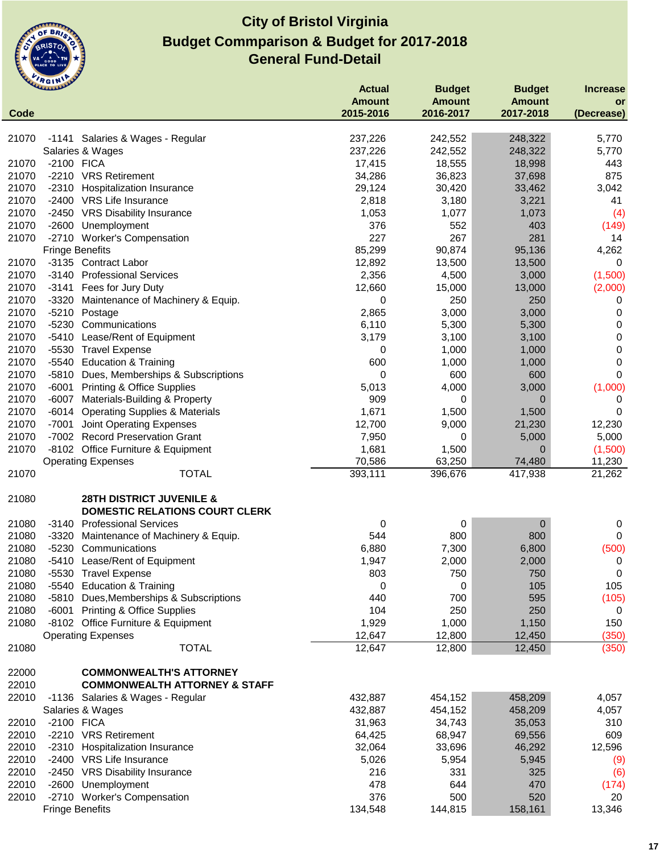

|       | <b>UMMANY</b>          |                                                     | <b>Actual</b>     | <b>Budget</b> | <b>Budget</b>    | <b>Increase</b> |
|-------|------------------------|-----------------------------------------------------|-------------------|---------------|------------------|-----------------|
|       |                        |                                                     | <b>Amount</b>     | <b>Amount</b> | <b>Amount</b>    | or              |
| Code  |                        |                                                     | 2015-2016         | 2016-2017     | 2017-2018        | (Decrease)      |
|       |                        |                                                     |                   |               |                  |                 |
| 21070 |                        | -1141 Salaries & Wages - Regular                    | 237,226           | 242,552       | 248,322          | 5,770           |
|       | Salaries & Wages       |                                                     | 237,226           | 242,552       | 248,322          | 5,770           |
| 21070 | -2100 FICA             |                                                     | 17,415            | 18,555        | 18,998           | 443             |
| 21070 |                        | -2210 VRS Retirement                                | 34,286            | 36,823        | 37,698           | 875             |
| 21070 |                        | -2310 Hospitalization Insurance                     | 29,124            | 30,420        | 33,462           | 3,042           |
| 21070 |                        | -2400 VRS Life Insurance                            | 2,818             | 3,180         | 3,221            | 41              |
| 21070 |                        | -2450 VRS Disability Insurance                      | 1,053             | 1,077         | 1,073            | (4)             |
| 21070 |                        | -2600 Unemployment                                  | 376               | 552           | 403              | (149)           |
| 21070 |                        | -2710 Worker's Compensation                         | 227               | 267           | 281              | 14              |
|       | <b>Fringe Benefits</b> |                                                     | 85,299            | 90,874        | 95,136           | 4,262           |
| 21070 |                        | -3135 Contract Labor                                | 12,892            | 13,500        | 13,500           | 0               |
| 21070 |                        | -3140 Professional Services                         | 2,356             | 4,500         | 3,000            | (1,500)         |
| 21070 | -3141                  | Fees for Jury Duty                                  | 12,660            | 15,000        | 13,000           | (2,000)         |
| 21070 | -3320                  | Maintenance of Machinery & Equip.                   | 0                 | 250           | 250              | 0               |
| 21070 | -5210 Postage          |                                                     | 2,865             | 3,000         | 3,000            | 0               |
| 21070 | -5230                  | Communications                                      | 6,110             | 5,300         | 5,300            | 0               |
| 21070 | -5410                  | Lease/Rent of Equipment                             | 3,179             | 3,100         | 3,100            | 0               |
| 21070 | $-5530$                | <b>Travel Expense</b>                               | 0                 | 1,000         | 1,000            | 0               |
| 21070 |                        | -5540 Education & Training                          | 600               | 1,000         | 1,000            | 0               |
| 21070 |                        | -5810 Dues, Memberships & Subscriptions             | 0                 | 600           | 600              | $\mathbf 0$     |
| 21070 | -6001                  | <b>Printing &amp; Office Supplies</b>               | 5,013             | 4,000         | 3,000            | (1,000)         |
| 21070 |                        | -6007 Materials-Building & Property                 | 909               | 0             | $\mathbf 0$      | 0               |
| 21070 |                        | -6014 Operating Supplies & Materials                | 1,671             | 1,500         | 1,500            | 0               |
| 21070 | $-7001$                | <b>Joint Operating Expenses</b>                     | 12,700            | 9,000         | 21,230           | 12,230          |
| 21070 |                        | -7002 Record Preservation Grant                     | 7,950             | 0             | 5,000            | 5,000           |
| 21070 |                        | -8102 Office Furniture & Equipment                  | 1,681             | 1,500         | $\overline{0}$   | (1,500)         |
|       |                        |                                                     |                   | 63,250        | 74,480           |                 |
| 21070 |                        | <b>Operating Expenses</b><br><b>TOTAL</b>           | 70,586<br>393,111 | 396,676       | 417,938          | 11,230          |
|       |                        |                                                     |                   |               |                  | 21,262          |
| 21080 |                        | <b>28TH DISTRICT JUVENILE &amp;</b>                 |                   |               |                  |                 |
|       |                        | DOMESTIC RELATIONS COURT CLERK                      |                   |               |                  |                 |
| 21080 |                        | -3140 Professional Services                         | 0                 | 0             | $\boldsymbol{0}$ | 0               |
| 21080 | -3320                  |                                                     | 544               | 800           | 800              | 0               |
| 21080 |                        | Maintenance of Machinery & Equip.<br>Communications | 6,880             |               |                  |                 |
|       | -5230                  |                                                     |                   | 7,300         | 6,800            | (500)           |
| 21080 | $-5410$                | Lease/Rent of Equipment                             | 1,947             | 2,000         | 2,000            | 0               |
| 21080 |                        | -5530 Travel Expense                                | 803               | 750           | 750              | 0               |
| 21080 |                        | -5540 Education & Training                          | 0                 | 0             | 105              | 105             |
| 21080 |                        | -5810 Dues, Memberships & Subscriptions             | 440               | 700           | 595              | (105)           |
| 21080 |                        | -6001 Printing & Office Supplies                    | 104               | 250           | 250              | 0               |
| 21080 |                        | -8102 Office Furniture & Equipment                  | 1,929             | 1,000         | 1,150            | 150             |
|       |                        | <b>Operating Expenses</b>                           | 12,647            | 12,800        | 12,450           | (350)           |
| 21080 |                        | <b>TOTAL</b>                                        | 12,647            | 12,800        | 12,450           | (350)           |
|       |                        |                                                     |                   |               |                  |                 |
| 22000 |                        | <b>COMMONWEALTH'S ATTORNEY</b>                      |                   |               |                  |                 |
| 22010 |                        | <b>COMMONWEALTH ATTORNEY &amp; STAFF</b>            |                   |               |                  |                 |
| 22010 |                        | -1136 Salaries & Wages - Regular                    | 432,887           | 454,152       | 458,209          | 4,057           |
|       | Salaries & Wages       |                                                     | 432,887           | 454,152       | 458,209          | 4,057           |
| 22010 | -2100 FICA             |                                                     | 31,963            | 34,743        | 35,053           | 310             |
| 22010 |                        | -2210 VRS Retirement                                | 64,425            | 68,947        | 69,556           | 609             |
| 22010 |                        | -2310 Hospitalization Insurance                     | 32,064            | 33,696        | 46,292           | 12,596          |
| 22010 |                        | -2400 VRS Life Insurance                            | 5,026             | 5,954         | 5,945            | (9)             |
| 22010 |                        | -2450 VRS Disability Insurance                      | 216               | 331           | 325              | (6)             |
| 22010 | -2600                  | Unemployment                                        | 478               | 644           | 470              | (174)           |
| 22010 |                        | -2710 Worker's Compensation                         | 376               | 500           | 520              | 20              |
|       | <b>Fringe Benefits</b> |                                                     | 134,548           | 144,815       | 158,161          | 13,346          |
|       |                        |                                                     |                   |               |                  |                 |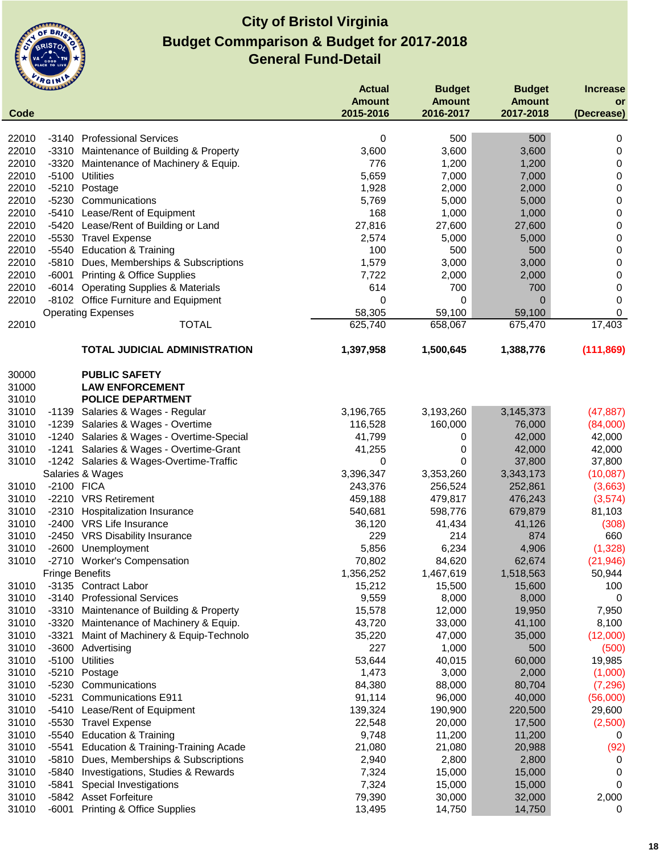

|                | umm                    |                                                                         | <b>Actual</b>    | <b>Budget</b>    | <b>Budget</b>    | <b>Increase</b> |
|----------------|------------------------|-------------------------------------------------------------------------|------------------|------------------|------------------|-----------------|
|                |                        |                                                                         | <b>Amount</b>    | <b>Amount</b>    | <b>Amount</b>    | or              |
| Code           |                        |                                                                         | 2015-2016        | 2016-2017        | 2017-2018        | (Decrease)      |
| 22010          | -3140                  | <b>Professional Services</b>                                            | 0                | 500              | 500              | 0               |
| 22010          |                        | -3310 Maintenance of Building & Property                                | 3,600            | 3,600            | 3,600            | 0               |
| 22010          | $-3320$                | Maintenance of Machinery & Equip.                                       | 776              | 1,200            | 1,200            | 0               |
| 22010          | $-5100$                | <b>Utilities</b>                                                        | 5,659            | 7,000            | 7,000            | 0               |
| 22010          | $-5210$                | Postage                                                                 | 1,928            | 2,000            | 2,000            | 0               |
| 22010          | -5230                  | Communications                                                          | 5,769            | 5,000            | 5,000            | 0               |
| 22010          | $-5410$                | Lease/Rent of Equipment                                                 | 168              | 1,000            | 1,000            | 0               |
| 22010          | $-5420$                | Lease/Rent of Building or Land                                          | 27,816           | 27,600           | 27,600           | 0               |
| 22010          | -5530                  | <b>Travel Expense</b>                                                   | 2,574            | 5,000            | 5,000            | 0               |
| 22010          | -5540                  | <b>Education &amp; Training</b>                                         | 100              | 500              | 500              | 0               |
| 22010          |                        | -5810 Dues, Memberships & Subscriptions                                 | 1,579            | 3,000            | 3,000            | 0               |
| 22010          | -6001                  | <b>Printing &amp; Office Supplies</b>                                   | 7,722            | 2,000            | 2,000            | 0               |
| 22010          |                        | -6014 Operating Supplies & Materials                                    | 614              | 700              | 700              | 0               |
| 22010          |                        | -8102 Office Furniture and Equipment                                    | 0                | 0                | $\mathbf 0$      | $\mathbf 0$     |
|                |                        | <b>Operating Expenses</b>                                               | 58,305           | 59,100           | 59,100           | 0               |
| 22010          |                        | <b>TOTAL</b>                                                            | 625,740          | 658,067          | 675,470          | 17,403          |
|                |                        | <b>TOTAL JUDICIAL ADMINISTRATION</b>                                    | 1,397,958        | 1,500,645        | 1,388,776        | (111, 869)      |
|                |                        |                                                                         |                  |                  |                  |                 |
| 30000          |                        | <b>PUBLIC SAFETY</b>                                                    |                  |                  |                  |                 |
| 31000          |                        | <b>LAW ENFORCEMENT</b>                                                  |                  |                  |                  |                 |
| 31010          |                        | <b>POLICE DEPARTMENT</b>                                                |                  |                  |                  |                 |
| 31010          |                        | -1139 Salaries & Wages - Regular                                        | 3,196,765        | 3,193,260        | 3,145,373        | (47, 887)       |
| 31010          |                        | -1239 Salaries & Wages - Overtime                                       | 116,528          | 160,000          | 76,000           | (84,000)        |
| 31010          |                        | -1240 Salaries & Wages - Overtime-Special                               | 41,799           | 0                | 42,000           | 42,000          |
| 31010          | -1241                  | Salaries & Wages - Overtime-Grant                                       | 41,255           | 0                | 42,000           | 42,000          |
| 31010          |                        | -1242 Salaries & Wages-Overtime-Traffic                                 | 0                | 0                | 37,800           | 37,800          |
|                |                        | Salaries & Wages                                                        | 3,396,347        | 3,353,260        | 3,343,173        | (10,087)        |
| 31010          | -2100                  | <b>FICA</b>                                                             | 243,376          | 256,524          | 252,861          | (3,663)         |
| 31010          |                        | -2210 VRS Retirement                                                    | 459,188          | 479,817          | 476,243          | (3,574)         |
| 31010          |                        | -2310 Hospitalization Insurance                                         | 540,681          | 598,776          | 679,879          | 81,103          |
| 31010          |                        | -2400 VRS Life Insurance                                                | 36,120           | 41,434           | 41,126           | (308)           |
| 31010          | $-2450$                | <b>VRS Disability Insurance</b>                                         | 229              | 214              | 874              | 660             |
| 31010          | $-2600$                | Unemployment                                                            | 5,856            | 6,234            | 4,906            | (1, 328)        |
| 31010          | $-2710$                | <b>Worker's Compensation</b>                                            | 70,802           | 84,620           | 62,674           | (21, 946)       |
|                | <b>Fringe Benefits</b> |                                                                         | 1,356,252        | 1,467,619        | 1,518,563        | 50,944          |
| 31010          |                        | -3135 Contract Labor                                                    | 15,212           | 15,500           | 15,600           | 100             |
| 31010<br>31010 |                        | -3140 Professional Services                                             | 9,559            | 8,000            | 8,000            | 0               |
| 31010          | -3310<br>$-3320$       | Maintenance of Building & Property<br>Maintenance of Machinery & Equip. | 15,578<br>43,720 | 12,000<br>33,000 | 19,950<br>41,100 | 7,950<br>8,100  |
| 31010          | $-3321$                | Maint of Machinery & Equip-Technolo                                     | 35,220           | 47,000           | 35,000           | (12,000)        |
| 31010          | $-3600$                | Advertising                                                             | 227              | 1,000            | 500              | (500)           |
| 31010          | $-5100$                | <b>Utilities</b>                                                        | 53,644           | 40,015           | 60,000           | 19,985          |
| 31010          | $-5210$                | Postage                                                                 | 1,473            | 3,000            | 2,000            | (1,000)         |
| 31010          | $-5230$                | Communications                                                          | 84,380           | 88,000           | 80,704           | (7, 296)        |
| 31010          | $-5231$                | <b>Communications E911</b>                                              | 91,114           | 96,000           | 40,000           | (56,000)        |
| 31010          | $-5410$                | Lease/Rent of Equipment                                                 | 139,324          | 190,900          | 220,500          | 29,600          |
| 31010          | -5530                  | <b>Travel Expense</b>                                                   | 22,548           | 20,000           | 17,500           | (2,500)         |
| 31010          | $-5540$                | <b>Education &amp; Training</b>                                         | 9,748            | 11,200           | 11,200           | 0               |
| 31010          | -5541                  | Education & Training-Training Acade                                     | 21,080           | 21,080           | 20,988           | (92)            |
| 31010          | $-5810$                | Dues, Memberships & Subscriptions                                       | 2,940            | 2,800            | 2,800            | 0               |
| 31010          | -5840                  | Investigations, Studies & Rewards                                       | 7,324            | 15,000           | 15,000           | 0               |
| 31010          | $-5841$                | Special Investigations                                                  | 7,324            | 15,000           | 15,000           | 0               |
| 31010          | -5842                  | <b>Asset Forfeiture</b>                                                 | 79,390           | 30,000           | 32,000           | 2,000           |
| 31010          | $-6001$                | <b>Printing &amp; Office Supplies</b>                                   | 13,495           | 14,750           | 14,750           | 0               |
|                |                        |                                                                         |                  |                  |                  |                 |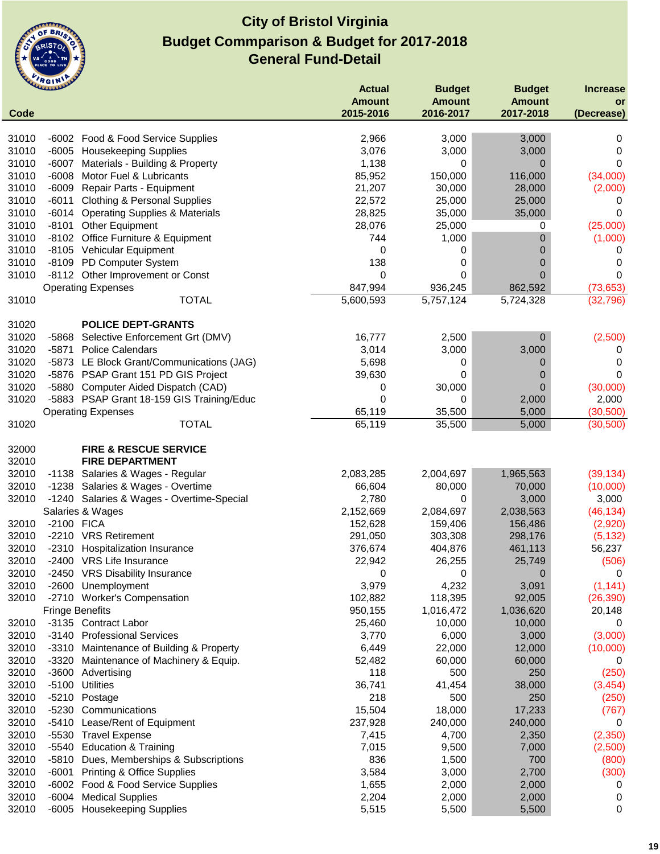

|                | <b>HAAAAAAAAAAA</b>    |                                                        | <b>Actual</b>  | <b>Budget</b>   | <b>Budget</b>   | <b>Increase</b> |
|----------------|------------------------|--------------------------------------------------------|----------------|-----------------|-----------------|-----------------|
|                |                        |                                                        | <b>Amount</b>  | <b>Amount</b>   | <b>Amount</b>   | or              |
| Code           |                        |                                                        | 2015-2016      | 2016-2017       | 2017-2018       | (Decrease)      |
| 31010          |                        | -6002 Food & Food Service Supplies                     | 2,966          | 3,000           | 3,000           | 0               |
| 31010          |                        | -6005 Housekeeping Supplies                            | 3,076          | 3,000           | 3,000           | 0               |
| 31010          | $-6007$                | Materials - Building & Property                        | 1,138          | 0               | $\mathbf 0$     | $\Omega$        |
| 31010          | $-6008$                | Motor Fuel & Lubricants                                | 85,952         | 150,000         | 116,000         | (34,000)        |
| 31010          |                        | -6009 Repair Parts - Equipment                         | 21,207         | 30,000          | 28,000          | (2,000)         |
| 31010          | -6011                  | <b>Clothing &amp; Personal Supplies</b>                | 22,572         | 25,000          | 25,000          | 0               |
| 31010          |                        | -6014 Operating Supplies & Materials                   | 28,825         | 35,000          | 35,000          | 0               |
| 31010          |                        | -8101 Other Equipment                                  | 28,076         | 25,000          | 0               | (25,000)        |
| 31010          |                        | -8102 Office Furniture & Equipment                     | 744            | 1,000           | 0               | (1,000)         |
| 31010          |                        | -8105 Vehicular Equipment                              | 0              | 0               | 0               | 0               |
| 31010          |                        | -8109 PD Computer System                               | 138            | 0               | 0               | 0               |
| 31010          |                        | -8112 Other Improvement or Const                       | 0              | 0               | $\overline{0}$  | 0               |
|                |                        | <b>Operating Expenses</b>                              | 847,994        | 936,245         | 862,592         | (73, 653)       |
| 31010          |                        | <b>TOTAL</b>                                           | 5,600,593      | 5,757,124       | 5,724,328       | (32, 796)       |
|                |                        |                                                        |                |                 |                 |                 |
| 31020          |                        | <b>POLICE DEPT-GRANTS</b>                              |                |                 |                 |                 |
| 31020          |                        | -5868 Selective Enforcement Grt (DMV)                  | 16,777         | 2,500           | $\mathbf 0$     | (2,500)         |
| 31020          | $-5871$                | <b>Police Calendars</b>                                | 3,014          | 3,000           | 3,000           | 0               |
| 31020          |                        | -5873 LE Block Grant/Communications (JAG)              | 5,698          | 0               | 0               | 0               |
| 31020          |                        | -5876 PSAP Grant 151 PD GIS Project                    | 39,630         | 0               | 0               | 0               |
| 31020          |                        | -5880 Computer Aided Dispatch (CAD)                    | 0              | 30,000          | $\mathbf 0$     | (30,000)        |
| 31020          |                        | -5883 PSAP Grant 18-159 GIS Training/Educ              | 0              | 0               | 2,000           | 2,000           |
|                |                        | <b>Operating Expenses</b>                              | 65,119         | 35,500          | 5,000           | (30, 500)       |
| 31020          |                        | <b>TOTAL</b>                                           | 65,119         | 35,500          | 5,000           | (30, 500)       |
|                |                        |                                                        |                |                 |                 |                 |
| 32000          |                        | <b>FIRE &amp; RESCUE SERVICE</b>                       |                |                 |                 |                 |
| 32010          |                        | <b>FIRE DEPARTMENT</b>                                 |                |                 |                 |                 |
| 32010          |                        | -1138 Salaries & Wages - Regular                       | 2,083,285      | 2,004,697       | 1,965,563       | (39, 134)       |
| 32010          |                        | -1238 Salaries & Wages - Overtime                      | 66,604         | 80,000          | 70,000          | (10,000)        |
| 32010          |                        | -1240 Salaries & Wages - Overtime-Special              | 2,780          | 0               | 3,000           | 3,000           |
|                |                        | Salaries & Wages                                       | 2,152,669      | 2,084,697       | 2,038,563       | (46, 134)       |
| 32010          | $-2100$                | <b>FICA</b>                                            | 152,628        | 159,406         | 156,486         | (2,920)         |
| 32010          |                        | -2210 VRS Retirement                                   | 291,050        | 303,308         | 298,176         | (5, 132)        |
| 32010          | -2310                  | Hospitalization Insurance                              | 376,674        | 404,876         | 461,113         | 56,237          |
| 32010          |                        | -2400 VRS Life Insurance                               | 22,942         | 26,255          | 25,749          | (506)           |
| 32010          |                        | -2450 VRS Disability Insurance                         | 0              | 0               | $\mathbf 0$     | 0               |
| 32010          | -2600                  | Unemployment                                           | 3,979          | 4,232           | 3,091           | (1, 141)        |
| 32010          |                        | -2710 Worker's Compensation                            | 102,882        | 118,395         | 92,005          | (26, 390)       |
|                | <b>Fringe Benefits</b> |                                                        | 950,155        | 1,016,472       | 1,036,620       | 20,148          |
| 32010<br>32010 |                        | -3135 Contract Labor<br>-3140 Professional Services    | 25,460         | 10,000<br>6,000 | 10,000<br>3,000 | 0<br>(3,000)    |
| 32010          |                        | -3310 Maintenance of Building & Property               | 3,770<br>6,449 | 22,000          | 12,000          | (10,000)        |
| 32010          | $-3320$                |                                                        | 52,482         | 60,000          | 60,000          |                 |
| 32010          |                        | Maintenance of Machinery & Equip.<br>-3600 Advertising | 118            | 500             | 250             | 0<br>(250)      |
| 32010          | $-5100$                | <b>Utilities</b>                                       | 36,741         | 41,454          | 38,000          | (3, 454)        |
| 32010          | $-5210$                | Postage                                                | 218            | 500             | 250             | (250)           |
| 32010          | $-5230$                | Communications                                         | 15,504         | 18,000          | 17,233          | (767)           |
| 32010          | $-5410$                | Lease/Rent of Equipment                                | 237,928        | 240,000         | 240,000         | 0               |
| 32010          | $-5530$                | <b>Travel Expense</b>                                  | 7,415          | 4,700           | 2,350           | (2,350)         |
| 32010          | $-5540$                | <b>Education &amp; Training</b>                        | 7,015          | 9,500           | 7,000           | (2,500)         |
| 32010          | -5810                  | Dues, Memberships & Subscriptions                      | 836            | 1,500           | 700             | (800)           |
| 32010          | -6001                  | <b>Printing &amp; Office Supplies</b>                  | 3,584          | 3,000           | 2,700           | (300)           |
| 32010          | -6002                  | Food & Food Service Supplies                           | 1,655          | 2,000           | 2,000           | 0               |
| 32010          | $-6004$                | <b>Medical Supplies</b>                                | 2,204          | 2,000           | 2,000           | 0               |
| 32010          | $-6005$                | <b>Housekeeping Supplies</b>                           | 5,515          | 5,500           | 5,500           | 0               |
|                |                        |                                                        |                |                 |                 |                 |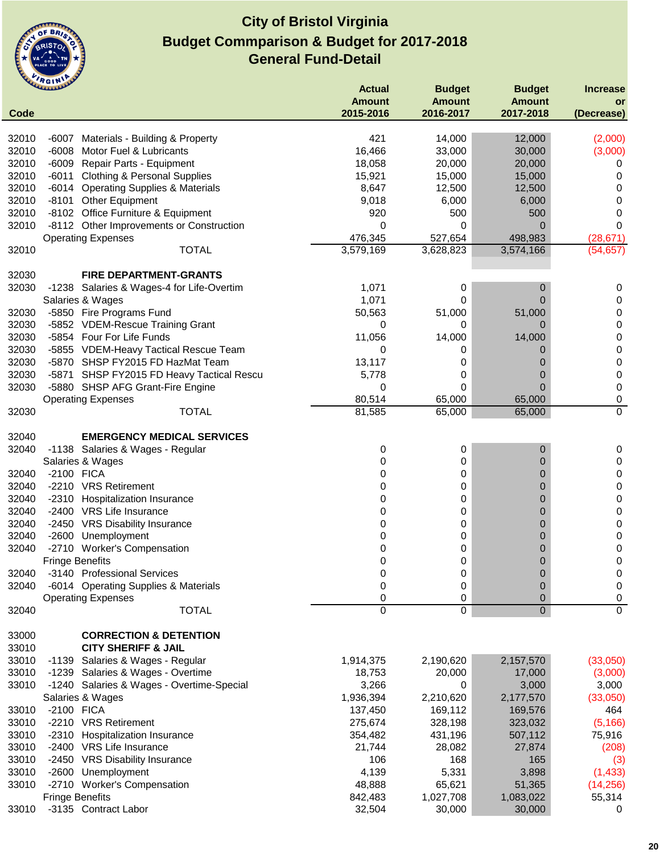

|       | <b><i><u>ALLILLED</u></i></b> |                                           | <b>Actual</b> | <b>Budget</b> | <b>Budget</b>  | <b>Increase</b> |
|-------|-------------------------------|-------------------------------------------|---------------|---------------|----------------|-----------------|
|       |                               |                                           | <b>Amount</b> | <b>Amount</b> | <b>Amount</b>  | or              |
| Code  |                               |                                           | 2015-2016     | 2016-2017     | 2017-2018      | (Decrease)      |
|       |                               |                                           |               |               |                |                 |
| 32010 | -6007                         | Materials - Building & Property           | 421           | 14,000        | 12,000         | (2,000)         |
| 32010 | $-6008$                       | Motor Fuel & Lubricants                   | 16,466        | 33,000        | 30,000         | (3,000)         |
| 32010 |                               | -6009 Repair Parts - Equipment            | 18,058        | 20,000        | 20,000         | 0               |
| 32010 |                               | -6011 Clothing & Personal Supplies        | 15,921        | 15,000        | 15,000         | 0               |
| 32010 |                               | -6014 Operating Supplies & Materials      | 8,647         | 12,500        | 12,500         | 0               |
| 32010 |                               | -8101 Other Equipment                     | 9,018         | 6,000         | 6,000          | 0               |
| 32010 |                               | -8102 Office Furniture & Equipment        | 920           | 500           | 500            | 0               |
| 32010 |                               | -8112 Other Improvements or Construction  | 0             | 0             | $\overline{0}$ | $\Omega$        |
|       |                               | <b>Operating Expenses</b>                 | 476,345       | 527,654       | 498,983        | (28, 671)       |
| 32010 |                               | <b>TOTAL</b>                              | 3,579,169     | 3,628,823     | 3,574,166      | (54, 657)       |
|       |                               |                                           |               |               |                |                 |
| 32030 |                               | <b>FIRE DEPARTMENT-GRANTS</b>             |               |               |                |                 |
| 32030 |                               | -1238 Salaries & Wages-4 for Life-Overtim | 1,071         | 0             | 0              | 0               |
|       |                               | Salaries & Wages                          | 1,071         | 0             | $\overline{0}$ | 0               |
| 32030 |                               | -5850 Fire Programs Fund                  | 50,563        | 51,000        | 51,000         | 0               |
| 32030 |                               | -5852 VDEM-Rescue Training Grant          | 0             | 0             | 0              | 0               |
| 32030 |                               | -5854 Four For Life Funds                 | 11,056        | 14,000        | 14,000         | 0               |
| 32030 |                               | -5855 VDEM-Heavy Tactical Rescue Team     | 0             | 0             | 0              | 0               |
| 32030 |                               | -5870 SHSP FY2015 FD HazMat Team          | 13,117        | 0             | 0              | 0               |
| 32030 |                               | -5871 SHSP FY2015 FD Heavy Tactical Rescu | 5,778         | 0             | 0              | 0               |
| 32030 |                               | -5880 SHSP AFG Grant-Fire Engine          | 0             | 0             | $\Omega$       | 0               |
|       |                               | <b>Operating Expenses</b>                 | 80,514        | 65,000        | 65,000         | 0               |
| 32030 |                               | <b>TOTAL</b>                              | 81,585        | 65,000        | 65,000         | 0               |
|       |                               |                                           |               |               |                |                 |
| 32040 |                               | <b>EMERGENCY MEDICAL SERVICES</b>         |               |               |                |                 |
| 32040 |                               | -1138 Salaries & Wages - Regular          | 0             | 0             | 0              | 0               |
|       |                               | Salaries & Wages                          | 0             | 0             | 0              | 0               |
| 32040 | -2100 FICA                    |                                           | 0             | 0             | 0              | 0               |
| 32040 |                               | -2210 VRS Retirement                      | 0             | 0             | 0              | 0               |
| 32040 |                               | -2310 Hospitalization Insurance           | 0             | 0             | 0              | 0               |
| 32040 |                               | -2400 VRS Life Insurance                  | 0             | 0             | 0              | 0               |
| 32040 |                               | -2450 VRS Disability Insurance            | 0             | 0             | 0              | 0               |
| 32040 |                               | -2600 Unemployment                        | 0             | 0             | 0              | 0               |
| 32040 | -2710                         | <b>Worker's Compensation</b>              | 0             | 0             | 0              | 0               |
|       | <b>Fringe Benefits</b>        |                                           | 0             | 0             | $\mathbf 0$    | 0               |
| 32040 |                               | -3140 Professional Services               | 0             | 0             | 0              | 0               |
| 32040 |                               | -6014 Operating Supplies & Materials      | 0             | 0             | 0              | 0               |
|       |                               | <b>Operating Expenses</b>                 | 0             | 0             | 0              | 0               |
| 32040 |                               | <b>TOTAL</b>                              | $\mathbf 0$   | $\mathsf 0$   | $\overline{0}$ | $\overline{0}$  |
|       |                               |                                           |               |               |                |                 |
| 33000 |                               | <b>CORRECTION &amp; DETENTION</b>         |               |               |                |                 |
| 33010 |                               | <b>CITY SHERIFF &amp; JAIL</b>            |               |               |                |                 |
| 33010 |                               | -1139 Salaries & Wages - Regular          | 1,914,375     | 2,190,620     | 2,157,570      | (33,050)        |
| 33010 |                               | -1239 Salaries & Wages - Overtime         | 18,753        | 20,000        | 17,000         | (3,000)         |
| 33010 |                               | -1240 Salaries & Wages - Overtime-Special | 3,266         | 0             | 3,000          | 3,000           |
|       |                               | Salaries & Wages                          | 1,936,394     | 2,210,620     | 2,177,570      | (33,050)        |
| 33010 | -2100 FICA                    |                                           | 137,450       | 169,112       | 169,576        | 464             |
| 33010 |                               | -2210 VRS Retirement                      | 275,674       | 328,198       | 323,032        | (5, 166)        |
| 33010 |                               | -2310 Hospitalization Insurance           | 354,482       | 431,196       | 507,112        | 75,916          |
| 33010 |                               | -2400 VRS Life Insurance                  | 21,744        | 28,082        |                |                 |
|       |                               |                                           |               |               | 27,874         | (208)           |
| 33010 |                               | -2450 VRS Disability Insurance            | 106           | 168           | 165            | (3)             |
| 33010 | -2600                         | Unemployment                              | 4,139         | 5,331         | 3,898          | (1, 433)        |
| 33010 |                               | -2710 Worker's Compensation               | 48,888        | 65,621        | 51,365         | (14, 256)       |
|       | <b>Fringe Benefits</b>        |                                           | 842,483       | 1,027,708     | 1,083,022      | 55,314          |
| 33010 |                               | -3135 Contract Labor                      | 32,504        | 30,000        | 30,000         | 0               |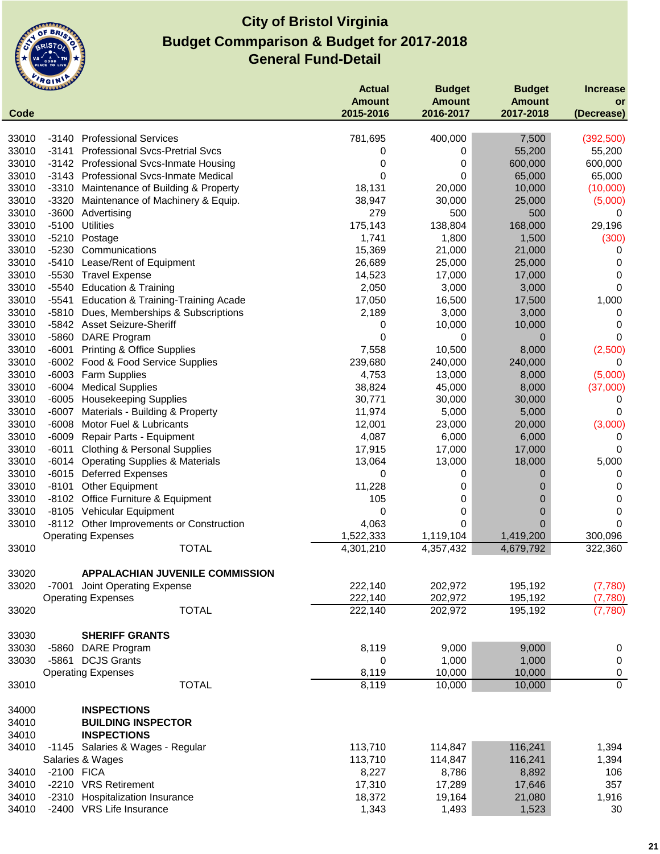

|       | <b>CLAANAN</b> |                                           | <b>Actual</b><br><b>Amount</b> | <b>Budget</b><br><b>Amount</b> | <b>Budget</b><br><b>Amount</b> | <b>Increase</b><br>or |
|-------|----------------|-------------------------------------------|--------------------------------|--------------------------------|--------------------------------|-----------------------|
| Code  |                |                                           | 2015-2016                      | 2016-2017                      | 2017-2018                      | (Decrease)            |
| 33010 | -3140          | <b>Professional Services</b>              | 781,695                        | 400,000                        | 7,500                          | (392, 500)            |
| 33010 | -3141          | <b>Professional Svcs-Pretrial Svcs</b>    | 0                              | 0                              | 55,200                         | 55,200                |
| 33010 |                | -3142 Professional Svcs-Inmate Housing    | 0                              | 0                              | 600,000                        | 600,000               |
| 33010 |                | -3143 Professional Svcs-Inmate Medical    | 0                              | 0                              | 65,000                         | 65,000                |
| 33010 | $-3310$        | Maintenance of Building & Property        | 18,131                         | 20,000                         | 10,000                         | (10,000)              |
| 33010 | $-3320$        | Maintenance of Machinery & Equip.         | 38,947                         | 30,000                         | 25,000                         | (5,000)               |
| 33010 | $-3600$        | Advertising                               | 279                            | 500                            | 500                            | 0                     |
| 33010 | $-5100$        | <b>Utilities</b>                          | 175,143                        | 138,804                        | 168,000                        | 29,196                |
| 33010 | $-5210$        | Postage                                   | 1,741                          | 1,800                          | 1,500                          | (300)                 |
| 33010 | $-5230$        | Communications                            | 15,369                         | 21,000                         | 21,000                         | 0                     |
| 33010 | $-5410$        | Lease/Rent of Equipment                   | 26,689                         | 25,000                         | 25,000                         | 0                     |
| 33010 | $-5530$        | <b>Travel Expense</b>                     | 14,523                         | 17,000                         | 17,000                         | 0                     |
| 33010 | -5540          | <b>Education &amp; Training</b>           | 2,050                          | 3,000                          | 3,000                          | $\Omega$              |
| 33010 | $-5541$        | Education & Training-Training Acade       | 17,050                         | 16,500                         | 17,500                         | 1,000                 |
| 33010 | $-5810$        | Dues, Memberships & Subscriptions         | 2,189                          | 3,000                          | 3,000                          | 0                     |
| 33010 |                | -5842 Asset Seizure-Sheriff               | 0                              | 10,000                         | 10,000                         | $\Omega$              |
| 33010 | $-5860$        | <b>DARE Program</b>                       | 0                              | 0                              | $\overline{0}$                 | 0                     |
| 33010 | $-6001$        | <b>Printing &amp; Office Supplies</b>     | 7,558                          | 10,500                         | 8,000                          | (2,500)               |
| 33010 |                | -6002 Food & Food Service Supplies        | 239,680                        | 240,000                        | 240,000                        | 0                     |
| 33010 | $-6003$        | <b>Farm Supplies</b>                      | 4,753                          | 13,000                         | 8,000                          | (5,000)               |
| 33010 |                | -6004 Medical Supplies                    | 38,824                         | 45,000                         | 8,000                          | (37,000)              |
| 33010 | $-6005$        | <b>Housekeeping Supplies</b>              | 30,771                         | 30,000                         | 30,000                         | 0                     |
| 33010 | $-6007$        | Materials - Building & Property           | 11,974                         | 5,000                          | 5,000                          | 0                     |
| 33010 | $-6008$        | Motor Fuel & Lubricants                   | 12,001                         | 23,000                         | 20,000                         | (3,000)               |
| 33010 | $-6009$        | Repair Parts - Equipment                  | 4,087                          | 6,000                          | 6,000                          | 0                     |
| 33010 | $-6011$        | <b>Clothing &amp; Personal Supplies</b>   | 17,915                         | 17,000                         | 17,000                         | 0                     |
| 33010 | -6014          | <b>Operating Supplies &amp; Materials</b> | 13,064                         | 13,000                         | 18,000                         | 5,000                 |
| 33010 | $-6015$        | <b>Deferred Expenses</b>                  | 0                              | 0                              | 0                              | 0                     |
| 33010 | $-8101$        | <b>Other Equipment</b>                    | 11,228                         | 0                              | 0                              | 0                     |
| 33010 |                | -8102 Office Furniture & Equipment        | 105                            | 0                              | 0                              | 0                     |
| 33010 |                | -8105 Vehicular Equipment                 | 0                              | 0                              | 0                              | 0                     |
| 33010 |                | -8112 Other Improvements or Construction  | 4,063                          | 0                              | 0                              | 0                     |
|       |                | <b>Operating Expenses</b>                 | 1,522,333                      | 1,119,104                      | 1,419,200                      | 300,096               |
| 33010 |                | <b>TOTAL</b>                              | 4,301,210                      | 4,357,432                      | 4,679,792                      | 322,360               |
| 33020 |                | <b>APPALACHIAN JUVENILE COMMISSION</b>    |                                |                                |                                |                       |
| 33020 | -7001          | Joint Operating Expense                   | 222,140                        | 202,972                        | 195,192                        | (7,780)               |
|       |                | <b>Operating Expenses</b>                 | 222,140                        | 202,972                        | 195,192                        | (7,780)               |
| 33020 |                | <b>TOTAL</b>                              | 222,140                        | 202,972                        | 195,192                        | (7,780)               |
|       |                |                                           |                                |                                |                                |                       |
| 33030 |                | <b>SHERIFF GRANTS</b>                     |                                |                                |                                |                       |
| 33030 |                | -5860 DARE Program                        | 8,119                          | 9,000                          | 9,000                          | 0                     |
| 33030 | -5861          | <b>DCJS Grants</b>                        | 0                              | 1,000                          | 1,000                          | $\pmb{0}$             |
|       |                | <b>Operating Expenses</b>                 | 8,119                          | 10,000                         | 10,000                         | $\pmb{0}$             |
| 33010 |                | <b>TOTAL</b>                              | 8,119                          | 10,000                         | 10,000                         | $\overline{0}$        |
| 34000 |                | <b>INSPECTIONS</b>                        |                                |                                |                                |                       |
| 34010 |                | <b>BUILDING INSPECTOR</b>                 |                                |                                |                                |                       |
| 34010 |                | <b>INSPECTIONS</b>                        |                                |                                |                                |                       |
| 34010 |                | -1145 Salaries & Wages - Regular          | 113,710                        | 114,847                        | 116,241                        | 1,394                 |
|       |                | Salaries & Wages                          | 113,710                        | 114,847                        | 116,241                        | 1,394                 |
| 34010 | -2100 FICA     |                                           | 8,227                          | 8,786                          | 8,892                          | 106                   |
| 34010 |                | -2210 VRS Retirement                      | 17,310                         | 17,289                         | 17,646                         | 357                   |
| 34010 | -2310          | <b>Hospitalization Insurance</b>          | 18,372                         | 19,164                         | 21,080                         | 1,916                 |
| 34010 |                | -2400 VRS Life Insurance                  | 1,343                          | 1,493                          | 1,523                          | 30                    |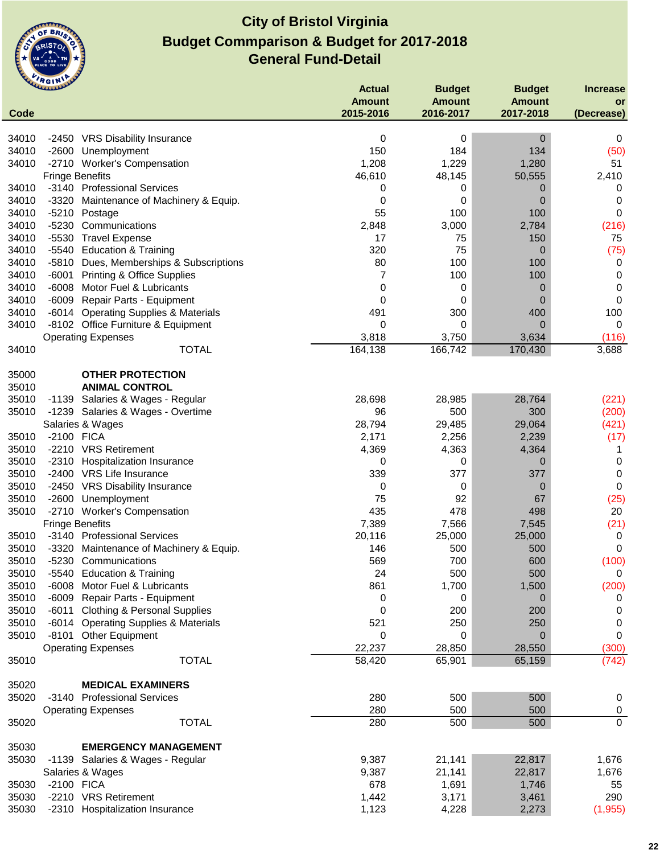

|                | <b>CLAMAN DE</b>                                        | <b>Actual</b><br><b>Amount</b> | <b>Budget</b><br><b>Amount</b> | <b>Budget</b><br><b>Amount</b> | <b>Increase</b><br>or |
|----------------|---------------------------------------------------------|--------------------------------|--------------------------------|--------------------------------|-----------------------|
| Code           |                                                         | 2015-2016                      | 2016-2017                      | 2017-2018                      | (Decrease)            |
|                |                                                         |                                |                                |                                |                       |
| 34010          | -2450 VRS Disability Insurance                          | 0                              | 0                              | 0                              | 0                     |
| 34010          | $-2600$<br>Unemployment                                 | 150                            | 184                            | 134                            | (50)                  |
| 34010          | -2710 Worker's Compensation                             | 1,208                          | 1,229                          | 1,280                          | 51                    |
|                | <b>Fringe Benefits</b>                                  | 46,610                         | 48,145                         | 50,555                         | 2,410                 |
| 34010          | -3140 Professional Services                             | 0                              | 0                              | 0                              | 0                     |
| 34010          | -3320<br>Maintenance of Machinery & Equip.              | 0                              | 0                              | 0                              | 0                     |
| 34010          | $-5210$<br>Postage                                      | 55                             | 100                            | 100                            | 0                     |
| 34010          | $-5230$<br>Communications                               | 2,848                          | 3,000                          | 2,784                          | (216)                 |
| 34010          | $-5530$<br><b>Travel Expense</b>                        | 17                             | 75                             | 150                            | 75                    |
| 34010          | -5540 Education & Training                              | 320                            | 75                             | $\mathbf 0$                    | (75)                  |
| 34010          | -5810 Dues, Memberships & Subscriptions                 | 80                             | 100                            | 100                            | 0                     |
| 34010          | $-6001$<br><b>Printing &amp; Office Supplies</b>        | 7                              | 100                            | 100                            | 0                     |
| 34010          | $-6008$<br>Motor Fuel & Lubricants                      | 0                              | 0                              | 0                              | 0                     |
| 34010          | $-6009$<br>Repair Parts - Equipment                     | 0                              | 0                              | $\overline{0}$                 | $\mathbf 0$           |
| 34010          | <b>Operating Supplies &amp; Materials</b><br>-6014      | 491                            | 300                            | 400                            | 100                   |
| 34010          | -8102 Office Furniture & Equipment                      | 0<br>3,818                     | 0                              | $\mathbf 0$                    | 0                     |
|                | <b>Operating Expenses</b><br><b>TOTAL</b>               |                                | 3,750                          | 3,634<br>170,430               | (116)                 |
| 34010          |                                                         | 164,138                        | 166,742                        |                                | 3,688                 |
| 35000          | <b>OTHER PROTECTION</b>                                 |                                |                                |                                |                       |
| 35010          | <b>ANIMAL CONTROL</b>                                   |                                |                                |                                |                       |
| 35010          | -1139 Salaries & Wages - Regular                        | 28,698                         | 28,985                         | 28,764                         | (221)                 |
| 35010          | -1239 Salaries & Wages - Overtime                       | 96                             | 500                            | 300                            | (200)                 |
|                | Salaries & Wages                                        | 28,794                         | 29,485                         | 29,064                         | (421)                 |
| 35010          | -2100 FICA                                              | 2,171                          | 2,256                          | 2,239                          | (17)                  |
| 35010          | -2210 VRS Retirement                                    | 4,369                          | 4,363                          | 4,364                          | -1                    |
| 35010          | $-2310$<br><b>Hospitalization Insurance</b>             | 0                              | 0                              | $\overline{0}$                 | 0                     |
| 35010          | -2400 VRS Life Insurance                                | 339                            | 377                            | 377                            | 0                     |
| 35010          | <b>VRS Disability Insurance</b><br>$-2450$              | 0                              | 0                              | 0                              | 0                     |
| 35010          | $-2600$<br>Unemployment                                 | 75                             | 92                             | 67                             | (25)                  |
| 35010          | -2710 Worker's Compensation                             | 435                            | 478                            | 498                            | 20                    |
|                | <b>Fringe Benefits</b>                                  | 7,389                          | 7,566                          | 7,545                          | (21)                  |
| 35010          | -3140 Professional Services                             | 20,116                         | 25,000                         | 25,000                         | 0                     |
| 35010          | $-3320$<br>Maintenance of Machinery & Equip.            | 146                            | 500                            | 500                            | 0                     |
| 35010          | -5230 Communications                                    | 569                            | 700                            | 600                            | (100)                 |
| 35010          | -5540 Education & Training                              | 24                             | 500                            | 500                            | 0                     |
| 35010          | -6008 Motor Fuel & Lubricants                           | 861                            | 1,700                          | 1,500                          | (200)                 |
| 35010          | -6009 Repair Parts - Equipment                          | 0                              | 0                              | 0                              | 0                     |
| 35010          | -6011 Clothing & Personal Supplies                      | 0                              | 200                            | 200                            | 0                     |
| 35010          | -6014 Operating Supplies & Materials                    | 521                            | 250                            | 250                            | 0                     |
| 35010          | -8101 Other Equipment                                   | 0                              | 0                              | 0                              | 0                     |
|                | <b>Operating Expenses</b>                               | 22,237                         | 28,850                         | 28,550                         | (300)                 |
| 35010          | <b>TOTAL</b>                                            | 58,420                         | 65,901                         | 65,159                         | (742)                 |
|                |                                                         |                                |                                |                                |                       |
| 35020<br>35020 | <b>MEDICAL EXAMINERS</b><br>-3140 Professional Services | 280                            | 500                            | 500                            | 0                     |
|                | <b>Operating Expenses</b>                               | 280                            | 500                            | 500                            | $\pmb{0}$             |
| 35020          | <b>TOTAL</b>                                            | 280                            | 500                            | 500                            | $\mathbf 0$           |
|                |                                                         |                                |                                |                                |                       |
| 35030          | <b>EMERGENCY MANAGEMENT</b>                             |                                |                                |                                |                       |
| 35030          | -1139 Salaries & Wages - Regular                        | 9,387                          | 21,141                         | 22,817                         | 1,676                 |
|                | Salaries & Wages                                        | 9,387                          | 21,141                         | 22,817                         | 1,676                 |
| 35030          | -2100 FICA                                              | 678                            | 1,691                          | 1,746                          | 55                    |
| 35030          | -2210 VRS Retirement                                    | 1,442                          | 3,171                          | 3,461                          | 290                   |
| 35030          | -2310 Hospitalization Insurance                         | 1,123                          | 4,228                          | 2,273                          | (1, 955)              |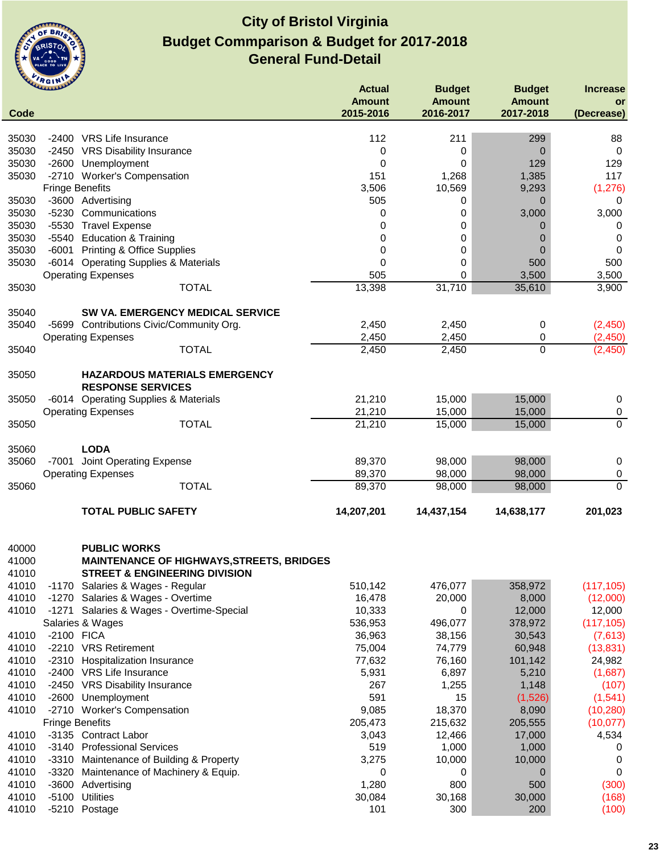

| Code                    | <b>UMMANY</b>                                                                                                       | <b>Actual</b><br><b>Amount</b><br>2015-2016 | <b>Budget</b><br><b>Amount</b><br>2016-2017 | <b>Budget</b><br><b>Amount</b><br>2017-2018 | <b>Increase</b><br>or<br>(Decrease) |
|-------------------------|---------------------------------------------------------------------------------------------------------------------|---------------------------------------------|---------------------------------------------|---------------------------------------------|-------------------------------------|
| 35030                   | -2400 VRS Life Insurance                                                                                            | 112                                         | 211                                         | 299                                         | 88                                  |
| 35030                   | -2450 VRS Disability Insurance                                                                                      | 0                                           | 0                                           | 0                                           | 0                                   |
| 35030                   | -2600 Unemployment                                                                                                  | 0                                           | 0                                           | 129                                         | 129                                 |
| 35030                   | -2710 Worker's Compensation                                                                                         | 151                                         | 1,268                                       | 1,385                                       | 117                                 |
|                         | <b>Fringe Benefits</b>                                                                                              | 3,506                                       | 10,569                                      | 9,293                                       | (1, 276)                            |
| 35030                   | -3600 Advertising                                                                                                   | 505                                         | 0                                           | 0                                           | 0                                   |
| 35030                   | $-5230$<br>Communications                                                                                           | 0                                           | 0                                           | 3,000                                       | 3,000                               |
| 35030                   | <b>Travel Expense</b><br>$-5530$                                                                                    | 0                                           | 0                                           | 0                                           | 0                                   |
| 35030                   | <b>Education &amp; Training</b><br>$-5540$                                                                          | 0                                           | 0                                           | 0                                           | 0                                   |
| 35030                   | <b>Printing &amp; Office Supplies</b><br>$-6001$                                                                    | 0                                           | 0                                           | 0                                           | 0                                   |
| 35030                   | -6014 Operating Supplies & Materials                                                                                | 0                                           | 0                                           | 500                                         | 500                                 |
|                         | <b>Operating Expenses</b>                                                                                           | 505                                         | 0                                           | 3,500                                       | 3,500                               |
| 35030                   | <b>TOTAL</b>                                                                                                        | 13,398                                      | 31,710                                      | 35,610                                      | 3,900                               |
| 35040                   | SW VA. EMERGENCY MEDICAL SERVICE                                                                                    |                                             |                                             |                                             |                                     |
| 35040                   | -5699 Contributions Civic/Community Org.                                                                            | 2,450                                       | 2,450                                       | 0                                           | (2,450)                             |
|                         | <b>Operating Expenses</b>                                                                                           | 2,450                                       | 2,450                                       | 0                                           | (2, 450)                            |
| 35040                   | <b>TOTAL</b>                                                                                                        | 2,450                                       | 2,450                                       | $\mathbf 0$                                 | (2,450)                             |
| 35050                   | <b>HAZARDOUS MATERIALS EMERGENCY</b><br><b>RESPONSE SERVICES</b>                                                    |                                             |                                             |                                             |                                     |
| 35050                   | -6014 Operating Supplies & Materials                                                                                | 21,210                                      | 15,000                                      | 15,000                                      | 0                                   |
|                         | <b>Operating Expenses</b>                                                                                           | 21,210                                      | 15,000                                      | 15,000                                      | $\pmb{0}$                           |
| 35050                   | <b>TOTAL</b>                                                                                                        | 21,210                                      | 15,000                                      | 15,000                                      | $\overline{0}$                      |
| 35060                   | <b>LODA</b>                                                                                                         |                                             |                                             |                                             |                                     |
| 35060                   | -7001 Joint Operating Expense                                                                                       | 89,370                                      | 98,000                                      | 98,000                                      | 0                                   |
|                         | <b>Operating Expenses</b>                                                                                           | 89,370                                      | 98,000                                      | 98,000                                      | 0                                   |
| 35060                   | <b>TOTAL</b>                                                                                                        | 89,370                                      | 98,000                                      | 98,000                                      | $\mathbf 0$                         |
|                         | <b>TOTAL PUBLIC SAFETY</b>                                                                                          | 14,207,201                                  | 14,437,154                                  | 14,638,177                                  | 201,023                             |
| 40000<br>41000<br>41010 | <b>PUBLIC WORKS</b><br><b>MAINTENANCE OF HIGHWAYS, STREETS, BRIDGES</b><br><b>STREET &amp; ENGINEERING DIVISION</b> |                                             |                                             |                                             |                                     |
| 41010                   | -1170 Salaries & Wages - Regular                                                                                    | 510,142                                     | 476,077                                     | 358,972                                     | (117, 105)                          |
| 41010                   | -1270 Salaries & Wages - Overtime                                                                                   | 16,478                                      | 20,000                                      | 8,000                                       | (12,000)                            |
| 41010                   | -1271 Salaries & Wages - Overtime-Special                                                                           | 10,333                                      | 0                                           | 12,000                                      | 12,000                              |
|                         | Salaries & Wages                                                                                                    | 536,953                                     | 496,077                                     | 378,972                                     | (117, 105)                          |
| 41010                   | -2100 FICA                                                                                                          | 36,963                                      | 38,156                                      | 30,543                                      | (7,613)                             |
| 41010                   | -2210 VRS Retirement                                                                                                | 75,004                                      | 74,779                                      | 60,948                                      | (13, 831)                           |
| 41010                   | $-2310$<br>Hospitalization Insurance                                                                                | 77,632                                      | 76,160                                      | 101,142                                     | 24,982                              |
| 41010                   | -2400 VRS Life Insurance                                                                                            | 5,931                                       | 6,897                                       | 5,210                                       | (1,687)                             |
| 41010                   | $-2450$<br><b>VRS Disability Insurance</b>                                                                          | 267                                         | 1,255                                       | 1,148                                       | (107)                               |
| 41010                   | $-2600$<br>Unemployment                                                                                             | 591                                         | 15                                          | (1,526)                                     | (1, 541)                            |
| 41010                   | $-2710$<br><b>Worker's Compensation</b><br><b>Fringe Benefits</b>                                                   | 9,085<br>205,473                            | 18,370<br>215,632                           | 8,090<br>205,555                            | (10, 280)<br>(10, 077)              |
| 41010                   | -3135 Contract Labor                                                                                                | 3,043                                       | 12,466                                      | 17,000                                      | 4,534                               |
| 41010                   | $-3140$<br><b>Professional Services</b>                                                                             | 519                                         | 1,000                                       | 1,000                                       | 0                                   |
| 41010                   | $-3310$<br>Maintenance of Building & Property                                                                       | 3,275                                       | 10,000                                      | 10,000                                      | 0                                   |
| 41010                   | $-3320$<br>Maintenance of Machinery & Equip.                                                                        | 0                                           | 0                                           | 0                                           | 0                                   |
| 41010                   | $-3600$<br>Advertising                                                                                              | 1,280                                       | 800                                         | 500                                         | (300)                               |
| 41010                   | <b>Utilities</b><br>$-5100$                                                                                         | 30,084                                      | 30,168                                      | 30,000                                      | (168)                               |
| 41010                   | -5210<br>Postage                                                                                                    | 101                                         | 300                                         | 200                                         | (100)                               |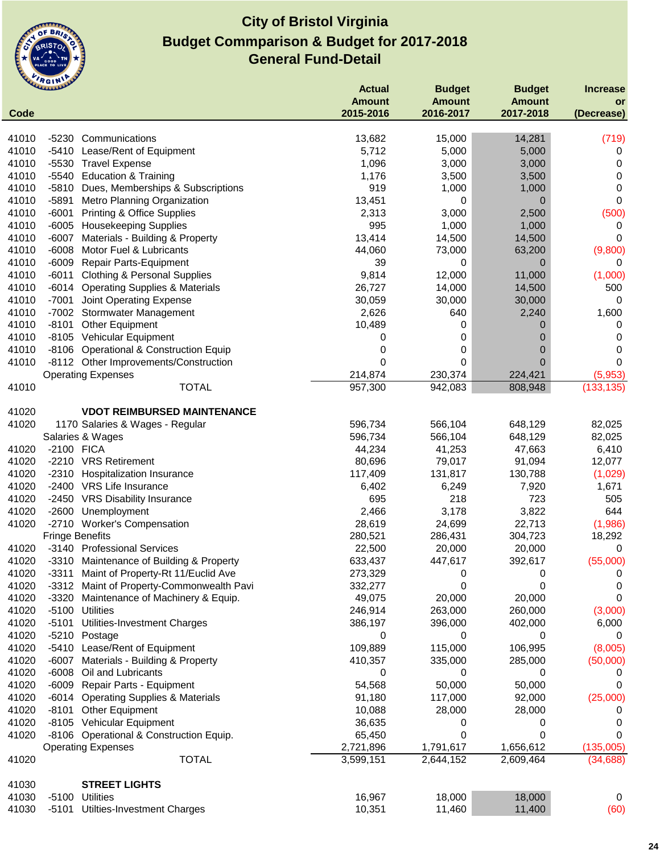

|       | ummer                  |                                          | <b>Actual</b> | <b>Budget</b> | <b>Budget</b> | <b>Increase</b> |
|-------|------------------------|------------------------------------------|---------------|---------------|---------------|-----------------|
|       |                        |                                          | <b>Amount</b> | <b>Amount</b> | <b>Amount</b> | <b>or</b>       |
| Code  |                        |                                          | 2015-2016     | 2016-2017     | 2017-2018     | (Decrease)      |
| 41010 | -5230                  | Communications                           | 13,682        | 15,000        | 14,281        | (719)           |
| 41010 | $-5410$                | Lease/Rent of Equipment                  | 5,712         | 5,000         | 5,000         | 0               |
| 41010 |                        | -5530 Travel Expense                     | 1,096         | 3,000         | 3,000         | 0               |
| 41010 |                        | -5540 Education & Training               | 1,176         | 3,500         | 3,500         | 0               |
| 41010 | $-5810$                | Dues, Memberships & Subscriptions        | 919           | 1,000         | 1,000         | 0               |
| 41010 | $-5891$                | Metro Planning Organization              | 13,451        | 0             | 0             | 0               |
| 41010 | $-6001$                | <b>Printing &amp; Office Supplies</b>    | 2,313         | 3,000         | 2,500         | (500)           |
| 41010 | $-6005$                | <b>Housekeeping Supplies</b>             | 995           | 1,000         | 1,000         | 0               |
| 41010 | $-6007$                | Materials - Building & Property          | 13,414        | 14,500        | 14,500        | 0               |
| 41010 | $-6008$                | Motor Fuel & Lubricants                  | 44,060        | 73,000        | 63,200        | (9,800)         |
| 41010 | $-6009$                | Repair Parts-Equipment                   | 39            | 0             | 0             | 0               |
| 41010 | $-6011$                | <b>Clothing &amp; Personal Supplies</b>  | 9,814         | 12,000        | 11,000        | (1,000)         |
| 41010 |                        | -6014 Operating Supplies & Materials     | 26,727        | 14,000        | 14,500        | 500             |
| 41010 | $-7001$                | Joint Operating Expense                  | 30,059        | 30,000        | 30,000        | 0               |
| 41010 |                        | -7002 Stormwater Management              | 2,626         | 640           | 2,240         | 1,600           |
| 41010 |                        | -8101 Other Equipment                    | 10,489        | 0             | 0             | 0               |
| 41010 |                        | -8105 Vehicular Equipment                | 0             | 0             | 0             | 0               |
| 41010 |                        | -8106 Operational & Construction Equip   | 0             | 0             | 0             | 0               |
| 41010 |                        | -8112 Other Improvements/Construction    | 0             | 0             | 0             | 0               |
|       |                        | <b>Operating Expenses</b>                | 214,874       | 230,374       | 224,421       | (5,953)         |
| 41010 |                        | <b>TOTAL</b>                             | 957,300       | 942,083       | 808,948       | (133, 135)      |
|       |                        |                                          |               |               |               |                 |
| 41020 |                        | <b>VDOT REIMBURSED MAINTENANCE</b>       |               |               |               |                 |
| 41020 |                        | 1170 Salaries & Wages - Regular          | 596,734       | 566,104       | 648,129       | 82,025          |
|       |                        | Salaries & Wages                         | 596,734       | 566,104       | 648,129       | 82,025          |
| 41020 | -2100 FICA             |                                          | 44,234        | 41,253        | 47,663        | 6,410           |
| 41020 |                        | -2210 VRS Retirement                     | 80,696        | 79,017        | 91,094        | 12,077          |
| 41020 | $-2310$                | <b>Hospitalization Insurance</b>         | 117,409       | 131,817       | 130,788       | (1,029)         |
| 41020 |                        | -2400 VRS Life Insurance                 | 6,402         | 6,249         | 7,920         | 1,671           |
| 41020 |                        | -2450 VRS Disability Insurance           | 695           | 218           | 723           | 505             |
| 41020 | $-2600$                | Unemployment                             | 2,466         | 3,178         | 3,822         | 644             |
| 41020 |                        | -2710 Worker's Compensation              | 28,619        | 24,699        | 22,713        | (1,986)         |
|       | <b>Fringe Benefits</b> |                                          | 280,521       | 286,431       | 304,723       | 18,292          |
| 41020 |                        | -3140 Professional Services              | 22,500        | 20,000        | 20,000        | 0               |
| 41020 |                        | -3310 Maintenance of Building & Property | 633,437       | 447,617       | 392,617       | (55,000)        |
| 41020 | -3311                  | Maint of Property-Rt 11/Euclid Ave       | 273,329       | 0             | 0             | 0               |
| 41020 | $-3312$                | Maint of Property-Commonwealth Pavi      | 332,277       | 0             | 0             | 0               |
| 41020 | $-3320$                | Maintenance of Machinery & Equip.        | 49,075        | 20,000        | 20,000        | 0               |
| 41020 | $-5100$                | <b>Utilities</b>                         | 246,914       | 263,000       | 260,000       | (3,000)         |
| 41020 | $-5101$                | Utilities-Investment Charges             | 386,197       | 396,000       | 402,000       | 6,000           |
| 41020 |                        | -5210 Postage                            | 0             | 0             | 0             | 0               |
| 41020 | $-5410$                | Lease/Rent of Equipment                  | 109,889       | 115,000       | 106,995       | (8,005)         |
| 41020 | $-6007$                | Materials - Building & Property          | 410,357       | 335,000       | 285,000       | (50,000)        |
| 41020 | $-6008$                | Oil and Lubricants                       | 0             | 0             | 0             | 0               |
| 41020 | $-6009$                | Repair Parts - Equipment                 | 54,568        | 50,000        | 50,000        | 0               |
| 41020 |                        | -6014 Operating Supplies & Materials     | 91,180        | 117,000       | 92,000        | (25,000)        |
| 41020 | -8101                  | Other Equipment                          | 10,088        | 28,000        | 28,000        | 0               |
| 41020 |                        | -8105 Vehicular Equipment                | 36,635        | 0             | 0             | 0               |
| 41020 |                        | -8106 Operational & Construction Equip.  | 65,450        | 0             | 0             | 0               |
|       |                        | <b>Operating Expenses</b>                | 2,721,896     | 1,791,617     | 1,656,612     | (135,005)       |
| 41020 |                        | <b>TOTAL</b>                             | 3,599,151     | 2,644,152     | 2,609,464     | (34, 688)       |
| 41030 |                        | <b>STREET LIGHTS</b>                     |               |               |               |                 |
| 41030 | $-5100$                | <b>Utilities</b>                         | 16,967        | 18,000        | 18,000        | 0               |
| 41030 | -5101                  | Utilties-Investment Charges              | 10,351        | 11,460        | 11,400        | (60)            |
|       |                        |                                          |               |               |               |                 |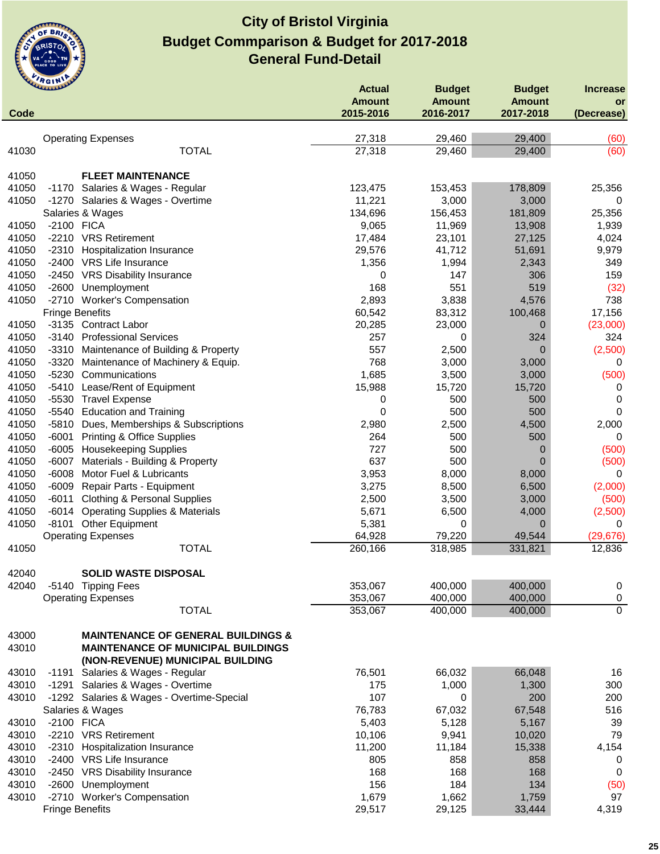

| Code  | <b>LAMANALLE</b>                                   | <b>Actual</b><br><b>Amount</b><br>2015-2016 | <b>Budget</b><br><b>Amount</b><br>2016-2017 | <b>Budget</b><br><b>Amount</b><br>2017-2018 | <b>Increase</b><br><b>or</b><br>(Decrease) |
|-------|----------------------------------------------------|---------------------------------------------|---------------------------------------------|---------------------------------------------|--------------------------------------------|
|       |                                                    |                                             |                                             |                                             |                                            |
|       | <b>Operating Expenses</b><br><b>TOTAL</b>          | 27,318                                      | 29,460                                      | 29,400                                      | (60)                                       |
| 41030 |                                                    | 27,318                                      | 29,460                                      | 29,400                                      | (60)                                       |
| 41050 | <b>FLEET MAINTENANCE</b>                           |                                             |                                             |                                             |                                            |
| 41050 | -1170 Salaries & Wages - Regular                   | 123,475                                     | 153,453                                     | 178,809                                     | 25,356                                     |
| 41050 | -1270 Salaries & Wages - Overtime                  | 11,221                                      | 3,000                                       | 3,000                                       | 0                                          |
|       | Salaries & Wages                                   | 134,696                                     | 156,453                                     | 181,809                                     | 25,356                                     |
| 41050 | -2100 FICA                                         | 9,065                                       | 11,969                                      | 13,908                                      | 1,939                                      |
| 41050 | -2210 VRS Retirement                               | 17,484                                      | 23,101                                      | 27,125                                      | 4,024                                      |
| 41050 | $-2310$<br><b>Hospitalization Insurance</b>        | 29,576                                      | 41,712                                      | 51,691                                      | 9,979                                      |
| 41050 | -2400 VRS Life Insurance                           | 1,356                                       | 1,994                                       | 2,343                                       | 349                                        |
| 41050 | -2450 VRS Disability Insurance                     | 0                                           | 147                                         | 306                                         | 159                                        |
| 41050 | Unemployment<br>-2600                              | 168                                         | 551                                         | 519                                         | (32)                                       |
| 41050 | -2710 Worker's Compensation                        | 2,893                                       | 3,838                                       | 4,576                                       | 738                                        |
|       | <b>Fringe Benefits</b>                             | 60,542                                      | 83,312                                      | 100,468                                     | 17,156                                     |
| 41050 | -3135 Contract Labor                               | 20,285                                      | 23,000                                      | 0                                           | (23,000)                                   |
| 41050 | -3140 Professional Services                        | 257                                         | 0                                           | 324                                         | 324                                        |
| 41050 | -3310 Maintenance of Building & Property           | 557                                         | 2,500                                       | 0                                           | (2,500)                                    |
| 41050 | -3320<br>Maintenance of Machinery & Equip.         | 768                                         | 3,000                                       | 3,000                                       | 0                                          |
| 41050 | $-5230$<br>Communications                          | 1,685                                       | 3,500                                       | 3,000                                       | (500)                                      |
| 41050 | $-5410$<br>Lease/Rent of Equipment                 | 15,988                                      | 15,720                                      | 15,720                                      | 0                                          |
| 41050 | $-5530$<br><b>Travel Expense</b>                   | 0                                           | 500                                         | 500                                         | 0                                          |
| 41050 | <b>Education and Training</b><br>$-5540$           | $\mathbf 0$                                 | 500                                         | 500                                         | $\mathbf 0$                                |
| 41050 | -5810 Dues, Memberships & Subscriptions            | 2,980                                       | 2,500                                       | 4,500                                       | 2,000                                      |
| 41050 | <b>Printing &amp; Office Supplies</b><br>$-6001$   | 264                                         | 500                                         | 500                                         | 0                                          |
| 41050 | -6005 Housekeeping Supplies                        | 727                                         | 500                                         | 0                                           | (500)                                      |
| 41050 | Materials - Building & Property<br>$-6007$         | 637                                         | 500                                         | $\Omega$                                    | (500)                                      |
| 41050 | Motor Fuel & Lubricants<br>$-6008$                 | 3,953                                       | 8,000                                       | 8,000                                       | 0                                          |
| 41050 | -6009 Repair Parts - Equipment                     | 3,275                                       | 8,500                                       | 6,500                                       | (2,000)                                    |
| 41050 | -6011<br><b>Clothing &amp; Personal Supplies</b>   | 2,500                                       | 3,500                                       | 3,000                                       | (500)                                      |
| 41050 | <b>Operating Supplies &amp; Materials</b><br>-6014 | 5,671                                       | 6,500                                       | 4,000                                       | (2,500)                                    |
| 41050 | <b>Other Equipment</b><br>-8101                    | 5,381                                       | 0                                           | 0                                           | 0                                          |
|       | <b>Operating Expenses</b>                          | 64,928                                      | 79,220                                      | 49,544                                      | (29, 676)                                  |
| 41050 | <b>TOTAL</b>                                       | 260,166                                     | 318,985                                     | 331,821                                     | 12,836                                     |
| 42040 | <b>SOLID WASTE DISPOSAL</b>                        |                                             |                                             |                                             |                                            |
| 42040 | -5140 Tipping Fees                                 | 353,067                                     | 400,000                                     | 400,000                                     |                                            |
|       |                                                    |                                             | 400,000                                     | 400,000                                     | 0                                          |
|       | <b>Operating Expenses</b><br><b>TOTAL</b>          | 353,067                                     | 400,000                                     |                                             | $\pmb{0}$<br>$\mathbf 0$                   |
|       |                                                    | 353,067                                     |                                             | 400,000                                     |                                            |
| 43000 | <b>MAINTENANCE OF GENERAL BUILDINGS &amp;</b>      |                                             |                                             |                                             |                                            |
| 43010 | <b>MAINTENANCE OF MUNICIPAL BUILDINGS</b>          |                                             |                                             |                                             |                                            |
|       | (NON-REVENUE) MUNICIPAL BUILDING                   |                                             |                                             |                                             |                                            |
| 43010 | Salaries & Wages - Regular<br>-1191                | 76,501                                      | 66,032                                      | 66,048                                      | 16                                         |
| 43010 | Salaries & Wages - Overtime<br>-1291               | 175                                         | 1,000                                       | 1,300                                       | 300                                        |
| 43010 | -1292 Salaries & Wages - Overtime-Special          | 107                                         | 0                                           | 200                                         | 200                                        |
|       | Salaries & Wages                                   | 76,783                                      | 67,032                                      | 67,548                                      | 516                                        |
| 43010 | -2100 FICA                                         | 5,403                                       | 5,128                                       | 5,167                                       | 39                                         |
| 43010 | -2210 VRS Retirement                               | 10,106                                      | 9,941                                       | 10,020                                      | 79                                         |
| 43010 | -2310 Hospitalization Insurance                    | 11,200                                      | 11,184                                      | 15,338                                      | 4,154                                      |
| 43010 | -2400 VRS Life Insurance                           | 805                                         | 858                                         | 858                                         | 0                                          |
| 43010 | -2450 VRS Disability Insurance                     | 168                                         | 168                                         | 168                                         | 0                                          |
| 43010 | -2600<br>Unemployment                              | 156                                         | 184                                         | 134                                         | (50)                                       |
| 43010 | -2710 Worker's Compensation                        | 1,679                                       | 1,662                                       | 1,759                                       | 97                                         |
|       | <b>Fringe Benefits</b>                             | 29,517                                      | 29,125                                      | 33,444                                      | 4,319                                      |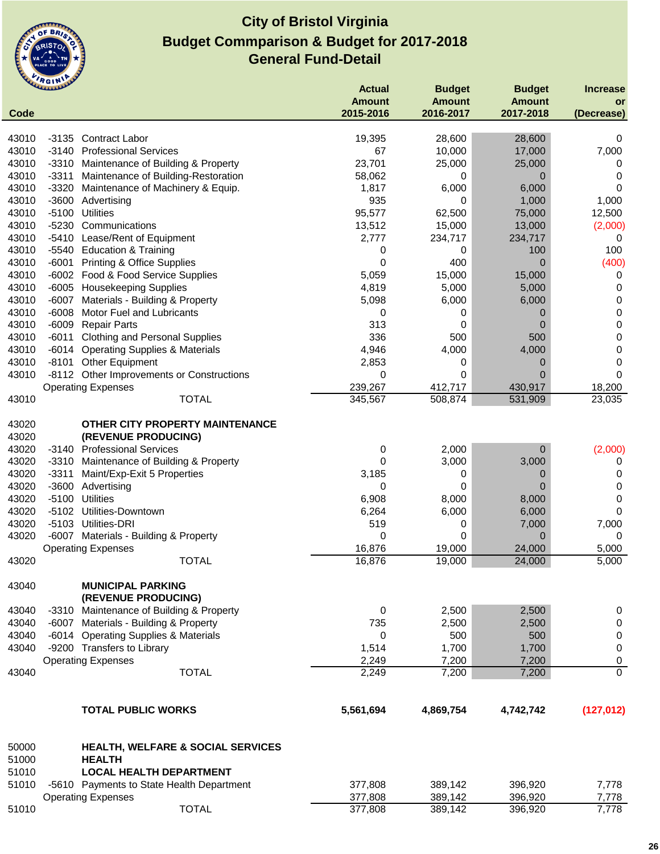

| Code  | <b>CLARANDE</b> |                                                 | <b>Actual</b><br><b>Amount</b><br>2015-2016 | <b>Budget</b><br><b>Amount</b><br>2016-2017 | <b>Budget</b><br><b>Amount</b><br>2017-2018 | <b>Increase</b><br>or<br>(Decrease) |
|-------|-----------------|-------------------------------------------------|---------------------------------------------|---------------------------------------------|---------------------------------------------|-------------------------------------|
|       |                 |                                                 |                                             |                                             |                                             |                                     |
| 43010 | -3135           | <b>Contract Labor</b>                           | 19,395                                      | 28,600                                      | 28,600                                      | 0                                   |
| 43010 |                 | -3140 Professional Services                     | 67                                          | 10,000                                      | 17,000                                      | 7,000                               |
| 43010 |                 | -3310 Maintenance of Building & Property        | 23,701                                      | 25,000                                      | 25,000                                      | 0                                   |
| 43010 | -3311           | Maintenance of Building-Restoration             | 58,062                                      | 0                                           | 0                                           | 0                                   |
| 43010 | $-3320$         | Maintenance of Machinery & Equip.               | 1,817                                       | 6,000                                       | 6,000                                       | $\Omega$                            |
| 43010 |                 | -3600 Advertising                               | 935                                         | 0                                           | 1,000                                       | 1,000                               |
| 43010 | -5100           | <b>Utilities</b>                                | 95,577                                      | 62,500                                      | 75,000                                      | 12,500                              |
| 43010 | $-5230$         | Communications                                  | 13,512                                      | 15,000                                      | 13,000                                      | (2,000)                             |
| 43010 | $-5410$         | Lease/Rent of Equipment                         | 2,777                                       | 234,717                                     | 234,717                                     | 0                                   |
| 43010 | -5540           | <b>Education &amp; Training</b>                 | 0                                           | 0                                           | 100                                         | 100                                 |
| 43010 | -6001           | <b>Printing &amp; Office Supplies</b>           | 0                                           | 400                                         | $\overline{0}$                              | (400)                               |
| 43010 |                 | -6002 Food & Food Service Supplies              | 5,059                                       | 15,000                                      | 15,000                                      | 0                                   |
| 43010 |                 | -6005 Housekeeping Supplies                     | 4,819                                       | 5,000                                       | 5,000                                       | 0                                   |
| 43010 |                 | -6007 Materials - Building & Property           | 5,098                                       | 6,000                                       | 6,000                                       | 0                                   |
| 43010 | $-6008$         | <b>Motor Fuel and Lubricants</b>                | 0                                           | 0                                           | 0                                           | 0                                   |
| 43010 | $-6009$         | <b>Repair Parts</b>                             | 313                                         | 0                                           | 0                                           | 0                                   |
| 43010 | $-6011$         | <b>Clothing and Personal Supplies</b>           | 336                                         | 500                                         | 500                                         | 0                                   |
| 43010 |                 | -6014 Operating Supplies & Materials            | 4,946                                       | 4,000                                       | 4,000                                       | 0                                   |
| 43010 | -8101           | Other Equipment                                 | 2,853                                       | 0                                           | 0                                           | 0                                   |
| 43010 |                 | -8112 Other Improvements or Constructions       | 0                                           | 0                                           | $\overline{0}$                              | $\Omega$                            |
|       |                 | <b>Operating Expenses</b>                       | 239,267                                     | 412,717                                     | 430,917                                     | 18,200                              |
| 43010 |                 | <b>TOTAL</b>                                    | 345,567                                     | 508,874                                     | 531,909                                     | 23,035                              |
| 43020 |                 | OTHER CITY PROPERTY MAINTENANCE                 |                                             |                                             |                                             |                                     |
| 43020 |                 | (REVENUE PRODUCING)                             |                                             |                                             |                                             |                                     |
| 43020 |                 | -3140 Professional Services                     | 0                                           | 2,000                                       | $\mathbf 0$                                 | (2,000)                             |
| 43020 |                 | -3310 Maintenance of Building & Property        | 0                                           | 3,000                                       | 3,000                                       | 0                                   |
| 43020 | $-3311$         | Maint/Exp-Exit 5 Properties                     | 3,185                                       | 0                                           | 0                                           | 0                                   |
| 43020 | $-3600$         | Advertising                                     | 0                                           | 0                                           | 0                                           | 0                                   |
| 43020 | $-5100$         | <b>Utilities</b>                                | 6,908                                       | 8,000                                       | 8,000                                       | 0                                   |
| 43020 |                 | -5102 Utilities-Downtown                        | 6,264                                       | 6,000                                       | 6,000                                       | 0                                   |
| 43020 |                 | -5103 Utilities-DRI                             | 519                                         | 0                                           | 7,000                                       | 7,000                               |
| 43020 |                 | -6007 Materials - Building & Property           | 0<br>16,876                                 | 0<br>19,000                                 | $\mathbf 0$                                 | $\mathbf 0$                         |
| 43020 |                 | <b>Operating Expenses</b><br><b>TOTAL</b>       | 16,876                                      | 19,000                                      | 24,000<br>24,000                            | 5,000<br>5,000                      |
|       |                 |                                                 |                                             |                                             |                                             |                                     |
| 43040 |                 | <b>MUNICIPAL PARKING</b><br>(REVENUE PRODUCING) |                                             |                                             |                                             |                                     |
| 43040 |                 | -3310 Maintenance of Building & Property        | 0                                           | 2,500                                       | 2,500                                       | 0                                   |
| 43040 |                 | -6007 Materials - Building & Property           | 735                                         | 2,500                                       | 2,500                                       | $\pmb{0}$                           |
| 43040 |                 | -6014 Operating Supplies & Materials            | 0                                           | 500                                         | 500                                         | $\pmb{0}$                           |
| 43040 |                 | -9200 Transfers to Library                      | 1,514                                       | 1,700                                       | 1,700                                       | 0                                   |
|       |                 | <b>Operating Expenses</b>                       | 2,249                                       | 7,200                                       | 7,200                                       | 0                                   |
| 43040 |                 | <b>TOTAL</b>                                    | 2,249                                       | 7,200                                       | 7,200                                       | $\overline{0}$                      |
|       |                 | <b>TOTAL PUBLIC WORKS</b>                       | 5,561,694                                   | 4,869,754                                   | 4,742,742                                   | (127, 012)                          |
| 50000 |                 | HEALTH, WELFARE & SOCIAL SERVICES               |                                             |                                             |                                             |                                     |
| 51000 |                 | <b>HEALTH</b>                                   |                                             |                                             |                                             |                                     |
| 51010 |                 | <b>LOCAL HEALTH DEPARTMENT</b>                  |                                             |                                             |                                             |                                     |
| 51010 |                 | -5610 Payments to State Health Department       | 377,808                                     | 389,142                                     | 396,920                                     | 7,778                               |
|       |                 | <b>Operating Expenses</b>                       | 377,808                                     | 389,142                                     | 396,920                                     | 7,778                               |
| 51010 |                 | <b>TOTAL</b>                                    | 377,808                                     | 389,142                                     | 396,920                                     | 7,778                               |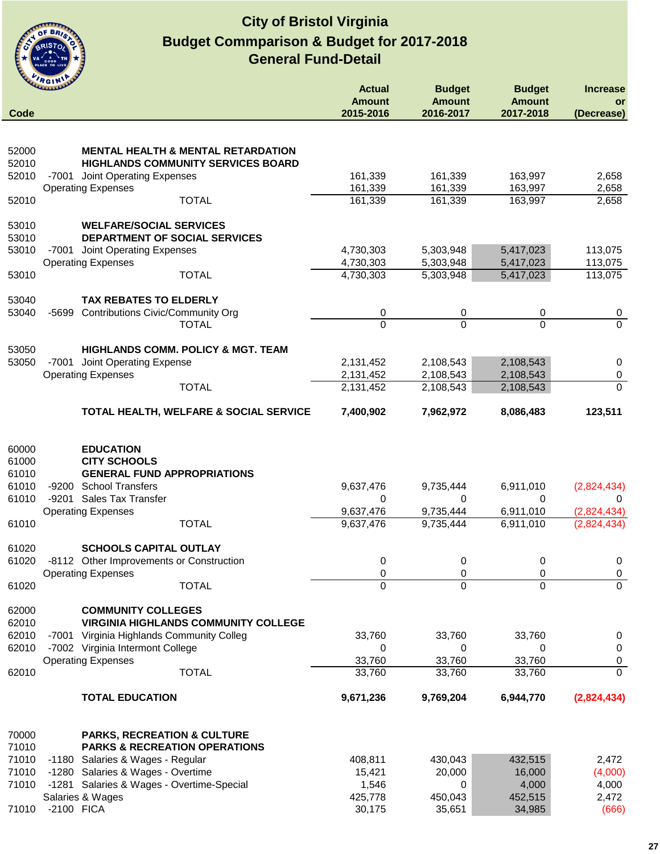

|                | <b>RGIN</b>                                                                        | <b>Actual</b>              | <b>Budget</b>              | <b>Budget</b>              | <b>Increase</b>            |
|----------------|------------------------------------------------------------------------------------|----------------------------|----------------------------|----------------------------|----------------------------|
| Code           |                                                                                    | <b>Amount</b><br>2015-2016 | <b>Amount</b><br>2016-2017 | <b>Amount</b><br>2017-2018 | or<br>(Decrease)           |
|                |                                                                                    |                            |                            |                            |                            |
| 52000          | <b>MENTAL HEALTH &amp; MENTAL RETARDATION</b>                                      |                            |                            |                            |                            |
| 52010          | <b>HIGHLANDS COMMUNITY SERVICES BOARD</b>                                          |                            |                            |                            |                            |
| 52010          | -7001 Joint Operating Expenses                                                     | 161,339                    | 161,339                    | 163,997                    | 2,658                      |
| 52010          | <b>Operating Expenses</b><br><b>TOTAL</b>                                          | 161,339<br>161,339         | 161,339<br>161,339         | 163,997<br>163,997         | 2,658<br>2,658             |
|                |                                                                                    |                            |                            |                            |                            |
| 53010          | <b>WELFARE/SOCIAL SERVICES</b>                                                     |                            |                            |                            |                            |
| 53010          | DEPARTMENT OF SOCIAL SERVICES                                                      |                            |                            |                            |                            |
| 53010          | -7001 Joint Operating Expenses<br><b>Operating Expenses</b>                        | 4,730,303<br>4,730,303     | 5,303,948<br>5,303,948     | 5,417,023<br>5,417,023     | 113,075<br>113,075         |
| 53010          | <b>TOTAL</b>                                                                       | 4,730,303                  | 5,303,948                  | 5,417,023                  | 113,075                    |
|                |                                                                                    |                            |                            |                            |                            |
| 53040          | <b>TAX REBATES TO ELDERLY</b>                                                      |                            |                            |                            |                            |
| 53040          | $-5699$<br><b>Contributions Civic/Community Org</b><br><b>TOTAL</b>                | 0<br>$\overline{0}$        | 0<br>$\Omega$              | 0<br>$\Omega$              | 0<br>$\overline{0}$        |
|                |                                                                                    |                            |                            |                            |                            |
| 53050          | HIGHLANDS COMM. POLICY & MGT. TEAM                                                 |                            |                            |                            |                            |
| 53050          | -7001 Joint Operating Expense                                                      | 2,131,452                  | 2,108,543                  | 2,108,543                  | $\mathbf 0$                |
|                | <b>Operating Expenses</b><br><b>TOTAL</b>                                          | 2,131,452<br>2,131,452     | 2,108,543<br>2,108,543     | 2,108,543<br>2,108,543     | $\mathbf 0$<br>$\mathbf 0$ |
|                |                                                                                    |                            |                            |                            |                            |
|                | TOTAL HEALTH, WELFARE & SOCIAL SERVICE                                             | 7,400,902                  | 7,962,972                  | 8,086,483                  | 123,511                    |
|                |                                                                                    |                            |                            |                            |                            |
| 60000          | <b>EDUCATION</b>                                                                   |                            |                            |                            |                            |
| 61000          | <b>CITY SCHOOLS</b>                                                                |                            |                            |                            |                            |
| 61010<br>61010 | <b>GENERAL FUND APPROPRIATIONS</b><br>-9200 School Transfers                       | 9,637,476                  | 9,735,444                  | 6,911,010                  | (2,824,434)                |
| 61010          | -9201 Sales Tax Transfer                                                           | 0                          | 0                          | 0                          | 0                          |
|                | <b>Operating Expenses</b>                                                          | 9,637,476                  | 9,735,444                  | 6,911,010                  | (2,824,434)                |
| 61010          | <b>TOTAL</b>                                                                       | 9,637,476                  | 9,735,444                  | 6,911,010                  | (2,824,434)                |
| 61020          | <b>SCHOOLS CAPITAL OUTLAY</b>                                                      |                            |                            |                            |                            |
| 61020          | -8112 Other Improvements or Construction                                           | 0                          | 0                          | 0                          | 0                          |
|                | <b>Operating Expenses</b>                                                          | 0                          | 0                          | 0                          | $\pmb{0}$                  |
| 61020          | <b>TOTAL</b>                                                                       | 0                          | 0                          | $\Omega$                   | $\Omega$                   |
| 62000          | <b>COMMUNITY COLLEGES</b>                                                          |                            |                            |                            |                            |
| 62010          | <b>VIRGINIA HIGHLANDS COMMUNITY COLLEGE</b>                                        |                            |                            |                            |                            |
| 62010          | -7001 Virginia Highlands Community Colleg                                          | 33,760                     | 33,760                     | 33,760                     | 0                          |
| 62010          | -7002 Virginia Intermont College                                                   | 0<br>33,760                | 0<br>33,760                | 0<br>33,760                | $\mathbf 0$                |
| 62010          | <b>Operating Expenses</b><br><b>TOTAL</b>                                          | 33,760                     | 33,760                     | 33,760                     | 0<br>$\Omega$              |
|                |                                                                                    |                            |                            |                            |                            |
|                | <b>TOTAL EDUCATION</b>                                                             | 9,671,236                  | 9,769,204                  | 6,944,770                  | (2,824,434)                |
|                |                                                                                    |                            |                            |                            |                            |
| 70000<br>71010 | <b>PARKS, RECREATION &amp; CULTURE</b><br><b>PARKS &amp; RECREATION OPERATIONS</b> |                            |                            |                            |                            |
| 71010          | -1180 Salaries & Wages - Regular                                                   | 408,811                    | 430,043                    | 432,515                    | 2,472                      |
| 71010          | -1280 Salaries & Wages - Overtime                                                  | 15,421                     | 20,000                     | 16,000                     | (4,000)                    |
| 71010          | -1281 Salaries & Wages - Overtime-Special                                          | 1,546                      | 0                          | 4,000                      | 4,000                      |
| 71010          | Salaries & Wages<br>-2100 FICA                                                     | 425,778<br>30,175          | 450,043<br>35,651          | 452,515<br>34,985          | 2,472<br>(666)             |
|                |                                                                                    |                            |                            |                            |                            |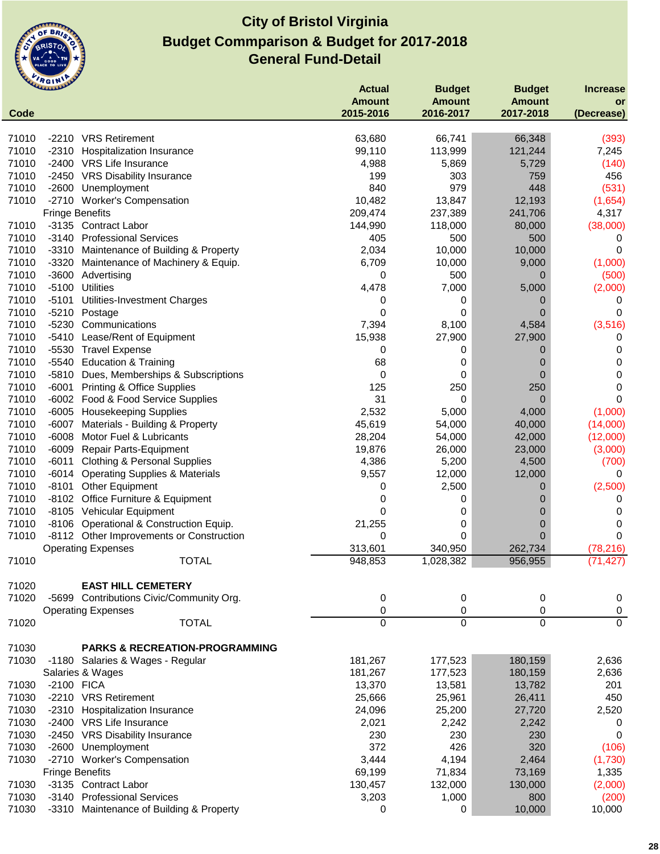

|                | <b>CALLAGEN</b>        |                                                     | <b>Actual</b>      | <b>Budget</b>        | <b>Budget</b>      | <b>Increase</b>       |
|----------------|------------------------|-----------------------------------------------------|--------------------|----------------------|--------------------|-----------------------|
|                |                        |                                                     | <b>Amount</b>      | <b>Amount</b>        | <b>Amount</b>      | or                    |
| Code           |                        |                                                     | 2015-2016          | 2016-2017            | 2017-2018          | (Decrease)            |
| 71010          |                        | -2210 VRS Retirement                                | 63,680             | 66,741               | 66,348             | (393)                 |
| 71010          | -2310                  | Hospitalization Insurance                           | 99,110             | 113,999              | 121,244            | 7,245                 |
| 71010          |                        | -2400 VRS Life Insurance                            | 4,988              | 5,869                | 5,729              | (140)                 |
| 71010          |                        | -2450 VRS Disability Insurance                      | 199                | 303                  | 759                | 456                   |
| 71010          |                        | -2600 Unemployment                                  | 840                | 979                  | 448                | (531)                 |
| 71010          |                        | -2710 Worker's Compensation                         | 10,482             | 13,847               | 12,193             | (1,654)               |
|                | <b>Fringe Benefits</b> |                                                     | 209,474            | 237,389              | 241,706            | 4,317                 |
| 71010          |                        | -3135 Contract Labor                                | 144,990            | 118,000              | 80,000             | (38,000)              |
| 71010          |                        | -3140 Professional Services                         | 405                | 500                  | 500                | 0                     |
| 71010          |                        | -3310 Maintenance of Building & Property            | 2,034              | 10,000               | 10,000             | 0                     |
| 71010          |                        | -3320 Maintenance of Machinery & Equip.             | 6,709              | 10,000               | 9,000              | (1,000)               |
| 71010          |                        | -3600 Advertising                                   | 0                  | 500                  | $\overline{0}$     | (500)                 |
| 71010          | $-5100$                | <b>Utilities</b>                                    | 4,478              | 7,000                | 5,000              | (2,000)               |
| 71010<br>71010 | $-5101$                | Utilities-Investment Charges                        | 0                  | 0                    | 0                  | 0                     |
| 71010          |                        | -5210 Postage<br>-5230 Communications               | 0<br>7,394         | 0                    | 0                  | 0<br>(3, 516)         |
| 71010          |                        | -5410 Lease/Rent of Equipment                       | 15,938             | 8,100<br>27,900      | 4,584<br>27,900    | 0                     |
| 71010          |                        | -5530 Travel Expense                                | 0                  | 0                    | 0                  | 0                     |
| 71010          |                        | -5540 Education & Training                          | 68                 | 0                    | 0                  | 0                     |
| 71010          |                        | -5810 Dues, Memberships & Subscriptions             | 0                  | 0                    | 0                  | 0                     |
| 71010          | $-6001$                | <b>Printing &amp; Office Supplies</b>               | 125                | 250                  | 250                | 0                     |
| 71010          |                        | -6002 Food & Food Service Supplies                  | 31                 | 0                    | $\Omega$           | 0                     |
| 71010          |                        | -6005 Housekeeping Supplies                         | 2,532              | 5,000                | 4,000              | (1,000)               |
| 71010          | -6007                  | Materials - Building & Property                     | 45,619             | 54,000               | 40,000             | (14,000)              |
| 71010          | -6008                  | Motor Fuel & Lubricants                             | 28,204             | 54,000               | 42,000             | (12,000)              |
| 71010          |                        | -6009 Repair Parts-Equipment                        | 19,876             | 26,000               | 23,000             | (3,000)               |
| 71010          | -6011                  | <b>Clothing &amp; Personal Supplies</b>             | 4,386              | 5,200                | 4,500              | (700)                 |
| 71010          |                        | -6014 Operating Supplies & Materials                | 9,557              | 12,000               | 12,000             | 0                     |
| 71010          |                        | -8101 Other Equipment                               | 0                  | 2,500                | 0                  | (2,500)               |
| 71010          |                        | -8102 Office Furniture & Equipment                  | 0                  | 0                    | 0                  | 0                     |
| 71010          |                        | -8105 Vehicular Equipment                           | 0                  | 0                    | O                  | 0                     |
| 71010          |                        | -8106 Operational & Construction Equip.             | 21,255             | 0                    | 0                  | 0                     |
| 71010          |                        | -8112 Other Improvements or Construction            | 0                  | 0                    | 0                  | 0                     |
| 71010          |                        | <b>Operating Expenses</b><br><b>TOTAL</b>           | 313,601<br>948,853 | 340,950<br>1,028,382 | 262,734<br>956,955 | (78, 216)<br>(71.427) |
|                |                        |                                                     |                    |                      |                    |                       |
| 71020          |                        | <b>EAST HILL CEMETERY</b>                           |                    |                      |                    |                       |
| 71020          |                        | -5699 Contributions Civic/Community Org.            | 0                  | 0                    | 0                  | 0                     |
|                |                        | <b>Operating Expenses</b>                           | 0                  | 0                    | 0                  | $\pmb{0}$             |
| 71020          |                        | <b>TOTAL</b>                                        | $\Omega$           | $\Omega$             | $\Omega$           | $\overline{0}$        |
|                |                        |                                                     |                    |                      |                    |                       |
| 71030          |                        | <b>PARKS &amp; RECREATION-PROGRAMMING</b>           |                    |                      |                    |                       |
| 71030          |                        | -1180 Salaries & Wages - Regular                    | 181,267            | 177,523              | 180,159            | 2,636                 |
|                |                        | Salaries & Wages                                    | 181,267            | 177,523              | 180,159            | 2,636                 |
| 71030          | -2100 FICA             |                                                     | 13,370             | 13,581               | 13,782             | 201                   |
| 71030          |                        | -2210 VRS Retirement                                | 25,666             | 25,961               | 26,411             | 450                   |
| 71030          |                        | -2310 Hospitalization Insurance                     | 24,096             | 25,200               | 27,720             | 2,520                 |
| 71030          |                        | -2400 VRS Life Insurance                            | 2,021              | 2,242                | 2,242              | 0                     |
| 71030          |                        | -2450 VRS Disability Insurance                      | 230                | 230                  | 230                | 0                     |
| 71030          | -2600                  | Unemployment                                        | 372                | 426                  | 320                | (106)                 |
| 71030          |                        | -2710 Worker's Compensation                         | 3,444              | 4,194                | 2,464              | (1,730)               |
|                | <b>Fringe Benefits</b> |                                                     | 69,199             | 71,834               | 73,169             | 1,335                 |
| 71030<br>71030 |                        | -3135 Contract Labor<br>-3140 Professional Services | 130,457            | 132,000              | 130,000<br>800     | (2,000)               |
| 71030          |                        | -3310 Maintenance of Building & Property            | 3,203              | 1,000<br>0           | 10,000             | (200)<br>10,000       |
|                |                        |                                                     | 0                  |                      |                    |                       |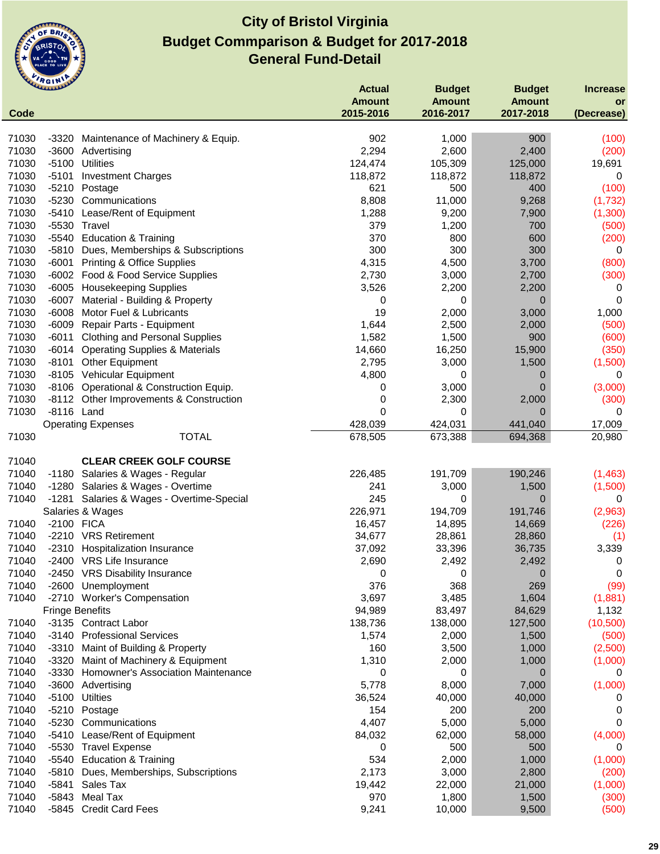

|                | <b>CLAMAN DE</b>       |                                           | <b>Actual</b> | <b>Budget</b> | <b>Budget</b>  | <b>Increase</b> |
|----------------|------------------------|-------------------------------------------|---------------|---------------|----------------|-----------------|
|                |                        |                                           | <b>Amount</b> | <b>Amount</b> | <b>Amount</b>  | or              |
| Code           |                        |                                           | 2015-2016     | 2016-2017     | 2017-2018      | (Decrease)      |
| 71030          | -3320                  | Maintenance of Machinery & Equip.         | 902           | 1,000         | 900            | (100)           |
| 71030          |                        | -3600 Advertising                         | 2,294         | 2,600         | 2,400          | (200)           |
| 71030          | $-5100$                | <b>Utilities</b>                          | 124,474       | 105,309       | 125,000        | 19,691          |
| 71030          | $-5101$                | <b>Investment Charges</b>                 | 118,872       | 118,872       | 118,872        | 0               |
| 71030          | $-5210$                | Postage                                   | 621           | 500           | 400            | (100)           |
| 71030          | $-5230$                | Communications                            | 8,808         | 11,000        | 9,268          | (1,732)         |
| 71030          | $-5410$                | Lease/Rent of Equipment                   | 1,288         | 9,200         | 7,900          | (1,300)         |
| 71030          | -5530                  | Travel                                    | 379           | 1,200         | 700            | (500)           |
| 71030          | -5540                  | <b>Education &amp; Training</b>           | 370           | 800           | 600            | (200)           |
| 71030          | -5810                  | Dues, Memberships & Subscriptions         | 300           | 300           | 300            | 0               |
| 71030          | -6001                  | <b>Printing &amp; Office Supplies</b>     | 4,315         | 4,500         | 3,700          | (800)           |
| 71030          |                        | -6002 Food & Food Service Supplies        | 2,730         | 3,000         | 2,700          | (300)           |
| 71030          |                        | -6005 Housekeeping Supplies               | 3,526         | 2,200         | 2,200          | 0               |
| 71030          | $-6007$                | Material - Building & Property            | 0             | 0             | $\overline{0}$ | 0               |
| 71030          | $-6008$                | Motor Fuel & Lubricants                   | 19            | 2,000         | 3,000          | 1,000           |
| 71030          | -6009                  | Repair Parts - Equipment                  | 1,644         | 2,500         | 2,000          | (500)           |
| 71030          | $-6011$                | <b>Clothing and Personal Supplies</b>     | 1,582         | 1,500         | 900            | (600)           |
| 71030          | -6014                  | <b>Operating Supplies &amp; Materials</b> | 14,660        | 16,250        | 15,900         | (350)           |
| 71030          | -8101                  | <b>Other Equipment</b>                    | 2,795         | 3,000         | 1,500          | (1,500)         |
| 71030          |                        | -8105 Vehicular Equipment                 | 4,800         | 0             | 0              | 0               |
| 71030          | -8106                  | Operational & Construction Equip.         | 0             | 3,000         | 0              | (3,000)         |
| 71030<br>71030 | -8116 Land             | -8112 Other Improvements & Construction   | 0<br>$\Omega$ | 2,300<br>0    | 2,000<br>0     | (300)<br>0      |
|                |                        | <b>Operating Expenses</b>                 | 428,039       | 424,031       | 441,040        | 17,009          |
| 71030          |                        | <b>TOTAL</b>                              | 678,505       | 673,388       | 694,368        | 20,980          |
|                |                        |                                           |               |               |                |                 |
| 71040          |                        | <b>CLEAR CREEK GOLF COURSE</b>            |               |               |                |                 |
| 71040          |                        | -1180 Salaries & Wages - Regular          | 226,485       | 191,709       | 190,246        | (1,463)         |
| 71040          |                        | -1280 Salaries & Wages - Overtime         | 241           | 3,000         | 1,500          | (1,500)         |
| 71040          | -1281                  | Salaries & Wages - Overtime-Special       | 245           | 0             | $\overline{0}$ | 0               |
|                |                        | Salaries & Wages                          | 226,971       | 194,709       | 191,746        | (2,963)         |
| 71040          | -2100 FICA             |                                           | 16,457        | 14,895        | 14,669         | (226)           |
| 71040          |                        | -2210 VRS Retirement                      | 34,677        | 28,861        | 28,860         | (1)             |
| 71040          | -2310                  | Hospitalization Insurance                 | 37,092        | 33,396        | 36,735         | 3,339           |
| 71040          |                        | -2400 VRS Life Insurance                  | 2,690         | 2,492         | 2,492          | 0               |
| 71040          |                        | -2450 VRS Disability Insurance            | 0             | 0             | 0              | 0               |
| 71040          |                        | -2600 Unemployment                        | 376           | 368           | 269            | (99)            |
| 71040          |                        | -2710 Worker's Compensation               | 3,697         | 3,485         | 1,604          | (1,881)         |
|                | <b>Fringe Benefits</b> |                                           | 94,989        | 83,497        | 84,629         | 1,132           |
| 71040          |                        | -3135 Contract Labor                      | 138,736       | 138,000       | 127,500        | (10, 500)       |
| 71040          |                        | -3140 Professional Services               | 1,574         | 2,000         | 1,500          | (500)           |
| 71040          |                        | -3310 Maint of Building & Property        | 160           | 3,500         | 1,000          | (2,500)         |
| 71040          | $-3320$                | Maint of Machinery & Equipment            | 1,310         | 2,000         | 1,000          | (1,000)         |
| 71040          | $-3330$                | <b>Homowner's Association Maintenance</b> | 0             | 0             | 0              | 0               |
| 71040          |                        | -3600 Advertising                         | 5,778         | 8,000         | 7,000          | (1,000)         |
| 71040          | $-5100$                | <b>Utilties</b>                           | 36,524        | 40,000        | 40,000         | 0               |
| 71040          | $-5210$                | Postage                                   | 154           | 200           | 200            | 0               |
| 71040          | -5230                  | Communications                            | 4,407         | 5,000         | 5,000          | 0               |
| 71040          | -5410                  | Lease/Rent of Equipment                   | 84,032        | 62,000        | 58,000         | (4,000)         |
| 71040          | $-5530$                | <b>Travel Expense</b>                     | 0             | 500           | 500            | 0               |
| 71040          | -5540                  | <b>Education &amp; Training</b>           | 534           | 2,000         | 1,000          | (1,000)         |
| 71040          | -5810                  | Dues, Memberships, Subscriptions          | 2,173         | 3,000         | 2,800          | (200)           |
| 71040          | $-5841$                | Sales Tax                                 | 19,442        | 22,000        | 21,000         | (1,000)         |
| 71040          | $-5843$                | <b>Meal Tax</b>                           | 970           | 1,800         | 1,500          | (300)           |
| 71040          | $-5845$                | <b>Credit Card Fees</b>                   | 9,241         | 10,000        | 9,500          | (500)           |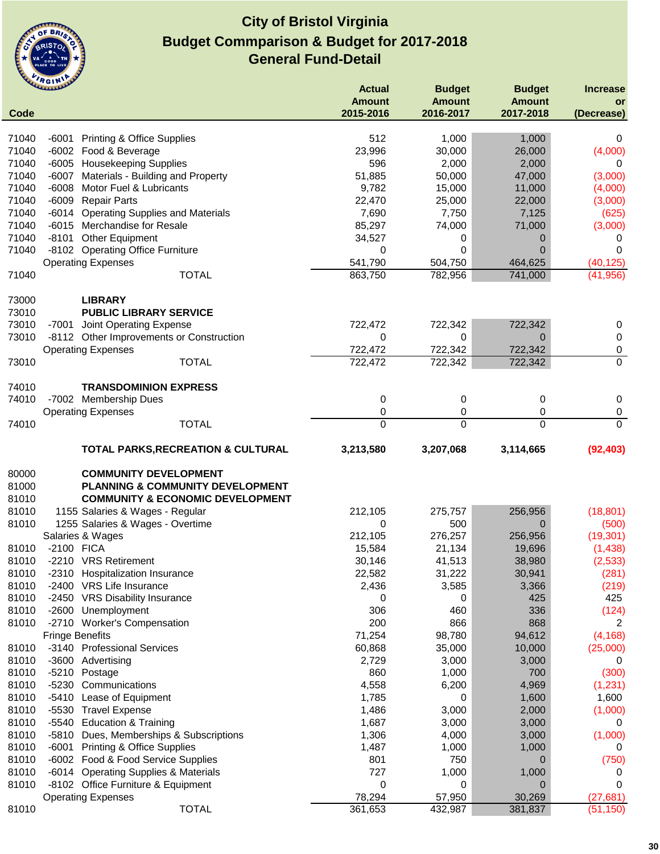

|       | <b>UMMANY</b>          |                                                      | <b>Actual</b> | <b>Budget</b> | <b>Budget</b>  | <b>Increase</b> |
|-------|------------------------|------------------------------------------------------|---------------|---------------|----------------|-----------------|
|       |                        |                                                      | <b>Amount</b> | <b>Amount</b> | <b>Amount</b>  | or              |
| Code  |                        |                                                      | 2015-2016     | 2016-2017     | 2017-2018      | (Decrease)      |
|       |                        |                                                      |               |               |                |                 |
| 71040 |                        | -6001 Printing & Office Supplies                     | 512           | 1,000         | 1,000          | 0               |
| 71040 |                        | -6002 Food & Beverage                                | 23,996        | 30,000        | 26,000         | (4,000)         |
| 71040 |                        | -6005 Housekeeping Supplies                          | 596           | 2,000         | 2,000          | 0               |
| 71040 |                        | -6007 Materials - Building and Property              | 51,885        | 50,000        | 47,000         | (3,000)         |
| 71040 | $-6008$                | Motor Fuel & Lubricants                              | 9,782         | 15,000        | 11,000         | (4,000)         |
| 71040 | -6009                  | <b>Repair Parts</b>                                  | 22,470        | 25,000        | 22,000         | (3,000)         |
| 71040 | -6014                  | <b>Operating Supplies and Materials</b>              | 7,690         | 7,750         | 7,125          | (625)           |
| 71040 |                        | -6015 Merchandise for Resale                         | 85,297        | 74,000        | 71,000         | (3,000)         |
| 71040 | $-8101$                | Other Equipment                                      | 34,527        | 0             | 0              | 0               |
| 71040 |                        | -8102 Operating Office Furniture                     | 0             | 0             | $\mathbf 0$    | $\Omega$        |
|       |                        | <b>Operating Expenses</b>                            | 541,790       | 504,750       | 464,625        | (40, 125)       |
| 71040 |                        | <b>TOTAL</b>                                         | 863,750       | 782,956       | 741,000        | (41, 956)       |
| 73000 |                        | <b>LIBRARY</b>                                       |               |               |                |                 |
| 73010 |                        | <b>PUBLIC LIBRARY SERVICE</b>                        |               |               |                |                 |
| 73010 |                        | -7001 Joint Operating Expense                        | 722,472       | 722,342       | 722,342        | 0               |
| 73010 |                        | -8112 Other Improvements or Construction             | 0             | 0             | 0              | 0               |
|       |                        | <b>Operating Expenses</b>                            | 722,472       | 722,342       | 722,342        | 0               |
| 73010 |                        | <b>TOTAL</b>                                         | 722,472       | 722,342       | 722,342        | 0               |
|       |                        |                                                      |               |               |                |                 |
| 74010 |                        | <b>TRANSDOMINION EXPRESS</b>                         |               |               |                |                 |
| 74010 |                        | -7002 Membership Dues                                | 0             | 0             | 0              | 0               |
|       |                        | <b>Operating Expenses</b>                            | 0             | 0             | 0              | $\pmb{0}$       |
| 74010 |                        | <b>TOTAL</b>                                         | $\Omega$      | $\Omega$      | $\Omega$       | $\Omega$        |
|       |                        |                                                      |               |               |                |                 |
|       |                        | <b>TOTAL PARKS, RECREATION &amp; CULTURAL</b>        | 3,213,580     | 3,207,068     | 3,114,665      | (92, 403)       |
| 80000 |                        | <b>COMMUNITY DEVELOPMENT</b>                         |               |               |                |                 |
| 81000 |                        | <b>PLANNING &amp; COMMUNITY DEVELOPMENT</b>          |               |               |                |                 |
| 81010 |                        | <b>COMMUNITY &amp; ECONOMIC DEVELOPMENT</b>          |               |               |                |                 |
| 81010 |                        | 1155 Salaries & Wages - Regular                      | 212,105       | 275,757       | 256,956        | (18, 801)       |
| 81010 |                        |                                                      |               | 500           | $\mathbf 0$    |                 |
|       |                        | 1255 Salaries & Wages - Overtime<br>Salaries & Wages | 0             |               |                | (500)           |
|       |                        |                                                      | 212,105       | 276,257       | 256,956        | (19, 301)       |
| 81010 | -2100 FICA             |                                                      | 15,584        | 21,134        | 19,696         | (1,438)         |
| 81010 |                        | -2210 VRS Retirement                                 | 30,146        | 41,513        | 38,980         | (2,533)         |
| 81010 |                        | -2310 Hospitalization Insurance                      | 22,582        | 31,222        | 30,941         | (281)           |
| 81010 |                        | -2400 VRS Life Insurance                             | 2,436         | 3,585         | 3,366          | (219)           |
| 81010 |                        | -2450 VRS Disability Insurance                       | 0             | 0             | 425            | 425             |
| 81010 | $-2600$                | Unemployment                                         | 306           | 460           | 336            | (124)           |
| 81010 |                        | -2710 Worker's Compensation                          | 200           | 866           | 868            | 2               |
|       | <b>Fringe Benefits</b> |                                                      | 71,254        | 98,780        | 94,612         | (4, 168)        |
| 81010 |                        | -3140 Professional Services                          | 60,868        | 35,000        | 10,000         | (25,000)        |
| 81010 |                        | -3600 Advertising                                    | 2,729         | 3,000         | 3,000          | 0               |
| 81010 | $-5210$                | Postage                                              | 860           | 1,000         | 700            | (300)           |
| 81010 | $-5230$                | Communications                                       | 4,558         | 6,200         | 4,969          | (1, 231)        |
| 81010 | $-5410$                | Lease of Equipment                                   | 1,785         | 0             | 1,600          | 1,600           |
| 81010 | $-5530$                | <b>Travel Expense</b>                                | 1,486         | 3,000         | 2,000          | (1,000)         |
| 81010 | -5540                  | <b>Education &amp; Training</b>                      | 1,687         | 3,000         | 3,000          | 0               |
| 81010 | -5810                  | Dues, Memberships & Subscriptions                    | 1,306         | 4,000         | 3,000          | (1,000)         |
| 81010 | $-6001$                | <b>Printing &amp; Office Supplies</b>                | 1,487         | 1,000         | 1,000          | 0               |
| 81010 |                        | -6002 Food & Food Service Supplies                   | 801           | 750           | 0              | (750)           |
| 81010 |                        | -6014 Operating Supplies & Materials                 | 727           | 1,000         | 1,000          | 0               |
| 81010 |                        | -8102 Office Furniture & Equipment                   | 0             | 0             | $\overline{0}$ | 0               |
|       |                        | <b>Operating Expenses</b>                            | 78,294        | 57,950        | 30,269         | (27, 681)       |
| 81010 |                        | <b>TOTAL</b>                                         | 361,653       | 432,987       | 381,837        | (51, 150)       |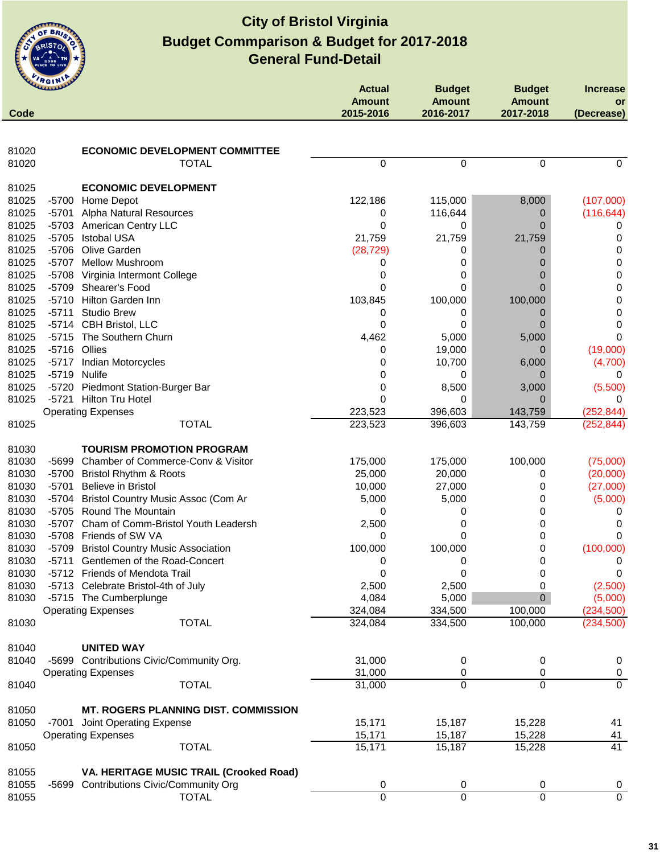

| Code           | umm                |                                                           | <b>Actual</b><br><b>Amount</b><br>2015-2016 | <b>Budget</b><br><b>Amount</b><br>2016-2017 | <b>Budget</b><br><b>Amount</b><br>2017-2018 | <b>Increase</b><br>or<br>(Decrease) |
|----------------|--------------------|-----------------------------------------------------------|---------------------------------------------|---------------------------------------------|---------------------------------------------|-------------------------------------|
|                |                    |                                                           |                                             |                                             |                                             |                                     |
|                |                    |                                                           |                                             |                                             |                                             |                                     |
| 81020<br>81020 |                    | <b>ECONOMIC DEVELOPMENT COMMITTEE</b><br><b>TOTAL</b>     | $\mathbf 0$                                 | 0                                           | $\Omega$                                    | 0                                   |
|                |                    |                                                           |                                             |                                             |                                             |                                     |
| 81025          |                    | <b>ECONOMIC DEVELOPMENT</b>                               |                                             |                                             |                                             |                                     |
| 81025          |                    | -5700 Home Depot                                          | 122,186                                     | 115,000                                     | 8,000                                       | (107,000)                           |
| 81025          |                    | -5701 Alpha Natural Resources                             | 0                                           | 116,644                                     | 0                                           | (116, 644)                          |
| 81025          |                    | -5703 American Centry LLC                                 | 0                                           | 0                                           | 0                                           |                                     |
| 81025          | $-5705$            | <b>Istobal USA</b>                                        | 21,759                                      | 21,759                                      | 21,759                                      | 0                                   |
| 81025          | $-5706$            | Olive Garden                                              | (28, 729)                                   | 0                                           | 0                                           | 0                                   |
| 81025          | $-5707$            | <b>Mellow Mushroom</b>                                    | 0                                           | 0                                           |                                             | 0                                   |
| 81025<br>81025 | $-5708$            | Virginia Intermont College                                | 0<br>0                                      | 0                                           |                                             | $\pmb{0}$                           |
| 81025          | $-5709$<br>$-5710$ | Shearer's Food<br>Hilton Garden Inn                       | 103,845                                     | 0<br>100,000                                | 100,000                                     | 0                                   |
| 81025          | $-5711$            | <b>Studio Brew</b>                                        | 0                                           | 0                                           | 0                                           | 0<br>0                              |
| 81025          | -5714              | CBH Bristol, LLC                                          | 0                                           | 0                                           |                                             | 0                                   |
| 81025          | $-5715$            | The Southern Churn                                        | 4,462                                       | 5,000                                       | 5,000                                       | 0                                   |
| 81025          |                    | -5716 Ollies                                              | 0                                           | 19,000                                      | $\mathbf{0}$                                | (19,000)                            |
| 81025          | $-5717$            | Indian Motorcycles                                        | 0                                           | 10,700                                      | 6,000                                       | (4,700)                             |
| 81025          |                    | -5719 Nulife                                              | 0                                           | 0                                           |                                             |                                     |
| 81025          | $-5720$            | <b>Piedmont Station-Burger Bar</b>                        | 0                                           | 8,500                                       | 3,000                                       | (5,500)                             |
| 81025          |                    | -5721 Hilton Tru Hotel                                    | 0                                           | 0                                           | 0                                           |                                     |
|                |                    | <b>Operating Expenses</b>                                 | 223,523                                     | 396,603                                     | 143,759                                     | (252, 844)                          |
| 81025          |                    | <b>TOTAL</b>                                              | 223,523                                     | 396,603                                     | 143,759                                     | (252, 844)                          |
|                |                    |                                                           |                                             |                                             |                                             |                                     |
| 81030          |                    | <b>TOURISM PROMOTION PROGRAM</b>                          |                                             |                                             |                                             |                                     |
| 81030          |                    | -5699 Chamber of Commerce-Conv & Visitor                  | 175,000                                     | 175,000                                     | 100,000                                     | (75,000)                            |
| 81030          |                    | -5700 Bristol Rhythm & Roots                              | 25,000                                      | 20,000                                      | 0                                           | (20,000)                            |
| 81030          | $-5701$            | Believe in Bristol                                        | 10,000                                      | 27,000                                      | 0                                           | (27,000)                            |
| 81030<br>81030 | -5704<br>$-5705$   | Bristol Country Music Assoc (Com Ar<br>Round The Mountain | 5,000<br>0                                  | 5,000                                       | 0<br>0                                      | (5,000)                             |
| 81030          | $-5707$            | Cham of Comm-Bristol Youth Leadersh                       | 2,500                                       | 0<br>0                                      | 0                                           | 0                                   |
| 81030          | $-5708$            | Friends of SW VA                                          | 0                                           | 0                                           | 0                                           | 0                                   |
| 81030          | -5709              | <b>Bristol Country Music Association</b>                  | 100,000                                     | 100,000                                     | 0                                           | (100,000)                           |
| 81030          | $-5711$            | Gentlemen of the Road-Concert                             | 0                                           | 0                                           | 0                                           | 0                                   |
| 81030          |                    | -5712 Friends of Mendota Trail                            | 0                                           | 0                                           | 0                                           | 0                                   |
| 81030          |                    | -5713 Celebrate Bristol-4th of July                       | 2,500                                       | 2,500                                       | 0                                           | (2,500)                             |
| 81030          |                    | -5715 The Cumberplunge                                    | 4,084                                       | 5,000                                       | 0                                           | (5,000)                             |
|                |                    | <b>Operating Expenses</b>                                 | 324,084                                     | 334,500                                     | 100,000                                     | (234, 500)                          |
| 81030          |                    | <b>TOTAL</b>                                              | 324,084                                     | 334,500                                     | 100,000                                     | (234, 500)                          |
|                |                    |                                                           |                                             |                                             |                                             |                                     |
| 81040          |                    | <b>UNITED WAY</b>                                         |                                             |                                             |                                             |                                     |
| 81040          |                    | -5699 Contributions Civic/Community Org.                  | 31,000                                      | 0                                           | 0                                           | $\mathbf 0$                         |
| 81040          |                    | <b>Operating Expenses</b><br><b>TOTAL</b>                 | 31,000<br>31,000                            | 0<br>0                                      | 0<br>$\mathbf 0$                            | $\pmb{0}$<br>$\overline{0}$         |
|                |                    |                                                           |                                             |                                             |                                             |                                     |
| 81050          |                    | <b>MT. ROGERS PLANNING DIST. COMMISSION</b>               |                                             |                                             |                                             |                                     |
| 81050          | $-7001$            | Joint Operating Expense                                   | 15,171                                      | 15,187                                      | 15,228                                      | 41                                  |
|                |                    | <b>Operating Expenses</b>                                 | 15,171                                      | 15,187                                      | 15,228                                      | 41                                  |
| 81050          |                    | <b>TOTAL</b>                                              | 15,171                                      | 15,187                                      | 15,228                                      | 41                                  |
|                |                    |                                                           |                                             |                                             |                                             |                                     |
| 81055          |                    | VA. HERITAGE MUSIC TRAIL (Crooked Road)                   |                                             |                                             |                                             |                                     |
| 81055          |                    | -5699 Contributions Civic/Community Org                   | 0<br>$\overline{0}$                         | 0<br>$\overline{0}$                         | 0<br>$\overline{0}$                         | 0                                   |
| 81055          |                    | <b>TOTAL</b>                                              |                                             |                                             |                                             | $\overline{0}$                      |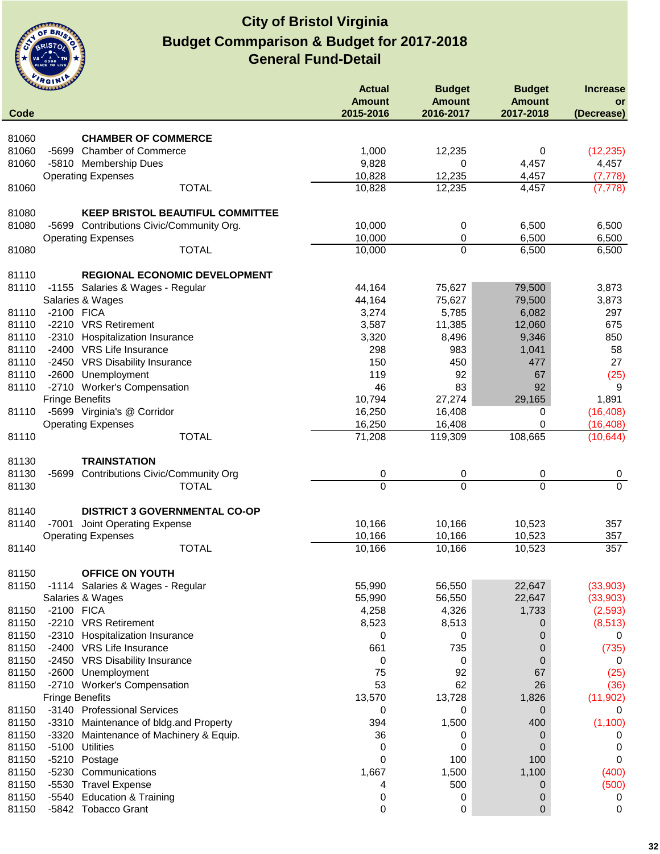

|                | <b>WALLAND</b>                                                | <b>Actual</b>              | <b>Budget</b>              | <b>Budget</b>              | <b>Increase</b>        |
|----------------|---------------------------------------------------------------|----------------------------|----------------------------|----------------------------|------------------------|
| Code           |                                                               | <b>Amount</b><br>2015-2016 | <b>Amount</b><br>2016-2017 | <b>Amount</b><br>2017-2018 | or<br>(Decrease)       |
| 81060          | <b>CHAMBER OF COMMERCE</b>                                    |                            |                            |                            |                        |
| 81060          | -5699 Chamber of Commerce                                     | 1,000                      | 12,235                     | 0                          | (12, 235)              |
| 81060          | -5810 Membership Dues                                         | 9,828                      | 0                          | 4,457                      | 4,457                  |
|                | <b>Operating Expenses</b>                                     | 10,828                     | 12,235                     | 4,457                      | (7, 778)               |
| 81060          | <b>TOTAL</b>                                                  | 10,828                     | 12,235                     | 4,457                      | (7, 778)               |
| 81080          | <b>KEEP BRISTOL BEAUTIFUL COMMITTEE</b>                       |                            |                            |                            |                        |
| 81080          | -5699 Contributions Civic/Community Org.                      | 10,000                     | 0                          | 6,500                      | 6,500                  |
|                | <b>Operating Expenses</b>                                     | 10,000                     | 0                          | 6,500                      | 6,500                  |
| 81080          | <b>TOTAL</b>                                                  | 10,000                     | $\mathbf 0$                | 6,500                      | 6,500                  |
| 81110          | <b>REGIONAL ECONOMIC DEVELOPMENT</b>                          |                            |                            |                            |                        |
| 81110          | -1155 Salaries & Wages - Regular                              | 44,164                     | 75,627                     | 79,500                     | 3,873                  |
|                | Salaries & Wages                                              | 44,164                     | 75,627                     | 79,500                     | 3,873                  |
| 81110          | -2100 FICA                                                    | 3,274                      | 5,785                      | 6,082                      | 297                    |
| 81110          | -2210 VRS Retirement                                          | 3,587                      | 11,385                     | 12,060                     | 675                    |
| 81110          | -2310 Hospitalization Insurance                               | 3,320                      | 8,496                      | 9,346                      | 850                    |
| 81110          | -2400 VRS Life Insurance                                      | 298                        | 983                        | 1,041                      | 58                     |
| 81110          | -2450 VRS Disability Insurance                                | 150                        | 450                        | 477                        | 27                     |
| 81110          | -2600 Unemployment                                            | 119                        | 92                         | 67                         | (25)                   |
| 81110          | -2710 Worker's Compensation                                   | 46                         | 83                         | 92                         | 9                      |
|                | <b>Fringe Benefits</b>                                        | 10,794                     | 27,274                     | 29,165                     | 1,891                  |
| 81110          | -5699 Virginia's @ Corridor                                   | 16,250                     | 16,408                     | 0                          | (16, 408)              |
| 81110          | <b>Operating Expenses</b><br><b>TOTAL</b>                     | 16,250<br>71,208           | 16,408<br>119,309          | $\mathbf 0$<br>108,665     | (16, 408)<br>(10, 644) |
|                |                                                               |                            |                            |                            |                        |
| 81130          | <b>TRAINSTATION</b>                                           |                            |                            |                            |                        |
| 81130          | <b>Contributions Civic/Community Org</b><br>-5699             | 0                          | 0                          | 0                          | $\boldsymbol{0}$       |
| 81130          | <b>TOTAL</b>                                                  | $\Omega$                   | $\Omega$                   | $\Omega$                   | $\Omega$               |
| 81140          | <b>DISTRICT 3 GOVERNMENTAL CO-OP</b>                          |                            |                            |                            |                        |
| 81140          | Joint Operating Expense<br>-7001                              | 10,166                     | 10,166                     | 10,523                     | 357                    |
|                | <b>Operating Expenses</b>                                     | 10,166                     | 10,166                     | 10,523                     | 357                    |
| 81140          | <b>TOTAL</b>                                                  | 10,166                     | 10,166                     | 10,523                     | 357                    |
| 81150          | <b>OFFICE ON YOUTH</b>                                        |                            |                            |                            |                        |
| 81150          | -1114 Salaries & Wages - Regular                              | 55,990                     | 56,550                     | 22,647                     | (33,903)               |
|                | Salaries & Wages                                              | 55,990                     | 56,550                     | 22,647                     | (33,903)               |
| 81150          | -2100 FICA                                                    | 4,258                      | 4,326                      | 1,733                      | (2,593)                |
| 81150          | -2210 VRS Retirement                                          | 8,523                      | 8,513                      | 0                          | (8, 513)               |
| 81150          | -2310 Hospitalization Insurance                               | 0                          | 0                          | 0                          | 0                      |
| 81150          | -2400 VRS Life Insurance                                      | 661                        | 735                        | 0                          | (735)                  |
| 81150          | <b>VRS Disability Insurance</b><br>-2450                      | 0                          | 0                          | 0                          | 0                      |
| 81150          | $-2600$<br>Unemployment                                       | 75                         | 92                         | 67                         | (25)                   |
| 81150          | -2710 Worker's Compensation                                   | 53                         | 62                         | 26                         | (36)                   |
|                | <b>Fringe Benefits</b>                                        | 13,570                     | 13,728                     | 1,826                      | (11, 902)              |
| 81150          | -3140 Professional Services                                   | 0                          | 0                          | 0                          | 0                      |
| 81150          | -3310 Maintenance of bldg.and Property                        | 394                        | 1,500                      | 400                        | (1, 100)               |
| 81150          | $-3320$<br>Maintenance of Machinery & Equip.                  | 36                         | 0                          | 0                          | 0                      |
| 81150          | $-5100$<br><b>Utilities</b>                                   | 0                          | 0                          | 0                          | 0                      |
| 81150<br>81150 | $-5210$<br>Postage                                            | 0<br>1,667                 | 100                        | 100                        | 0                      |
| 81150          | $-5230$<br>Communications<br>$-5530$<br><b>Travel Expense</b> | 4                          | 1,500<br>500               | 1,100                      | (400)                  |
| 81150          | $-5540$<br><b>Education &amp; Training</b>                    | 0                          | 0                          | 0<br>0                     | (500)<br>0             |
| 81150          | -5842 Tobacco Grant                                           | 0                          | 0                          | $\mathbf 0$                | 0                      |
|                |                                                               |                            |                            |                            |                        |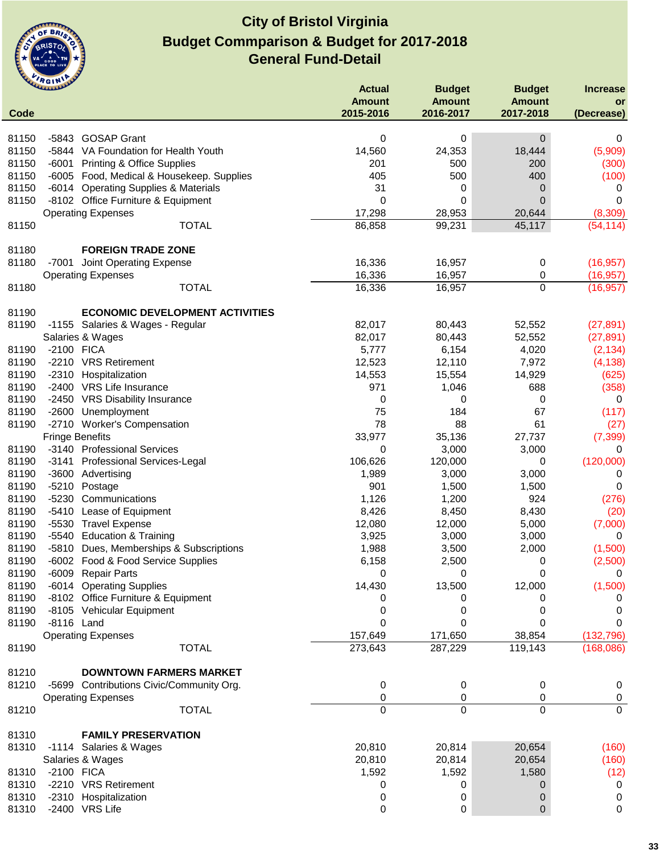

|                | <b>CLARALAND</b>       |                                           | <b>Actual</b> | <b>Budget</b> | <b>Budget</b> | <b>Increase</b>      |
|----------------|------------------------|-------------------------------------------|---------------|---------------|---------------|----------------------|
|                |                        |                                           | <b>Amount</b> | <b>Amount</b> | <b>Amount</b> | <b>or</b>            |
| Code           |                        |                                           | 2015-2016     | 2016-2017     | 2017-2018     | (Decrease)           |
| 81150          |                        | -5843 GOSAP Grant                         | 0             | 0             | 0             | 0                    |
| 81150          |                        | -5844 VA Foundation for Health Youth      | 14,560        | 24,353        | 18,444        | (5,909)              |
| 81150          | $-6001$                |                                           | 201           | 500           | 200           |                      |
|                |                        | <b>Printing &amp; Office Supplies</b>     |               |               |               | (300)                |
| 81150<br>81150 |                        | -6005 Food, Medical & Housekeep. Supplies | 405<br>31     | 500           | 400           | (100)                |
|                |                        | -6014 Operating Supplies & Materials      |               | 0<br>0        | 0             | 0<br>0               |
| 81150          |                        | -8102 Office Furniture & Equipment        | 0             |               | 0             |                      |
| 81150          |                        | <b>Operating Expenses</b><br><b>TOTAL</b> | 17,298        | 28,953        | 20,644        | (8,309)<br>(54, 114) |
|                |                        |                                           | 86,858        | 99,231        | 45,117        |                      |
| 81180          |                        | <b>FOREIGN TRADE ZONE</b>                 |               |               |               |                      |
| 81180          |                        | -7001 Joint Operating Expense             | 16,336        | 16,957        | 0             | (16, 957)            |
|                |                        | <b>Operating Expenses</b>                 | 16,336        | 16,957        | 0             | (16, 957)            |
| 81180          |                        | <b>TOTAL</b>                              | 16,336        | 16,957        | $\mathbf 0$   | (16, 957)            |
|                |                        |                                           |               |               |               |                      |
| 81190          |                        | <b>ECONOMIC DEVELOPMENT ACTIVITIES</b>    |               |               |               |                      |
| 81190          |                        | -1155 Salaries & Wages - Regular          | 82,017        | 80,443        | 52,552        | (27, 891)            |
|                |                        | Salaries & Wages                          | 82,017        | 80,443        | 52,552        | (27, 891)            |
| 81190          | -2100 FICA             |                                           | 5,777         | 6,154         | 4,020         | (2, 134)             |
| 81190          |                        | -2210 VRS Retirement                      | 12,523        | 12,110        | 7,972         | (4, 138)             |
| 81190          |                        | -2310 Hospitalization                     | 14,553        | 15,554        | 14,929        | (625)                |
| 81190          |                        | -2400 VRS Life Insurance                  | 971           | 1,046         | 688           | (358)                |
| 81190          |                        | -2450 VRS Disability Insurance            | 0             | 0             | 0             | 0                    |
| 81190          | $-2600$                | Unemployment                              | 75            | 184           | 67            | (117)                |
| 81190          |                        | -2710 Worker's Compensation               | 78            | 88            | 61            | (27)                 |
|                | <b>Fringe Benefits</b> |                                           | 33,977        | 35,136        | 27,737        | (7, 399)             |
| 81190          |                        | -3140 Professional Services               | 0             | 3,000         | 3,000         | 0                    |
| 81190          | -3141                  | Professional Services-Legal               | 106,626       | 120,000       | 0             | (120,000)            |
| 81190          |                        | -3600 Advertising                         | 1,989         | 3,000         | 3,000         | 0                    |
| 81190          | $-5210$                | Postage                                   | 901           | 1,500         | 1,500         | 0                    |
| 81190          | $-5230$                | Communications                            | 1,126         | 1,200         | 924           | (276)                |
| 81190          | $-5410$                | Lease of Equipment                        | 8,426         | 8,450         | 8,430         | (20)                 |
| 81190          | $-5530$                | <b>Travel Expense</b>                     | 12,080        | 12,000        | 5,000         | (7,000)              |
| 81190          | $-5540$                | <b>Education &amp; Training</b>           | 3,925         | 3,000         | 3,000         | 0                    |
| 81190          | $-5810$                | Dues, Memberships & Subscriptions         | 1,988         | 3,500         | 2,000         | (1,500)              |
| 81190          | $-6002$                | Food & Food Service Supplies              | 6,158         | 2,500         | 0             | (2,500)              |
| 81190          |                        | -6009 Repair Parts                        | 0             | 0             | 0             | 0                    |
| 81190          |                        | -6014 Operating Supplies                  | 14,430        | 13,500        | 12,000        | (1,500)              |
| 81190          |                        | -8102 Office Furniture & Equipment        | 0             | 0             | 0             | 0                    |
| 81190          |                        | -8105 Vehicular Equipment                 | 0             | 0             | 0             | 0                    |
| 81190          | -8116 Land             |                                           | 0             | 0             | 0             | 0                    |
|                |                        | <b>Operating Expenses</b>                 | 157,649       | 171,650       | 38,854        | (132, 796)           |
| 81190          |                        | <b>TOTAL</b>                              | 273,643       | 287,229       | 119,143       | (168,086)            |
|                |                        |                                           |               |               |               |                      |
| 81210          |                        | <b>DOWNTOWN FARMERS MARKET</b>            |               |               |               |                      |
| 81210          |                        | -5699 Contributions Civic/Community Org.  | 0             | 0             | 0             | 0                    |
|                |                        | <b>Operating Expenses</b>                 | 0             | 0             | 0             | 0                    |
| 81210          |                        | <b>TOTAL</b>                              | 0             | $\Omega$      | 0             | $\overline{0}$       |
|                |                        |                                           |               |               |               |                      |
| 81310          |                        | <b>FAMILY PRESERVATION</b>                |               |               |               |                      |
| 81310          |                        | -1114 Salaries & Wages                    | 20,810        | 20,814        | 20,654        | (160)                |
|                |                        | Salaries & Wages                          | 20,810        | 20,814        | 20,654        | (160)                |
| 81310          | -2100 FICA             |                                           | 1,592         | 1,592         | 1,580         | (12)                 |
| 81310          |                        | -2210 VRS Retirement                      | 0             | 0             | 0             | 0                    |
| 81310          |                        | -2310 Hospitalization                     | 0             | 0             | 0             | 0                    |
| 81310          |                        | -2400 VRS Life                            | 0             | 0             | 0             | 0                    |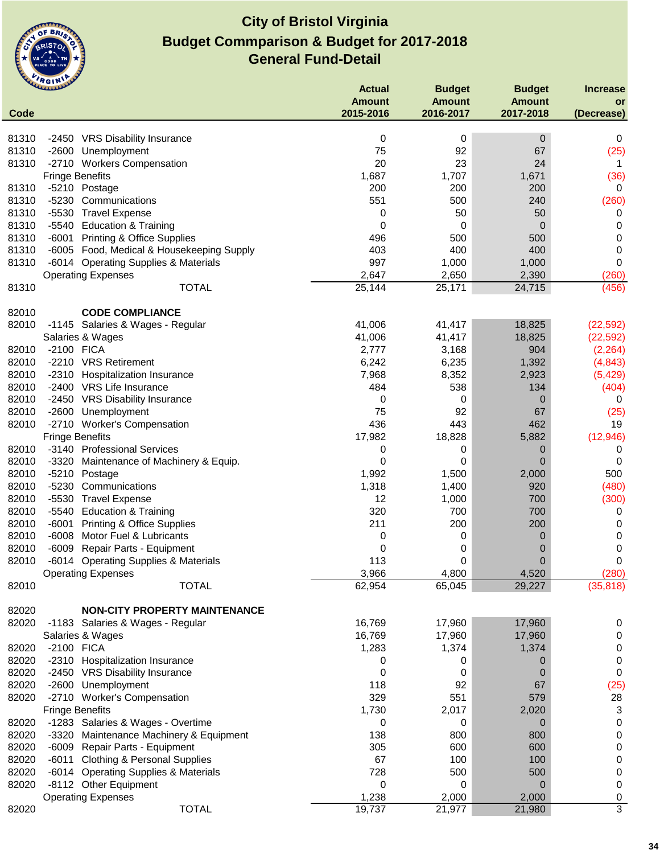

|                | <b>UMMAN</b>                                                | <b>Actual</b>  | <b>Budget</b> | <b>Budget</b> | <b>Increase</b> |
|----------------|-------------------------------------------------------------|----------------|---------------|---------------|-----------------|
|                |                                                             | <b>Amount</b>  | <b>Amount</b> | <b>Amount</b> | or              |
| Code           |                                                             | 2015-2016      | 2016-2017     | 2017-2018     | (Decrease)      |
| 81310          | -2450 VRS Disability Insurance                              | 0              | 0             | $\mathbf 0$   | 0               |
| 81310          | -2600 Unemployment                                          | 75             | 92            | 67            | (25)            |
| 81310          | -2710 Workers Compensation                                  | 20             | 23            | 24            | 1               |
|                | <b>Fringe Benefits</b>                                      | 1,687          | 1,707         | 1,671         | (36)            |
| 81310          | -5210 Postage                                               | 200            | 200           | 200           | 0               |
| 81310          | -5230<br>Communications                                     | 551            | 500           | 240           | (260)           |
| 81310          | -5530<br><b>Travel Expense</b>                              | 0              | 50            | 50            | 0               |
| 81310          | -5540 Education & Training                                  | 0              | 0             | 0             | 0               |
| 81310          | -6001<br><b>Printing &amp; Office Supplies</b>              | 496            | 500           | 500           | 0               |
| 81310          | -6005 Food, Medical & Housekeeping Supply                   | 403            | 400           | 400           | 0               |
| 81310          | -6014 Operating Supplies & Materials                        | 997            | 1,000         | 1,000         | 0               |
|                | <b>Operating Expenses</b>                                   | 2,647          | 2,650         | 2,390         | (260)           |
| 81310          | <b>TOTAL</b>                                                | 25,144         | 25,171        | 24,715        | (456)           |
|                |                                                             |                |               |               |                 |
| 82010          | <b>CODE COMPLIANCE</b>                                      |                |               |               |                 |
| 82010          | -1145 Salaries & Wages - Regular                            | 41,006         | 41,417        | 18,825        | (22, 592)       |
|                | Salaries & Wages                                            | 41,006         | 41,417        | 18,825        | (22, 592)       |
| 82010          | -2100 FICA<br>-2210 VRS Retirement                          | 2,777<br>6,242 | 3,168         | 904           | (2, 264)        |
| 82010          |                                                             |                | 6,235         | 1,392         | (4, 843)        |
| 82010<br>82010 | -2310 Hospitalization Insurance<br>-2400 VRS Life Insurance | 7,968<br>484   | 8,352<br>538  | 2,923<br>134  | (5, 429)        |
| 82010          | -2450 VRS Disability Insurance                              |                | 0             | 0             | (404)<br>0      |
| 82010          | -2600 Unemployment                                          | 0<br>75        | 92            | 67            | (25)            |
| 82010          | -2710 Worker's Compensation                                 | 436            | 443           | 462           | 19              |
|                | <b>Fringe Benefits</b>                                      | 17,982         | 18,828        | 5,882         | (12, 946)       |
| 82010          | -3140 Professional Services                                 | 0              | 0             | 0             | 0               |
| 82010          | -3320 Maintenance of Machinery & Equip.                     | 0              | 0             | 0             | 0               |
| 82010          | $-5210$<br>Postage                                          | 1,992          | 1,500         | 2,000         | 500             |
| 82010          | $-5230$<br>Communications                                   | 1,318          | 1,400         | 920           | (480)           |
| 82010          | $-5530$<br><b>Travel Expense</b>                            | 12             | 1,000         | 700           | (300)           |
| 82010          | -5540 Education & Training                                  | 320            | 700           | 700           | 0               |
| 82010          | $-6001$<br><b>Printing &amp; Office Supplies</b>            | 211            | 200           | 200           | 0               |
| 82010          | $-6008$<br>Motor Fuel & Lubricants                          | 0              | 0             | 0             | 0               |
| 82010          | Repair Parts - Equipment<br>$-6009$                         | 0              | 0             | 0             | 0               |
| 82010          | $-6014$<br><b>Operating Supplies &amp; Materials</b>        | 113            | 0             | 0             | 0               |
|                | <b>Operating Expenses</b>                                   | 3,966          | 4,800         | 4,520         | (280)           |
| 82010          | <b>TOTAL</b>                                                | 62,954         | 65,045        | 29,227        | (35, 818)       |
|                |                                                             |                |               |               |                 |
| 82020          | <b>NON-CITY PROPERTY MAINTENANCE</b>                        |                |               |               |                 |
| 82020          | -1183 Salaries & Wages - Regular                            | 16,769         | 17,960        | 17,960        | 0               |
|                | Salaries & Wages                                            | 16,769         | 17,960        | 17,960        | 0               |
| 82020          | -2100 FICA                                                  | 1,283          | 1,374         | 1,374         | 0               |
| 82020          | -2310 Hospitalization Insurance                             | 0              | 0             | 0             | 0               |
| 82020<br>82020 | -2450 VRS Disability Insurance                              | 0<br>118       | 0<br>92       | 0<br>67       | 0               |
| 82020          | -2600 Unemployment<br>-2710 Worker's Compensation           | 329            | 551           | 579           | (25)<br>28      |
|                | <b>Fringe Benefits</b>                                      | 1,730          | 2,017         | 2,020         | 3               |
| 82020          | -1283 Salaries & Wages - Overtime                           | 0              | 0             | 0             | 0               |
| 82020          | -3320 Maintenance Machinery & Equipment                     | 138            | 800           | 800           | 0               |
| 82020          | -6009 Repair Parts - Equipment                              | 305            | 600           | 600           | 0               |
| 82020          | <b>Clothing &amp; Personal Supplies</b><br>-6011            | 67             | 100           | 100           | 0               |
| 82020          | -6014 Operating Supplies & Materials                        | 728            | 500           | 500           | 0               |
| 82020          | -8112 Other Equipment                                       | 0              | 0             | 0             | 0               |
|                | <b>Operating Expenses</b>                                   | 1,238          | 2,000         | 2,000         | 0               |
| 82020          | <b>TOTAL</b>                                                | 19,737         | 21,977        | 21,980        | $\overline{3}$  |
|                |                                                             |                |               |               |                 |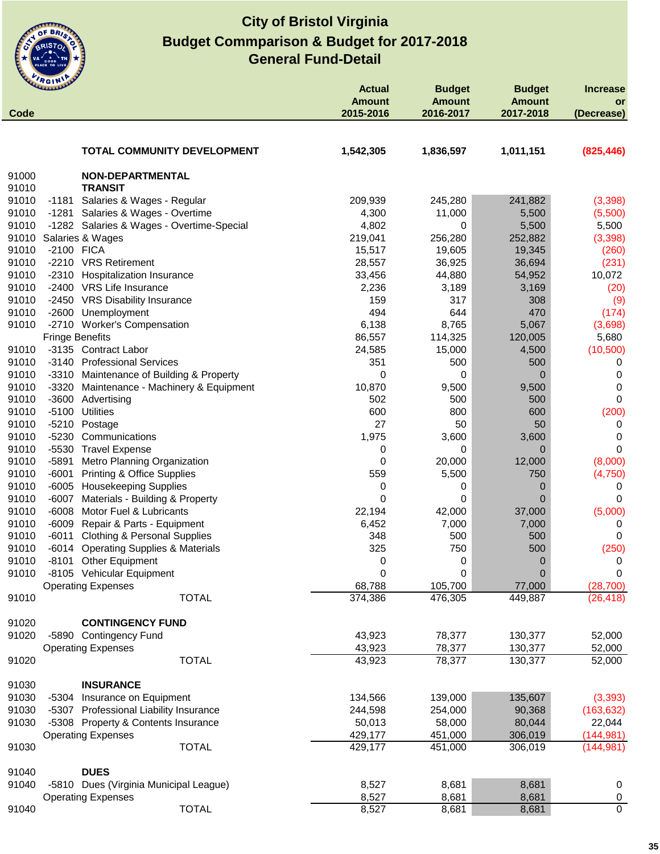

| Code           | ummer                                              | <b>Actual</b><br><b>Amount</b><br>2015-2016 | <b>Budget</b><br><b>Amount</b><br>2016-2017 | <b>Budget</b><br><b>Amount</b><br>2017-2018 | <b>Increase</b><br>or<br>(Decrease) |
|----------------|----------------------------------------------------|---------------------------------------------|---------------------------------------------|---------------------------------------------|-------------------------------------|
|                |                                                    |                                             |                                             |                                             |                                     |
|                | <b>TOTAL COMMUNITY DEVELOPMENT</b>                 | 1,542,305                                   | 1,836,597                                   | 1,011,151                                   | (825, 446)                          |
| 91000          | NON-DEPARTMENTAL                                   |                                             |                                             |                                             |                                     |
| 91010          | <b>TRANSIT</b>                                     |                                             |                                             |                                             |                                     |
| 91010          | -1181 Salaries & Wages - Regular                   | 209,939                                     | 245,280                                     | 241,882                                     | (3,398)                             |
| 91010          | -1281 Salaries & Wages - Overtime                  | 4,300                                       | 11,000                                      | 5,500                                       | (5,500)                             |
| 91010          | -1282 Salaries & Wages - Overtime-Special          | 4,802                                       | 0                                           | 5,500                                       | 5,500                               |
| 91010          | Salaries & Wages                                   | 219,041                                     | 256,280                                     | 252,882                                     | (3, 398)                            |
| 91010          | -2100 FICA                                         | 15,517                                      | 19,605                                      | 19,345                                      | (260)                               |
| 91010          | -2210 VRS Retirement                               | 28,557                                      | 36,925                                      | 36,694                                      | (231)                               |
| 91010          | -2310 Hospitalization Insurance                    | 33,456                                      | 44,880                                      | 54,952                                      | 10,072                              |
| 91010          | -2400 VRS Life Insurance                           | 2,236                                       | 3,189                                       | 3,169                                       | (20)                                |
| 91010          | -2450 VRS Disability Insurance                     | 159<br>494                                  | 317                                         | 308<br>470                                  | (9)                                 |
| 91010<br>91010 | -2600 Unemployment<br>-2710 Worker's Compensation  | 6,138                                       | 644<br>8,765                                |                                             | (174)                               |
|                |                                                    |                                             | 114,325                                     | 5,067                                       | (3,698)                             |
|                | <b>Fringe Benefits</b><br>-3135 Contract Labor     | 86,557                                      |                                             | 120,005                                     | 5,680                               |
| 91010<br>91010 | -3140 Professional Services                        | 24,585<br>351                               | 15,000<br>500                               | 4,500<br>500                                | (10, 500)                           |
| 91010          | -3310 Maintenance of Building & Property           | 0                                           | 0                                           | 0                                           | 0<br>0                              |
| 91010          | -3320 Maintenance - Machinery & Equipment          | 10,870                                      | 9,500                                       |                                             | $\Omega$                            |
| 91010          | -3600 Advertising                                  | 502                                         | 500                                         | 9,500<br>500                                | $\Omega$                            |
| 91010          | <b>Utilities</b><br>$-5100$                        | 600                                         | 800                                         | 600                                         | (200)                               |
| 91010          | $-5210$<br>Postage                                 | 27                                          | 50                                          | 50                                          | 0                                   |
| 91010          | -5230<br>Communications                            | 1,975                                       | 3,600                                       | 3,600                                       | 0                                   |
| 91010          | -5530 Travel Expense                               | 0                                           | 0                                           | 0                                           | $\Omega$                            |
| 91010          | Metro Planning Organization<br>-5891               | 0                                           | 20,000                                      | 12,000                                      | (8,000)                             |
| 91010          | $-6001$<br><b>Printing &amp; Office Supplies</b>   | 559                                         | 5,500                                       | 750                                         | (4,750)                             |
| 91010          | -6005 Housekeeping Supplies                        | 0                                           | 0                                           | 0                                           | 0                                   |
| 91010          | $-6007$<br>Materials - Building & Property         | 0                                           | 0                                           | 0                                           | 0                                   |
| 91010          | $-6008$<br>Motor Fuel & Lubricants                 | 22,194                                      | 42,000                                      | 37,000                                      | (5,000)                             |
| 91010          | -6009<br>Repair & Parts - Equipment                | 6,452                                       | 7,000                                       | 7,000                                       | 0                                   |
| 91010          | $-6011$<br><b>Clothing &amp; Personal Supplies</b> | 348                                         | 500                                         | 500                                         | 0                                   |
| 91010          | <b>Operating Supplies &amp; Materials</b><br>-6014 | 325                                         | 750                                         | 500                                         | (250)                               |
| 91010          | $-8101$<br><b>Other Equipment</b>                  | 0                                           | 0                                           | 0                                           | 0                                   |
| 91010          | -8105 Vehicular Equipment                          | 0                                           | 0                                           | 0                                           | 0                                   |
|                | <b>Operating Expenses</b>                          | 68,788                                      | 105,700                                     | 77,000                                      | (28, 700)                           |
| 91010          | <b>TOTAL</b>                                       | 374,386                                     | 476,305                                     | 449,887                                     | (26, 418)                           |
| 91020          | <b>CONTINGENCY FUND</b>                            |                                             |                                             |                                             |                                     |
| 91020          | -5890 Contingency Fund                             | 43,923                                      | 78,377                                      | 130,377                                     | 52,000                              |
|                | <b>Operating Expenses</b>                          | 43,923                                      | 78,377                                      | 130,377                                     | 52,000                              |
| 91020          | <b>TOTAL</b>                                       | 43,923                                      | 78,377                                      | 130,377                                     | 52,000                              |
| 91030          | <b>INSURANCE</b>                                   |                                             |                                             |                                             |                                     |
| 91030          | -5304 Insurance on Equipment                       | 134,566                                     | 139,000                                     | 135,607                                     | (3, 393)                            |
| 91030          | -5307 Professional Liability Insurance             | 244,598                                     | 254,000                                     | 90,368                                      | (163, 632)                          |
| 91030          | -5308 Property & Contents Insurance                | 50,013                                      | 58,000                                      | 80,044                                      | 22,044                              |
|                | <b>Operating Expenses</b>                          | 429,177                                     | 451,000                                     | 306,019                                     | (144, 981)                          |
| 91030          | <b>TOTAL</b>                                       | 429,177                                     | 451,000                                     | 306,019                                     | (144, 981)                          |
| 91040          | <b>DUES</b>                                        |                                             |                                             |                                             |                                     |
| 91040          | -5810 Dues (Virginia Municipal League)             | 8,527                                       | 8,681                                       | 8,681                                       | 0                                   |
|                | <b>Operating Expenses</b>                          | 8,527                                       | 8,681                                       | 8,681                                       | 0                                   |
| 91040          | <b>TOTAL</b>                                       | 8,527                                       | 8,681                                       | 8,681                                       | $\mathbf 0$                         |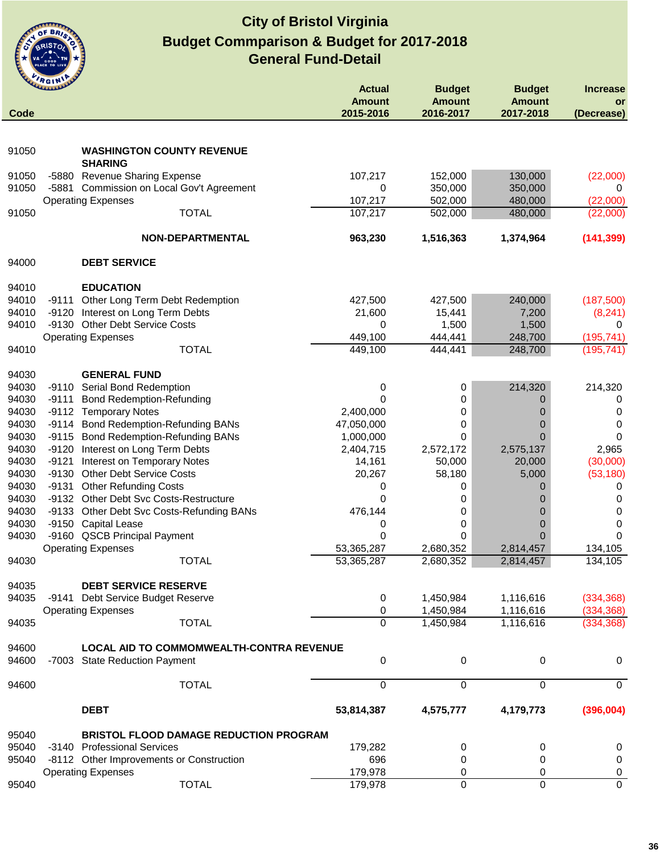

| Code  | WWWWW |                                                    | <b>Actual</b><br><b>Amount</b><br>2015-2016 | <b>Budget</b><br><b>Amount</b><br>2016-2017 | <b>Budget</b><br><b>Amount</b><br>2017-2018 | <b>Increase</b><br><b>or</b><br>(Decrease) |
|-------|-------|----------------------------------------------------|---------------------------------------------|---------------------------------------------|---------------------------------------------|--------------------------------------------|
|       |       |                                                    |                                             |                                             |                                             |                                            |
| 91050 |       | <b>WASHINGTON COUNTY REVENUE</b><br><b>SHARING</b> |                                             |                                             |                                             |                                            |
| 91050 |       | -5880 Revenue Sharing Expense                      | 107,217                                     | 152,000                                     | 130,000                                     | (22,000)                                   |
| 91050 |       | -5881 Commission on Local Gov't Agreement          | 0                                           | 350,000                                     | 350,000                                     | 0                                          |
|       |       | <b>Operating Expenses</b>                          | 107,217                                     | 502,000                                     | 480,000                                     | (22,000)                                   |
| 91050 |       | <b>TOTAL</b>                                       | 107,217                                     | 502,000                                     | 480,000                                     | (22,000)                                   |
|       |       | NON-DEPARTMENTAL                                   | 963,230                                     | 1,516,363                                   | 1,374,964                                   | (141, 399)                                 |
| 94000 |       | <b>DEBT SERVICE</b>                                |                                             |                                             |                                             |                                            |
| 94010 |       | <b>EDUCATION</b>                                   |                                             |                                             |                                             |                                            |
| 94010 |       | -9111 Other Long Term Debt Redemption              | 427,500                                     | 427,500                                     | 240,000                                     | (187,500)                                  |
| 94010 |       | -9120 Interest on Long Term Debts                  | 21,600                                      | 15,441                                      | 7,200                                       | (8, 241)                                   |
| 94010 |       | -9130 Other Debt Service Costs                     | 0                                           | 1,500                                       | 1,500                                       | 0                                          |
|       |       | <b>Operating Expenses</b>                          | 449,100                                     | 444,441                                     | 248,700                                     | (195, 741)                                 |
| 94010 |       | <b>TOTAL</b>                                       | 449,100                                     | 444,441                                     | 248,700                                     | (195, 741)                                 |
| 94030 |       | <b>GENERAL FUND</b>                                |                                             |                                             |                                             |                                            |
| 94030 |       | -9110 Serial Bond Redemption                       | 0                                           | 0                                           | 214,320                                     | 214,320                                    |
| 94030 | -9111 | <b>Bond Redemption-Refunding</b>                   | 0                                           | 0                                           | 0                                           | 0                                          |
| 94030 |       | -9112 Temporary Notes                              | 2,400,000                                   | 0                                           | 0                                           | 0                                          |
| 94030 |       | -9114 Bond Redemption-Refunding BANs               | 47,050,000                                  | 0                                           | 0                                           | 0                                          |
| 94030 |       | -9115 Bond Redemption-Refunding BANs               | 1,000,000                                   | 0                                           | 0                                           | 0                                          |
| 94030 |       | -9120 Interest on Long Term Debts                  | 2,404,715                                   | 2,572,172                                   | 2,575,137                                   | 2,965                                      |
| 94030 | -9121 | <b>Interest on Temporary Notes</b>                 | 14,161                                      | 50,000                                      | 20,000                                      | (30,000)                                   |
| 94030 |       | -9130 Other Debt Service Costs                     | 20,267                                      | 58,180                                      | 5,000                                       | (53, 180)                                  |
| 94030 | -9131 | <b>Other Refunding Costs</b>                       | 0                                           | 0                                           | 0                                           | 0                                          |
| 94030 |       | -9132 Other Debt Svc Costs-Restructure             | $\Omega$                                    | 0                                           | O                                           | 0                                          |
| 94030 |       | -9133 Other Debt Svc Costs-Refunding BANs          | 476,144                                     | 0                                           | 0                                           | 0                                          |
| 94030 |       | -9150 Capital Lease                                | 0                                           | 0                                           | 0                                           | 0                                          |
| 94030 |       | -9160 QSCB Principal Payment                       | 0                                           | 0                                           | 0                                           | $\Omega$                                   |
|       |       | <b>Operating Expenses</b>                          | 53,365,287                                  | 2,680,352                                   | 2,814,457                                   | 134,105                                    |
| 94030 |       | <b>TOTAL</b>                                       | 53,365,287                                  | 2,680,352                                   | 2,814,457                                   | 134, 105                                   |
| 94035 |       | <b>DEBT SERVICE RESERVE</b>                        |                                             |                                             |                                             |                                            |
| 94035 |       | -9141 Debt Service Budget Reserve                  | 0                                           | 1,450,984                                   | 1,116,616                                   | (334, 368)                                 |
|       |       | <b>Operating Expenses</b>                          | 0                                           | 1,450,984                                   | 1,116,616                                   | (334, 368)                                 |
| 94035 |       | <b>TOTAL</b>                                       | $\Omega$                                    | 1,450,984                                   | 1,116,616                                   | (334, 368)                                 |
| 94600 |       | LOCAL AID TO COMMOMWEALTH-CONTRA REVENUE           |                                             |                                             |                                             |                                            |
| 94600 |       | -7003 State Reduction Payment                      | 0                                           | 0                                           | 0                                           | 0                                          |
| 94600 |       | <b>TOTAL</b>                                       | 0                                           | 0                                           | 0                                           | 0                                          |
|       |       | <b>DEBT</b>                                        | 53,814,387                                  | 4,575,777                                   | 4,179,773                                   | (396,004)                                  |
| 95040 |       | <b>BRISTOL FLOOD DAMAGE REDUCTION PROGRAM</b>      |                                             |                                             |                                             |                                            |
| 95040 |       | -3140 Professional Services                        | 179,282                                     | 0                                           | 0                                           | 0                                          |
| 95040 |       | -8112 Other Improvements or Construction           | 696                                         | 0                                           | 0                                           | 0                                          |
|       |       | <b>Operating Expenses</b>                          | 179,978                                     | 0                                           | 0                                           | 0                                          |
| 95040 |       | <b>TOTAL</b>                                       | 179,978                                     | 0                                           | $\Omega$                                    | 0                                          |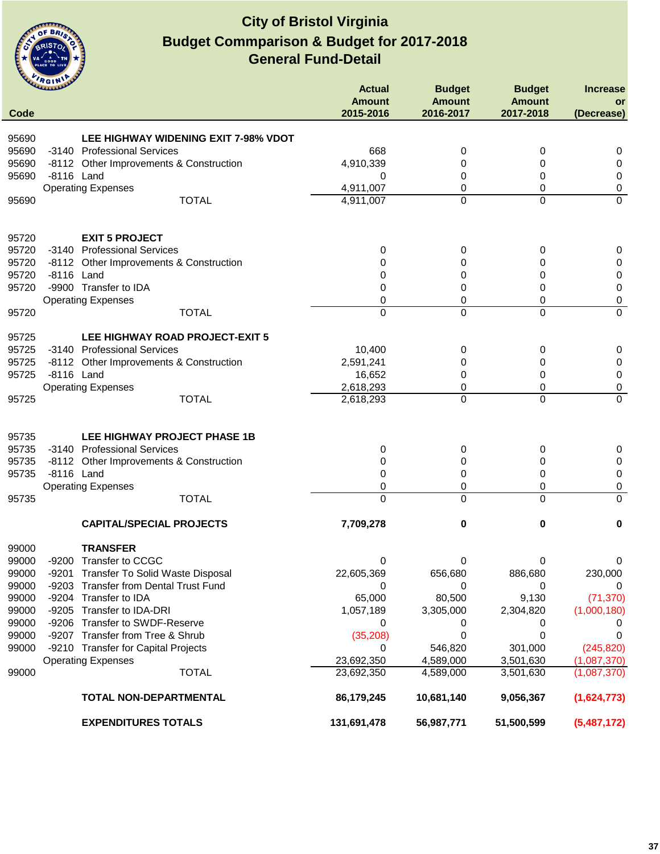

| Code  | <b>CLARANDE</b> |                                             | <b>Actual</b><br><b>Amount</b><br>2015-2016 | <b>Budget</b><br><b>Amount</b><br>2016-2017 | <b>Budget</b><br><b>Amount</b><br>2017-2018 | <b>Increase</b><br>or<br>(Decrease) |
|-------|-----------------|---------------------------------------------|---------------------------------------------|---------------------------------------------|---------------------------------------------|-------------------------------------|
|       |                 |                                             |                                             |                                             |                                             |                                     |
| 95690 |                 | <b>LEE HIGHWAY WIDENING EXIT 7-98% VDOT</b> |                                             |                                             |                                             |                                     |
| 95690 |                 | -3140 Professional Services                 | 668                                         | 0                                           | 0                                           | 0                                   |
| 95690 |                 | -8112 Other Improvements & Construction     | 4,910,339                                   | 0                                           | 0                                           | 0                                   |
| 95690 | -8116 Land      |                                             | 0                                           | 0                                           | 0                                           | 0                                   |
|       |                 | <b>Operating Expenses</b><br><b>TOTAL</b>   | 4,911,007                                   | 0                                           | 0                                           | 0<br>$\overline{0}$                 |
| 95690 |                 |                                             | 4,911,007                                   | 0                                           | 0                                           |                                     |
| 95720 |                 | <b>EXIT 5 PROJECT</b>                       |                                             |                                             |                                             |                                     |
| 95720 |                 | -3140 Professional Services                 | 0                                           | 0                                           | 0                                           | 0                                   |
| 95720 |                 | -8112 Other Improvements & Construction     | 0                                           | 0                                           | 0                                           | 0                                   |
| 95720 | -8116 Land      |                                             | 0                                           | 0                                           | 0                                           | 0                                   |
| 95720 |                 | -9900 Transfer to IDA                       | 0                                           | 0                                           | 0                                           | 0                                   |
|       |                 | <b>Operating Expenses</b>                   | 0                                           | 0                                           | 0                                           | 0                                   |
| 95720 |                 | <b>TOTAL</b>                                | 0                                           | 0                                           | $\mathbf 0$                                 | $\overline{0}$                      |
| 95725 |                 | LEE HIGHWAY ROAD PROJECT-EXIT 5             |                                             |                                             |                                             |                                     |
| 95725 |                 | -3140 Professional Services                 | 10,400                                      | 0                                           | 0                                           | 0                                   |
| 95725 |                 | -8112 Other Improvements & Construction     | 2,591,241                                   | 0                                           | 0                                           | $\pmb{0}$                           |
| 95725 | -8116 Land      |                                             | 16,652                                      | 0                                           | 0                                           | 0                                   |
|       |                 | <b>Operating Expenses</b>                   | 2,618,293                                   | 0                                           | 0                                           | $\pmb{0}$                           |
| 95725 |                 | <b>TOTAL</b>                                | 2,618,293                                   | $\Omega$                                    | 0                                           | $\mathbf 0$                         |
| 95735 |                 | LEE HIGHWAY PROJECT PHASE 1B                |                                             |                                             |                                             |                                     |
| 95735 |                 | -3140 Professional Services                 | 0                                           | 0                                           | 0                                           | 0                                   |
| 95735 |                 | -8112 Other Improvements & Construction     | 0                                           | 0                                           | 0                                           | 0                                   |
| 95735 | -8116 Land      |                                             | 0                                           | 0                                           | 0                                           | 0                                   |
|       |                 | <b>Operating Expenses</b>                   | 0                                           | 0                                           | 0                                           | 0                                   |
| 95735 |                 | <b>TOTAL</b>                                | 0                                           | 0                                           | 0                                           | $\overline{0}$                      |
|       |                 | <b>CAPITAL/SPECIAL PROJECTS</b>             | 7,709,278                                   | 0                                           | 0                                           | 0                                   |
| 99000 |                 | <b>TRANSFER</b>                             |                                             |                                             |                                             |                                     |
| 99000 |                 | -9200 Transfer to CCGC                      | 0                                           | 0                                           | 0                                           | 0                                   |
| 99000 | -9201           | Transfer To Solid Waste Disposal            | 22,605,369                                  | 656,680                                     | 886,680                                     | 230,000                             |
| 99000 | $-9203$         | <b>Transfer from Dental Trust Fund</b>      | 0                                           | 0                                           | 0                                           |                                     |
| 99000 | $-9204$         | Transfer to IDA                             | 65,000                                      | 80,500                                      | 9,130                                       | (71, 370)                           |
| 99000 | $-9205$         | Transfer to IDA-DRI                         | 1,057,189                                   | 3,305,000                                   | 2,304,820                                   | (1,000,180)                         |
| 99000 | $-9206$         | <b>Transfer to SWDF-Reserve</b>             | 0                                           | 0                                           | 0                                           |                                     |
| 99000 |                 | -9207 Transfer from Tree & Shrub            | (35, 208)                                   | 0                                           | 0                                           |                                     |
| 99000 |                 | -9210 Transfer for Capital Projects         | 0                                           | 546,820                                     | 301,000                                     | (245, 820)                          |
|       |                 | <b>Operating Expenses</b>                   | 23,692,350                                  | 4,589,000                                   | 3,501,630                                   | (1,087,370)                         |
| 99000 |                 | <b>TOTAL</b>                                | 23,692,350                                  | 4,589,000                                   | 3,501,630                                   | (1,087,370)                         |
|       |                 | TOTAL NON-DEPARTMENTAL                      | 86,179,245                                  | 10,681,140                                  | 9,056,367                                   | (1,624,773)                         |
|       |                 | <b>EXPENDITURES TOTALS</b>                  | 131,691,478                                 | 56,987,771                                  | 51,500,599                                  | (5,487,172)                         |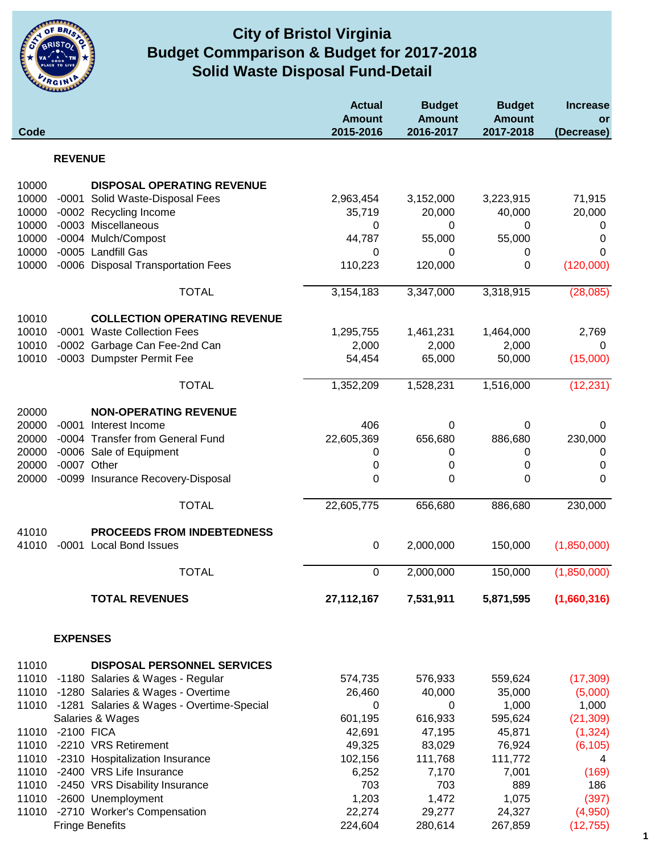

## **City of Bristol Virginia Solid Waste Disposal Fund-Detail Budget Commparison & Budget for 2017-2018**

| Code           |                 |                                           | <b>Actual</b><br><b>Amount</b><br>2015-2016 | <b>Budget</b><br><b>Amount</b><br>2016-2017 | <b>Budget</b><br><b>Amount</b><br>2017-2018 | <b>Increase</b><br>or<br>(Decrease) |
|----------------|-----------------|-------------------------------------------|---------------------------------------------|---------------------------------------------|---------------------------------------------|-------------------------------------|
|                | <b>REVENUE</b>  |                                           |                                             |                                             |                                             |                                     |
|                |                 |                                           |                                             |                                             |                                             |                                     |
| 10000          |                 | <b>DISPOSAL OPERATING REVENUE</b>         |                                             |                                             |                                             |                                     |
| 10000          | -0001           | Solid Waste-Disposal Fees                 | 2,963,454                                   | 3,152,000                                   | 3,223,915                                   | 71,915                              |
| 10000          |                 | -0002 Recycling Income                    | 35,719                                      | 20,000                                      | 40,000                                      | 20,000                              |
| 10000          |                 | -0003 Miscellaneous                       | 0                                           | 0                                           | 0                                           | $\mathbf 0$                         |
| 10000<br>10000 |                 | -0004 Mulch/Compost<br>-0005 Landfill Gas | 44,787<br>0                                 | 55,000<br>0                                 | 55,000                                      | 0<br>0                              |
| 10000          |                 | -0006 Disposal Transportation Fees        | 110,223                                     | 120,000                                     | 0<br>0                                      | (120,000)                           |
|                |                 |                                           |                                             |                                             |                                             |                                     |
|                |                 | <b>TOTAL</b>                              | 3,154,183                                   | 3,347,000                                   | 3,318,915                                   | (28,085)                            |
| 10010          |                 | <b>COLLECTION OPERATING REVENUE</b>       |                                             |                                             |                                             |                                     |
| 10010          |                 | -0001 Waste Collection Fees               | 1,295,755                                   | 1,461,231                                   | 1,464,000                                   | 2,769                               |
| 10010          |                 | -0002 Garbage Can Fee-2nd Can             | 2,000                                       | 2,000                                       | 2,000                                       | 0                                   |
| 10010          |                 | -0003 Dumpster Permit Fee                 | 54,454                                      | 65,000                                      | 50,000                                      | (15,000)                            |
|                |                 | <b>TOTAL</b>                              | 1,352,209                                   | 1,528,231                                   | 1,516,000                                   | (12, 231)                           |
| 20000          |                 | <b>NON-OPERATING REVENUE</b>              |                                             |                                             |                                             |                                     |
| 20000          | $-0001$         | Interest Income                           | 406                                         | 0                                           | 0                                           | 0                                   |
| 20000          |                 | -0004 Transfer from General Fund          | 22,605,369                                  | 656,680                                     | 886,680                                     | 230,000                             |
| 20000          |                 | -0006 Sale of Equipment                   | 0                                           | 0                                           | 0                                           | 0                                   |
| 20000          |                 | -0007 Other                               | 0                                           | 0                                           | $\pmb{0}$                                   | 0                                   |
| 20000          |                 | -0099 Insurance Recovery-Disposal         | 0                                           | 0                                           | 0                                           | 0                                   |
|                |                 | <b>TOTAL</b>                              | 22,605,775                                  | 656,680                                     | 886,680                                     | 230,000                             |
| 41010          |                 | PROCEEDS FROM INDEBTEDNESS                |                                             |                                             |                                             |                                     |
| 41010          | $-0001$         | <b>Local Bond Issues</b>                  | $\pmb{0}$                                   | 2,000,000                                   | 150,000                                     | (1,850,000)                         |
|                |                 | <b>TOTAL</b>                              | 0                                           | 2,000,000                                   | 150,000                                     | (1,850,000)                         |
|                |                 | <b>TOTAL REVENUES</b>                     | 27, 112, 167                                | 7,531,911                                   | 5,871,595                                   | (1,660,316)                         |
|                |                 |                                           |                                             |                                             |                                             |                                     |
|                | <b>EXPENSES</b> |                                           |                                             |                                             |                                             |                                     |
| 11010          |                 | <b>DISPOSAL PERSONNEL SERVICES</b>        |                                             |                                             |                                             |                                     |
| 11010          |                 | -1180 Salaries & Wages - Regular          | 574,735                                     | 576,933                                     | 559,624                                     | (17, 309)                           |
| 11010          |                 | -1280 Salaries & Wages - Overtime         | 26,460                                      | 40,000                                      | 35,000                                      | (5,000)                             |
| 11010          |                 | -1281 Salaries & Wages - Overtime-Special | 0                                           | 0                                           | 1,000                                       | 1,000                               |
|                |                 | Salaries & Wages                          | 601,195                                     | 616,933                                     | 595,624                                     | (21, 309)                           |
| 11010          | -2100 FICA      |                                           | 42,691                                      | 47,195                                      | 45,871                                      | (1, 324)                            |
| 11010          |                 | -2210 VRS Retirement                      | 49,325                                      | 83,029                                      | 76,924                                      | (6, 105)                            |
|                |                 | 11010 -2310 Hospitalization Insurance     | 102,156                                     | 111,768                                     | 111,772                                     | 4                                   |
| 11010          |                 | -2400 VRS Life Insurance                  | 6,252                                       | 7,170                                       | 7,001                                       | (169)                               |
| 11010          |                 | -2450 VRS Disability Insurance            | 703                                         | 703                                         | 889                                         | 186                                 |
| 11010          |                 | -2600 Unemployment                        | 1,203                                       | 1,472                                       | 1,075                                       | (397)                               |
| 11010          |                 | -2710 Worker's Compensation               | 22,274                                      | 29,277                                      | 24,327                                      | (4,950)                             |
|                |                 | <b>Fringe Benefits</b>                    | 224,604                                     | 280,614                                     | 267,859                                     | (12, 755)                           |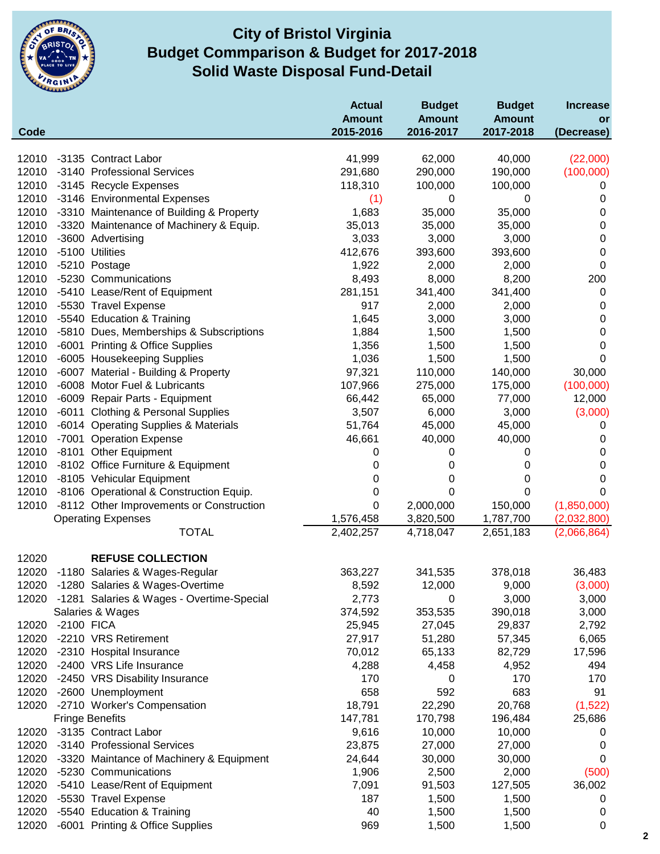

### **City of Bristol Virginia Solid Waste Disposal Fund-Detail Budget Commparison & Budget for 2017-2018**

| Code  |            |                                                 | <b>Actual</b><br><b>Amount</b><br>2015-2016 | <b>Budget</b><br><b>Amount</b><br>2016-2017 | <b>Budget</b><br><b>Amount</b><br>2017-2018 | <b>Increase</b><br>or |
|-------|------------|-------------------------------------------------|---------------------------------------------|---------------------------------------------|---------------------------------------------|-----------------------|
|       |            |                                                 |                                             |                                             |                                             | (Decrease)            |
| 12010 |            | -3135 Contract Labor                            | 41,999                                      | 62,000                                      | 40,000                                      | (22,000)              |
| 12010 |            | -3140 Professional Services                     | 291,680                                     | 290,000                                     | 190,000                                     | (100,000)             |
| 12010 |            | -3145 Recycle Expenses                          | 118,310                                     | 100,000                                     | 100,000                                     | 0                     |
| 12010 |            | -3146 Environmental Expenses                    | (1)                                         | 0                                           | 0                                           | $\mathbf 0$           |
| 12010 |            | -3310 Maintenance of Building & Property        | 1,683                                       | 35,000                                      | 35,000                                      | 0                     |
| 12010 |            | -3320 Maintenance of Machinery & Equip.         | 35,013                                      | 35,000                                      | 35,000                                      | 0                     |
| 12010 |            | -3600 Advertising                               | 3,033                                       | 3,000                                       | 3,000                                       | $\boldsymbol{0}$      |
| 12010 |            | -5100 Utilities                                 | 412,676                                     | 393,600                                     | 393,600                                     | $\mathbf 0$           |
| 12010 |            | -5210 Postage                                   | 1,922                                       | 2,000                                       | 2,000                                       | $\mathbf 0$           |
| 12010 |            | -5230 Communications                            | 8,493                                       | 8,000                                       | 8,200                                       | 200                   |
| 12010 |            | -5410 Lease/Rent of Equipment                   | 281,151                                     | 341,400                                     | 341,400                                     | $\mathbf 0$           |
| 12010 |            | -5530 Travel Expense                            | 917                                         | 2,000                                       | 2,000                                       | $\pmb{0}$             |
| 12010 |            | -5540 Education & Training                      | 1,645                                       | 3,000                                       | 3,000                                       | $\pmb{0}$             |
| 12010 |            | -5810 Dues, Memberships & Subscriptions         | 1,884                                       | 1,500                                       | 1,500                                       | $\pmb{0}$             |
| 12010 |            | -6001 Printing & Office Supplies                | 1,356                                       | 1,500                                       | 1,500                                       | $\mathbf 0$           |
| 12010 |            | -6005 Housekeeping Supplies                     | 1,036                                       | 1,500                                       | 1,500                                       | $\mathbf 0$           |
| 12010 |            | -6007 Material - Building & Property            | 97,321                                      | 110,000                                     | 140,000                                     | 30,000                |
| 12010 |            | -6008 Motor Fuel & Lubricants                   | 107,966                                     | 275,000                                     | 175,000                                     | (100,000)             |
| 12010 |            | -6009 Repair Parts - Equipment                  | 66,442                                      | 65,000                                      | 77,000                                      | 12,000                |
| 12010 |            | -6011 Clothing & Personal Supplies              | 3,507                                       | 6,000                                       | 3,000                                       | (3,000)               |
| 12010 |            | -6014 Operating Supplies & Materials            | 51,764                                      | 45,000                                      | 45,000                                      | 0                     |
| 12010 |            | -7001 Operation Expense                         | 46,661                                      | 40,000                                      | 40,000                                      | 0                     |
| 12010 |            | -8101 Other Equipment                           | 0                                           | 0                                           | 0                                           | $\overline{0}$        |
| 12010 |            | -8102 Office Furniture & Equipment              | 0                                           | 0                                           | 0                                           | $\mathbf 0$           |
|       |            | 12010 -8105 Vehicular Equipment                 | 0                                           | 0                                           | 0                                           | $\mathbf 0$           |
|       |            | 12010 -8106 Operational & Construction Equip.   | 0                                           | 0                                           | 0                                           | 0                     |
| 12010 |            | -8112 Other Improvements or Construction        | $\mathbf 0$                                 | 2,000,000                                   | 150,000                                     | (1,850,000)           |
|       |            | <b>Operating Expenses</b>                       | 1,576,458                                   | 3,820,500                                   | 1,787,700                                   | (2,032,800)           |
|       |            | <b>TOTAL</b>                                    | 2,402,257                                   | 4,718,047                                   | 2,651,183                                   | (2,066,864)           |
| 12020 |            | <b>REFUSE COLLECTION</b>                        |                                             |                                             |                                             |                       |
| 12020 |            | -1180 Salaries & Wages-Regular                  | 363,227                                     | 341,535                                     | 378,018                                     | 36,483                |
|       |            | 12020 -1280 Salaries & Wages-Overtime           | 8,592                                       | 12,000                                      | 9,000                                       | (3,000)               |
|       |            | 12020 -1281 Salaries & Wages - Overtime-Special | 2,773                                       | 0                                           | 3,000                                       | 3,000                 |
|       |            | Salaries & Wages                                | 374,592                                     | 353,535                                     | 390,018                                     | 3,000                 |
| 12020 | -2100 FICA |                                                 | 25,945                                      | 27,045                                      | 29,837                                      | 2,792                 |
| 12020 |            | -2210 VRS Retirement                            | 27,917                                      | 51,280                                      | 57,345                                      | 6,065                 |
| 12020 |            | -2310 Hospital Insurance                        | 70,012                                      | 65,133                                      | 82,729                                      | 17,596                |
| 12020 |            | -2400 VRS Life Insurance                        | 4,288                                       | 4,458                                       | 4,952                                       | 494                   |
|       |            | 12020 -2450 VRS Disability Insurance            | 170                                         | 0                                           | 170                                         | 170                   |
| 12020 |            | -2600 Unemployment                              | 658                                         | 592                                         | 683                                         | 91                    |
|       |            | 12020 -2710 Worker's Compensation               | 18,791                                      | 22,290                                      | 20,768                                      | (1,522)               |
|       |            | <b>Fringe Benefits</b>                          | 147,781                                     | 170,798                                     | 196,484                                     | 25,686                |
|       |            | 12020 -3135 Contract Labor                      | 9,616                                       | 10,000                                      | 10,000                                      | 0                     |
| 12020 |            | -3140 Professional Services                     | 23,875                                      | 27,000                                      | 27,000                                      | $\mathbf 0$           |
| 12020 |            | -3320 Maintance of Machinery & Equipment        | 24,644                                      | 30,000                                      | 30,000                                      | 0                     |
| 12020 |            | -5230 Communications                            | 1,906                                       | 2,500                                       | 2,000                                       | (500)                 |
| 12020 |            | -5410 Lease/Rent of Equipment                   | 7,091                                       | 91,503                                      | 127,505                                     | 36,002                |
| 12020 |            | -5530 Travel Expense                            | 187                                         | 1,500                                       | 1,500                                       | 0                     |
| 12020 |            | -5540 Education & Training                      | 40                                          | 1,500                                       | 1,500                                       | 0                     |
| 12020 |            | -6001 Printing & Office Supplies                | 969                                         | 1,500                                       | 1,500                                       | 0                     |
|       |            |                                                 |                                             |                                             |                                             |                       |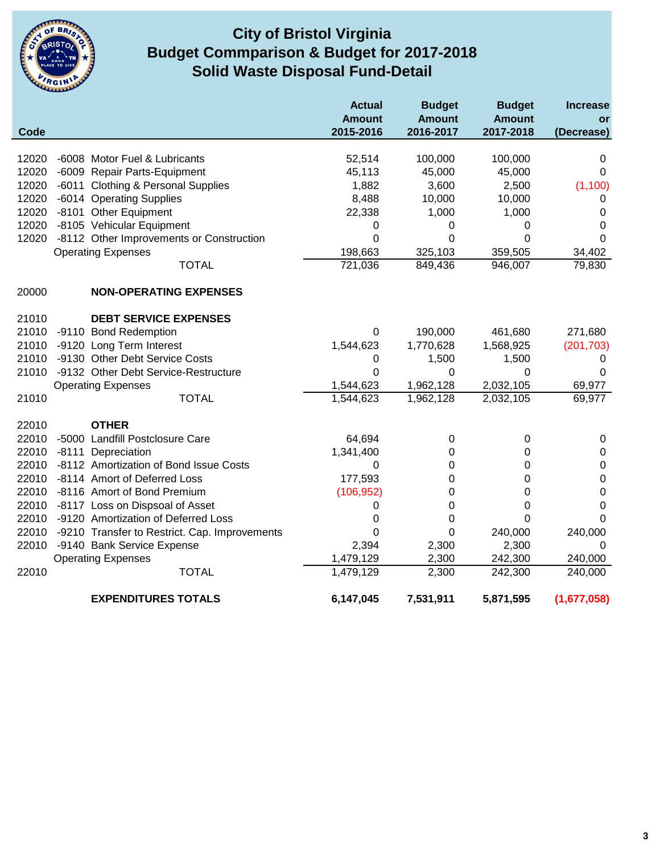

## **City of Bristol Virginia Solid Waste Disposal Fund-Detail Budget Commparison & Budget for 2017-2018**

|       |                                               | <b>Actual</b><br><b>Amount</b> | <b>Budget</b><br><b>Amount</b> | <b>Budget</b><br><b>Amount</b> | <b>Increase</b><br>or |
|-------|-----------------------------------------------|--------------------------------|--------------------------------|--------------------------------|-----------------------|
| Code  |                                               | 2015-2016                      | 2016-2017                      | 2017-2018                      | (Decrease)            |
| 12020 | -6008 Motor Fuel & Lubricants                 | 52,514                         | 100,000                        | 100,000                        | 0                     |
| 12020 | -6009 Repair Parts-Equipment                  | 45,113                         | 45,000                         | 45,000                         | 0                     |
| 12020 | -6011 Clothing & Personal Supplies            | 1,882                          | 3,600                          | 2,500                          | (1, 100)              |
| 12020 | -6014 Operating Supplies                      | 8,488                          | 10,000                         | 10,000                         | 0                     |
| 12020 | -8101 Other Equipment                         | 22,338                         | 1,000                          | 1,000                          | 0                     |
| 12020 | -8105 Vehicular Equipment                     | 0                              | 0                              | 0                              | 0                     |
| 12020 | -8112 Other Improvements or Construction      | 0                              | 0                              | 0                              | 0                     |
|       | <b>Operating Expenses</b>                     | 198,663                        | 325,103                        | 359,505                        | 34,402                |
|       | <b>TOTAL</b>                                  | 721,036                        | 849,436                        | 946,007                        | 79,830                |
| 20000 | <b>NON-OPERATING EXPENSES</b>                 |                                |                                |                                |                       |
| 21010 | <b>DEBT SERVICE EXPENSES</b>                  |                                |                                |                                |                       |
| 21010 | -9110 Bond Redemption                         | 0                              | 190,000                        | 461,680                        | 271,680               |
| 21010 | -9120 Long Term Interest                      | 1,544,623                      | 1,770,628                      | 1,568,925                      | (201, 703)            |
| 21010 | -9130 Other Debt Service Costs                | 0                              | 1,500                          | 1,500                          | 0                     |
| 21010 | -9132 Other Debt Service-Restructure          | 0                              | 0                              | 0                              | 0                     |
|       | <b>Operating Expenses</b>                     | 1,544,623                      | 1,962,128                      | 2,032,105                      | 69,977                |
| 21010 | <b>TOTAL</b>                                  | 1,544,623                      | 1,962,128                      | 2,032,105                      | 69,977                |
| 22010 | <b>OTHER</b>                                  |                                |                                |                                |                       |
| 22010 | -5000 Landfill Postclosure Care               | 64,694                         | 0                              | 0                              | 0                     |
| 22010 | -8111 Depreciation                            | 1,341,400                      | 0                              | 0                              | $\mathbf 0$           |
| 22010 | -8112 Amortization of Bond Issue Costs        | 0                              | 0                              | 0                              | 0                     |
| 22010 | -8114 Amort of Deferred Loss                  | 177,593                        | 0                              | 0                              | $\mathbf 0$           |
| 22010 | -8116 Amort of Bond Premium                   | (106, 952)                     | 0                              | 0                              | $\mathbf 0$           |
| 22010 | -8117 Loss on Dispsoal of Asset               | 0                              | 0                              | 0                              | 0                     |
| 22010 | -9120 Amortization of Deferred Loss           | 0                              | 0                              | 0                              | 0                     |
| 22010 | -9210 Transfer to Restrict. Cap. Improvements | 0                              | 0                              | 240,000                        | 240,000               |
| 22010 | -9140 Bank Service Expense                    | 2,394                          | 2,300                          | 2,300                          | 0                     |
|       | <b>Operating Expenses</b>                     | 1,479,129                      | 2,300                          | 242,300                        | 240,000               |
| 22010 | <b>TOTAL</b>                                  | 1,479,129                      | 2,300                          | 242,300                        | 240,000               |
|       | <b>EXPENDITURES TOTALS</b>                    | 6,147,045                      | 7,531,911                      | 5,871,595                      | (1,677,058)           |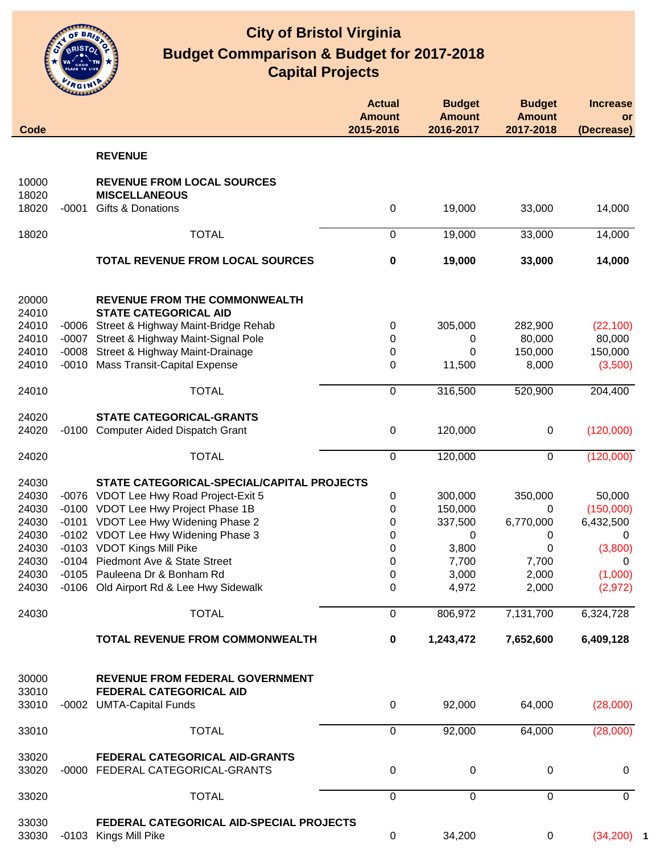

| Code                    | للمتنبئة |                                                                                | <b>Actual</b><br><b>Amount</b><br>2015-2016 | <b>Budget</b><br><b>Amount</b><br>2016-2017 | <b>Budget</b><br><b>Amount</b><br>2017-2018 | <b>Increase</b><br>or<br>(Decrease) |
|-------------------------|----------|--------------------------------------------------------------------------------|---------------------------------------------|---------------------------------------------|---------------------------------------------|-------------------------------------|
|                         |          |                                                                                |                                             |                                             |                                             |                                     |
|                         |          | <b>REVENUE</b>                                                                 |                                             |                                             |                                             |                                     |
| 10000<br>18020<br>18020 | $-0001$  | <b>REVENUE FROM LOCAL SOURCES</b><br><b>MISCELLANEOUS</b><br>Gifts & Donations | 0                                           | 19,000                                      | 33,000                                      | 14,000                              |
|                         |          |                                                                                |                                             |                                             |                                             |                                     |
| 18020                   |          | <b>TOTAL</b>                                                                   | 0                                           | 19,000                                      | 33,000                                      | 14,000                              |
|                         |          | <b>TOTAL REVENUE FROM LOCAL SOURCES</b>                                        | $\pmb{0}$                                   | 19,000                                      | 33,000                                      | 14,000                              |
| 20000<br>24010          |          | <b>REVENUE FROM THE COMMONWEALTH</b><br><b>STATE CATEGORICAL AID</b>           |                                             |                                             |                                             |                                     |
| 24010                   | -0006    | Street & Highway Maint-Bridge Rehab                                            | 0                                           | 305,000                                     | 282,900                                     | (22, 100)                           |
| 24010                   | $-0007$  | Street & Highway Maint-Signal Pole                                             | 0                                           | 0                                           | 80,000                                      | 80,000                              |
| 24010                   |          | -0008 Street & Highway Maint-Drainage                                          | 0                                           | 0                                           | 150,000                                     | 150,000                             |
| 24010                   |          | -0010 Mass Transit-Capital Expense                                             | 0                                           | 11,500                                      | 8,000                                       | (3,500)                             |
| 24010                   |          | <b>TOTAL</b>                                                                   | 0                                           | 316,500                                     | 520,900                                     | 204,400                             |
| 24020                   |          | <b>STATE CATEGORICAL-GRANTS</b>                                                |                                             |                                             |                                             |                                     |
| 24020                   |          | -0100 Computer Aided Dispatch Grant                                            | 0                                           | 120,000                                     | $\mathbf 0$                                 | (120,000)                           |
| 24020                   |          | <b>TOTAL</b>                                                                   | $\mathbf 0$                                 | 120,000                                     | $\mathbf 0$                                 | (120,000)                           |
| 24030                   |          | STATE CATEGORICAL-SPECIAL/CAPITAL PROJECTS                                     |                                             |                                             |                                             |                                     |
| 24030                   |          | -0076 VDOT Lee Hwy Road Project-Exit 5                                         | 0                                           | 300,000                                     | 350,000                                     | 50,000                              |
| 24030                   |          | -0100 VDOT Lee Hwy Project Phase 1B                                            | 0                                           | 150,000                                     | 0                                           | (150,000)                           |
| 24030                   |          | -0101 VDOT Lee Hwy Widening Phase 2                                            | 0                                           | 337,500                                     | 6,770,000                                   | 6,432,500                           |
| 24030                   |          | -0102 VDOT Lee Hwy Widening Phase 3                                            | 0                                           | 0                                           | 0                                           | 0                                   |
| 24030                   |          | -0103 VDOT Kings Mill Pike                                                     | 0                                           | 3,800                                       | 0                                           | (3,800)                             |
| 24030                   |          | -0104 Piedmont Ave & State Street                                              | 0                                           | 7,700                                       | 7,700                                       | 0                                   |
| 24030                   |          | -0105 Pauleena Dr & Bonham Rd                                                  | $\pmb{0}$                                   | 3,000                                       | 2,000                                       | (1,000)                             |
| 24030                   |          | -0106 Old Airport Rd & Lee Hwy Sidewalk                                        | 0                                           | 4,972                                       | 2,000                                       | (2,972)                             |
| 24030                   |          | <b>TOTAL</b>                                                                   | 0                                           | 806,972                                     | 7,131,700                                   | 6,324,728                           |
|                         |          | <b>TOTAL REVENUE FROM COMMONWEALTH</b>                                         | $\pmb{0}$                                   | 1,243,472                                   | 7,652,600                                   | 6,409,128                           |
| 30000<br>33010          |          | <b>REVENUE FROM FEDERAL GOVERNMENT</b><br>FEDERAL CATEGORICAL AID              |                                             |                                             |                                             |                                     |
| 33010                   |          | -0002 UMTA-Capital Funds                                                       | 0                                           | 92,000                                      | 64,000                                      | (28,000)                            |
| 33010                   |          | <b>TOTAL</b>                                                                   | 0                                           | 92,000                                      | 64,000                                      | (28,000)                            |
| 33020<br>33020          |          | FEDERAL CATEGORICAL AID-GRANTS<br>-0000 FEDERAL CATEGORICAL-GRANTS             | 0                                           | 0                                           | 0                                           | $\mathbf 0$                         |
| 33020                   |          | <b>TOTAL</b>                                                                   | $\mathbf 0$                                 | 0                                           | $\mathbf 0$                                 | $\mathbf 0$                         |
| 33030                   |          | FEDERAL CATEGORICAL AID-SPECIAL PROJECTS                                       |                                             |                                             |                                             |                                     |
| 33030                   |          | -0103 Kings Mill Pike                                                          | 0                                           | 34,200                                      | $\pmb{0}$                                   | (34, 200)                           |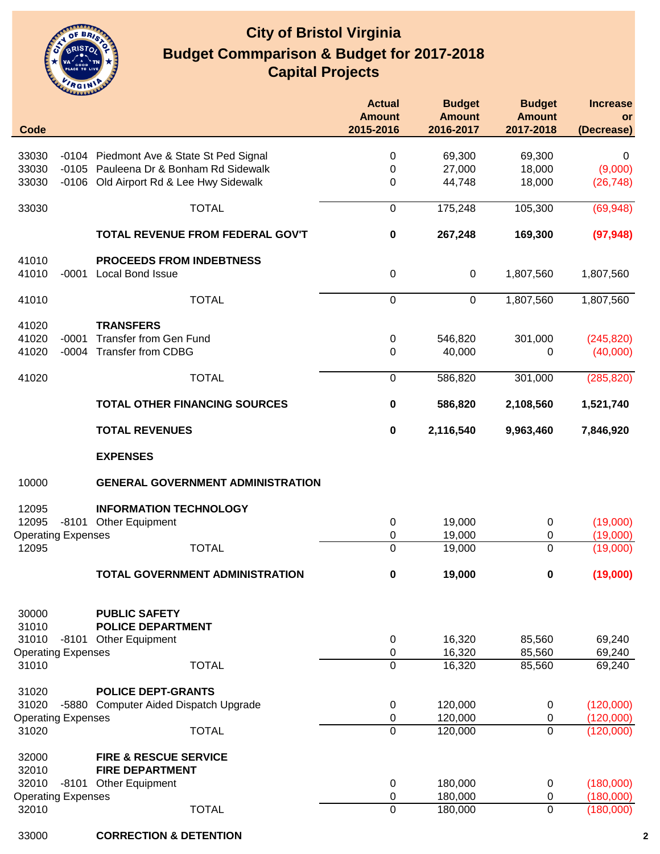

| <b>Code</b>                                                                                                                                                                                                                                                                                                                     |         |                                          | <b>Actual</b><br><b>Amount</b><br>2015-2016 | <b>Budget</b><br><b>Amount</b><br>2016-2017 | <b>Budget</b><br><b>Amount</b><br>2017-2018 | <b>Increase</b><br>or<br>(Decrease) |
|---------------------------------------------------------------------------------------------------------------------------------------------------------------------------------------------------------------------------------------------------------------------------------------------------------------------------------|---------|------------------------------------------|---------------------------------------------|---------------------------------------------|---------------------------------------------|-------------------------------------|
|                                                                                                                                                                                                                                                                                                                                 |         | -0104 Piedmont Ave & State St Ped Signal | 0                                           | 69,300                                      | 69,300                                      | 0                                   |
|                                                                                                                                                                                                                                                                                                                                 |         | -0105 Pauleena Dr & Bonham Rd Sidewalk   | 0                                           | 27,000                                      | 18,000                                      | (9,000)                             |
|                                                                                                                                                                                                                                                                                                                                 |         | -0106 Old Airport Rd & Lee Hwy Sidewalk  | 0                                           | 44,748                                      | 18,000                                      | (26, 748)                           |
|                                                                                                                                                                                                                                                                                                                                 |         |                                          |                                             |                                             |                                             |                                     |
|                                                                                                                                                                                                                                                                                                                                 |         | <b>TOTAL</b>                             | $\boldsymbol{0}$                            | 175,248                                     | 105,300                                     | (69, 948)                           |
|                                                                                                                                                                                                                                                                                                                                 |         | TOTAL REVENUE FROM FEDERAL GOV'T         | 0                                           | 267,248                                     | 169,300                                     | (97, 948)                           |
| 41010                                                                                                                                                                                                                                                                                                                           |         | <b>PROCEEDS FROM INDEBTNESS</b>          |                                             |                                             |                                             |                                     |
| 41010                                                                                                                                                                                                                                                                                                                           | $-0001$ | Local Bond Issue                         | $\boldsymbol{0}$                            | $\mathbf 0$                                 | 1,807,560                                   | 1,807,560                           |
| 41010                                                                                                                                                                                                                                                                                                                           |         | <b>TOTAL</b>                             | $\mathbf 0$                                 | $\mathbf 0$                                 | 1,807,560                                   | 1,807,560                           |
|                                                                                                                                                                                                                                                                                                                                 |         | <b>TRANSFERS</b>                         |                                             |                                             |                                             |                                     |
|                                                                                                                                                                                                                                                                                                                                 | $-0001$ | <b>Transfer from Gen Fund</b>            | $\pmb{0}$                                   | 546,820                                     | 301,000                                     | (245, 820)                          |
| 33030<br>33030<br>33030<br>33030<br>41020<br>41020<br>41020<br>41020<br>10000<br>12095<br>12095<br><b>Operating Expenses</b><br>12095<br>30000<br>31010<br>31010<br><b>Operating Expenses</b><br>31010<br>31020<br>31020<br><b>Operating Expenses</b><br>31020<br>32000<br>32010<br>32010<br><b>Operating Expenses</b><br>32010 | $-0004$ | <b>Transfer from CDBG</b>                | 0                                           | 40,000                                      | 0                                           | (40,000)                            |
|                                                                                                                                                                                                                                                                                                                                 |         | <b>TOTAL</b>                             | $\boldsymbol{0}$                            | 586,820                                     | 301,000                                     | (285, 820)                          |
|                                                                                                                                                                                                                                                                                                                                 |         | <b>TOTAL OTHER FINANCING SOURCES</b>     | $\pmb{0}$                                   | 586,820                                     | 2,108,560                                   | 1,521,740                           |
|                                                                                                                                                                                                                                                                                                                                 |         | <b>TOTAL REVENUES</b>                    | $\pmb{0}$                                   | 2,116,540                                   | 9,963,460                                   | 7,846,920                           |
|                                                                                                                                                                                                                                                                                                                                 |         | <b>EXPENSES</b>                          |                                             |                                             |                                             |                                     |
|                                                                                                                                                                                                                                                                                                                                 |         | <b>GENERAL GOVERNMENT ADMINISTRATION</b> |                                             |                                             |                                             |                                     |
|                                                                                                                                                                                                                                                                                                                                 |         | <b>INFORMATION TECHNOLOGY</b>            |                                             |                                             |                                             |                                     |
|                                                                                                                                                                                                                                                                                                                                 |         | -8101 Other Equipment                    | 0                                           | 19,000                                      | 0                                           | (19,000)                            |
|                                                                                                                                                                                                                                                                                                                                 |         |                                          | 0                                           | 19,000                                      | 0                                           | (19,000)                            |
|                                                                                                                                                                                                                                                                                                                                 |         | <b>TOTAL</b>                             | $\mathbf 0$                                 | 19,000                                      | 0                                           | (19,000)                            |
|                                                                                                                                                                                                                                                                                                                                 |         | <b>TOTAL GOVERNMENT ADMINISTRATION</b>   | $\bf{0}$                                    | 19,000                                      | $\pmb{0}$                                   | (19,000)                            |
|                                                                                                                                                                                                                                                                                                                                 |         | <b>PUBLIC SAFETY</b>                     |                                             |                                             |                                             |                                     |
|                                                                                                                                                                                                                                                                                                                                 |         | <b>POLICE DEPARTMENT</b>                 |                                             |                                             |                                             |                                     |
|                                                                                                                                                                                                                                                                                                                                 |         | -8101 Other Equipment                    | 0                                           | 16,320                                      | 85,560                                      | 69,240                              |
|                                                                                                                                                                                                                                                                                                                                 |         |                                          | 0                                           | 16,320                                      | 85,560                                      | 69,240                              |
|                                                                                                                                                                                                                                                                                                                                 |         | <b>TOTAL</b>                             | $\mathbf 0$                                 | 16,320                                      | 85,560                                      | 69,240                              |
|                                                                                                                                                                                                                                                                                                                                 |         | <b>POLICE DEPT-GRANTS</b>                |                                             |                                             |                                             |                                     |
|                                                                                                                                                                                                                                                                                                                                 |         | -5880 Computer Aided Dispatch Upgrade    | $\pmb{0}$                                   | 120,000                                     | 0                                           | (120,000)                           |
|                                                                                                                                                                                                                                                                                                                                 |         |                                          | 0                                           | 120,000                                     | 0                                           | (120,000)                           |
|                                                                                                                                                                                                                                                                                                                                 |         | <b>TOTAL</b>                             | 0                                           | 120,000                                     | 0                                           | (120,000)                           |
|                                                                                                                                                                                                                                                                                                                                 |         | <b>FIRE &amp; RESCUE SERVICE</b>         |                                             |                                             |                                             |                                     |
|                                                                                                                                                                                                                                                                                                                                 |         | <b>FIRE DEPARTMENT</b>                   |                                             |                                             |                                             |                                     |
|                                                                                                                                                                                                                                                                                                                                 |         | -8101 Other Equipment                    | 0                                           | 180,000                                     | 0                                           | (180,000)                           |
|                                                                                                                                                                                                                                                                                                                                 |         | <b>TOTAL</b>                             | 0<br>0                                      | 180,000<br>180,000                          | 0<br>0                                      | (180,000)<br>(180,000)              |
|                                                                                                                                                                                                                                                                                                                                 |         |                                          |                                             |                                             |                                             |                                     |

**CORRECTION & DETENTION 2**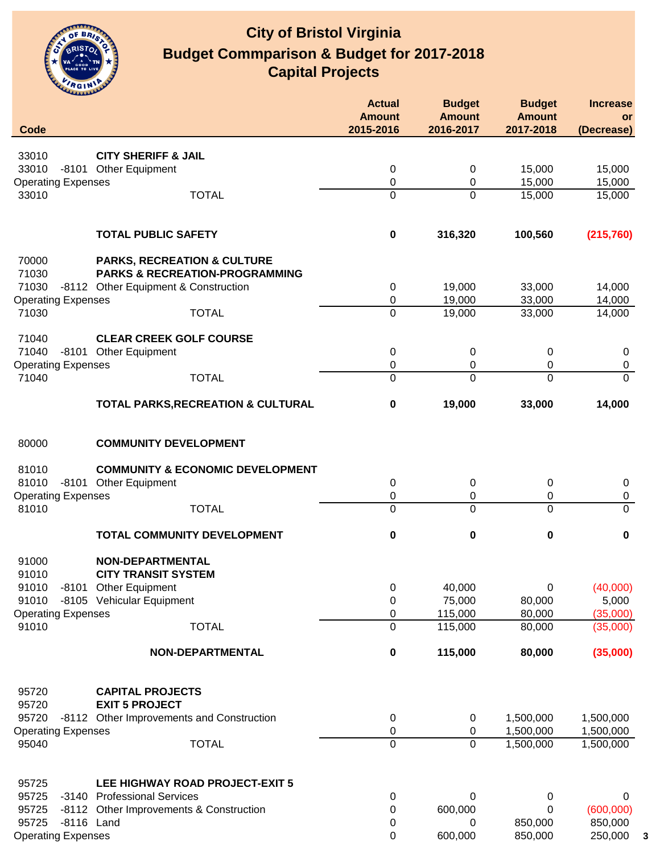

| Code                               |                                                                                     | <b>Actual</b><br><b>Amount</b><br>2015-2016 | <b>Budget</b><br><b>Amount</b><br>2016-2017 | <b>Budget</b><br><b>Amount</b><br>2017-2018 | <b>Increase</b><br><b>or</b><br>(Decrease) |
|------------------------------------|-------------------------------------------------------------------------------------|---------------------------------------------|---------------------------------------------|---------------------------------------------|--------------------------------------------|
|                                    |                                                                                     |                                             |                                             |                                             |                                            |
| 33010                              | <b>CITY SHERIFF &amp; JAIL</b>                                                      |                                             |                                             |                                             |                                            |
| 33010                              | -8101 Other Equipment                                                               | 0                                           | 0                                           | 15,000                                      | 15,000                                     |
| <b>Operating Expenses</b>          |                                                                                     | 0                                           | 0                                           | 15,000                                      | 15,000                                     |
| 33010                              | <b>TOTAL</b>                                                                        | $\mathbf 0$                                 | 0                                           | 15,000                                      | 15,000                                     |
|                                    | <b>TOTAL PUBLIC SAFETY</b>                                                          | $\pmb{0}$                                   | 316,320                                     | 100,560                                     | (215, 760)                                 |
| 70000<br>71030                     | <b>PARKS, RECREATION &amp; CULTURE</b><br><b>PARKS &amp; RECREATION-PROGRAMMING</b> |                                             |                                             |                                             |                                            |
| 71030                              | -8112 Other Equipment & Construction                                                | 0                                           | 19,000                                      | 33,000                                      | 14,000                                     |
| <b>Operating Expenses</b>          |                                                                                     | 0                                           | 19,000                                      | 33,000                                      | 14,000                                     |
| 71030                              | <b>TOTAL</b>                                                                        | $\mathbf 0$                                 | 19,000                                      | 33,000                                      | 14,000                                     |
| 71040                              | <b>CLEAR CREEK GOLF COURSE</b>                                                      |                                             |                                             |                                             |                                            |
| 71040                              | -8101 Other Equipment                                                               | 0                                           | 0                                           | 0                                           | 0                                          |
| <b>Operating Expenses</b>          |                                                                                     | 0                                           | 0                                           | 0                                           | $\pmb{0}$                                  |
| 71040                              | <b>TOTAL</b>                                                                        | 0                                           | 0                                           | $\mathbf 0$                                 | $\Omega$                                   |
|                                    | <b>TOTAL PARKS, RECREATION &amp; CULTURAL</b>                                       | 0                                           | 19,000                                      | 33,000                                      | 14,000                                     |
| 80000                              | <b>COMMUNITY DEVELOPMENT</b>                                                        |                                             |                                             |                                             |                                            |
| 81010                              | <b>COMMUNITY &amp; ECONOMIC DEVELOPMENT</b>                                         |                                             |                                             |                                             |                                            |
| 81010                              | -8101 Other Equipment                                                               | 0                                           | 0                                           | 0                                           | 0                                          |
| <b>Operating Expenses</b>          |                                                                                     | 0                                           | 0                                           | 0                                           | 0                                          |
| 81010                              | <b>TOTAL</b>                                                                        | $\mathbf 0$                                 | 0                                           | $\mathbf 0$                                 | $\mathbf{0}$                               |
|                                    | TOTAL COMMUNITY DEVELOPMENT                                                         | 0                                           | 0                                           | 0                                           | 0                                          |
| 91000                              | NON-DEPARTMENTAL                                                                    |                                             |                                             |                                             |                                            |
| 91010                              | <b>CITY TRANSIT SYSTEM</b>                                                          |                                             |                                             |                                             |                                            |
| 91010                              | -8101 Other Equipment                                                               | 0                                           | 40,000                                      | 0                                           | (40,000)                                   |
| 91010                              | -8105 Vehicular Equipment                                                           | 0<br>0                                      | 75,000<br>115,000                           | 80,000<br>80,000                            | 5,000                                      |
| <b>Operating Expenses</b><br>91010 | <b>TOTAL</b>                                                                        | 0                                           | 115,000                                     | 80,000                                      | (35,000)<br>(35,000)                       |
|                                    | NON-DEPARTMENTAL                                                                    | 0                                           | 115,000                                     | 80,000                                      | (35,000)                                   |
| 95720                              | <b>CAPITAL PROJECTS</b>                                                             |                                             |                                             |                                             |                                            |
| 95720                              | <b>EXIT 5 PROJECT</b>                                                               |                                             |                                             |                                             |                                            |
| 95720                              | -8112 Other Improvements and Construction                                           | 0                                           | 0                                           | 1,500,000                                   | 1,500,000                                  |
| <b>Operating Expenses</b>          |                                                                                     | 0                                           | 0                                           | 1,500,000                                   | 1,500,000                                  |
| 95040                              | <b>TOTAL</b>                                                                        | $\mathbf 0$                                 | $\Omega$                                    | 1,500,000                                   | 1,500,000                                  |
| 95725                              | LEE HIGHWAY ROAD PROJECT-EXIT 5                                                     |                                             |                                             |                                             |                                            |
| 95725                              | -3140 Professional Services                                                         | 0                                           | 0                                           | 0                                           | 0                                          |
| 95725                              | -8112 Other Improvements & Construction                                             | 0                                           | 600,000                                     | 0                                           | (600,000)                                  |
| 95725                              | -8116 Land                                                                          | 0                                           | 0                                           | 850,000                                     | 850,000                                    |
| <b>Operating Expenses</b>          |                                                                                     | 0                                           | 600,000                                     | 850,000                                     | 250,000                                    |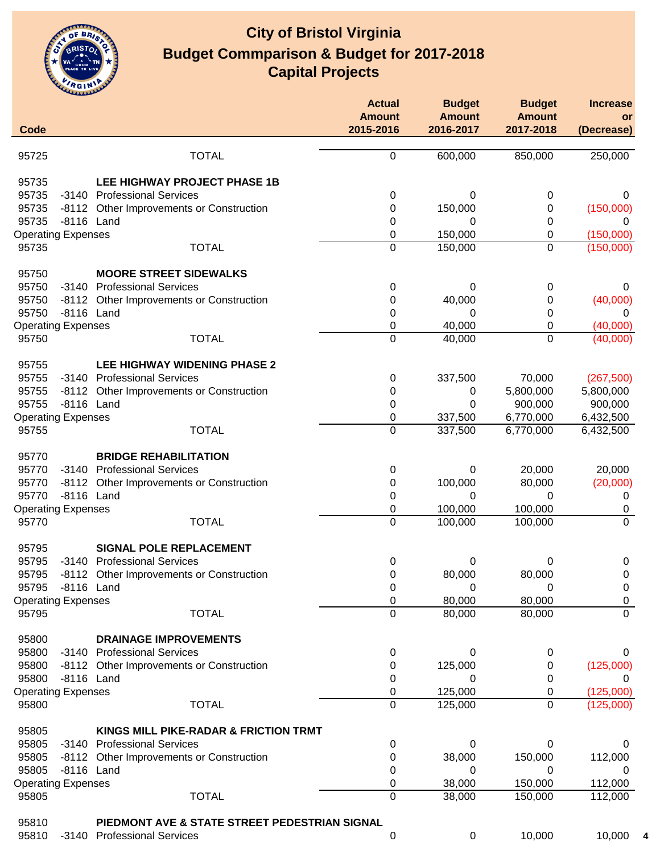

| Code  |                           |                                               | <b>Actual</b><br><b>Amount</b><br>2015-2016 | <b>Budget</b><br><b>Amount</b><br>2016-2017 | <b>Budget</b><br><b>Amount</b><br>2017-2018 | <b>Increase</b><br>or<br>(Decrease) |
|-------|---------------------------|-----------------------------------------------|---------------------------------------------|---------------------------------------------|---------------------------------------------|-------------------------------------|
|       |                           |                                               |                                             |                                             |                                             |                                     |
| 95725 |                           | <b>TOTAL</b>                                  | 0                                           | 600,000                                     | 850,000                                     | 250,000                             |
| 95735 |                           | LEE HIGHWAY PROJECT PHASE 1B                  |                                             |                                             |                                             |                                     |
| 95735 |                           | -3140 Professional Services                   | 0                                           | 0                                           | 0                                           | 0                                   |
| 95735 |                           | -8112 Other Improvements or Construction      | 0                                           | 150,000                                     | 0                                           | (150,000)                           |
| 95735 | -8116 Land                |                                               | 0                                           | 0                                           | 0                                           | 0                                   |
|       | <b>Operating Expenses</b> |                                               | 0                                           | 150,000                                     | 0                                           | (150,000)                           |
| 95735 |                           | <b>TOTAL</b>                                  | 0                                           | 150,000                                     | 0                                           | (150,000)                           |
| 95750 |                           | <b>MOORE STREET SIDEWALKS</b>                 |                                             |                                             |                                             |                                     |
| 95750 |                           | -3140 Professional Services                   | 0                                           | 0                                           | 0                                           | 0                                   |
| 95750 |                           | -8112 Other Improvements or Construction      | 0                                           | 40,000                                      | 0                                           | (40,000)                            |
| 95750 | -8116 Land                |                                               | 0                                           | 0                                           | 0                                           | 0                                   |
|       | <b>Operating Expenses</b> |                                               | 0                                           | 40,000                                      | 0                                           | (40,000)                            |
| 95750 |                           | <b>TOTAL</b>                                  | $\mathbf 0$                                 | 40,000                                      | $\mathbf 0$                                 | (40,000)                            |
| 95755 |                           | <b>LEE HIGHWAY WIDENING PHASE 2</b>           |                                             |                                             |                                             |                                     |
| 95755 |                           | -3140 Professional Services                   | 0                                           | 337,500                                     | 70,000                                      | (267, 500)                          |
| 95755 |                           | -8112 Other Improvements or Construction      | 0                                           | 0                                           | 5,800,000                                   | 5,800,000                           |
| 95755 | -8116 Land                |                                               | 0                                           | 0                                           | 900,000                                     | 900,000                             |
|       | <b>Operating Expenses</b> |                                               | 0                                           | 337,500                                     | 6,770,000                                   | 6,432,500                           |
| 95755 |                           | <b>TOTAL</b>                                  | 0                                           | 337,500                                     | 6,770,000                                   | 6,432,500                           |
| 95770 |                           | <b>BRIDGE REHABILITATION</b>                  |                                             |                                             |                                             |                                     |
| 95770 |                           | -3140 Professional Services                   | 0                                           | 0                                           | 20,000                                      | 20,000                              |
| 95770 |                           | -8112 Other Improvements or Construction      | 0                                           | 100,000                                     | 80,000                                      | (20,000)                            |
| 95770 | -8116 Land                |                                               | 0                                           | 0                                           | 0                                           | 0                                   |
|       | <b>Operating Expenses</b> |                                               | 0                                           | 100,000                                     | 100,000                                     | 0                                   |
| 95770 |                           | <b>TOTAL</b>                                  | 0                                           | 100,000                                     | 100,000                                     | $\overline{0}$                      |
| 95795 |                           | <b>SIGNAL POLE REPLACEMENT</b>                |                                             |                                             |                                             |                                     |
| 95795 |                           | -3140 Professional Services                   | 0                                           | 0                                           | 0                                           | 0                                   |
| 95795 |                           | -8112 Other Improvements or Construction      | 0                                           | 80,000                                      | 80,000                                      | 0                                   |
| 95795 | -8116 Land                |                                               | 0                                           | 0                                           | 0                                           | 0                                   |
|       | <b>Operating Expenses</b> |                                               | 0                                           | 80,000                                      | 80,000                                      | 0                                   |
| 95795 |                           | <b>TOTAL</b>                                  | 0                                           | 80,000                                      | 80,000                                      | $\mathbf{0}$                        |
| 95800 |                           | <b>DRAINAGE IMPROVEMENTS</b>                  |                                             |                                             |                                             |                                     |
| 95800 |                           | -3140 Professional Services                   | 0                                           | 0                                           | 0                                           | 0                                   |
| 95800 |                           | -8112 Other Improvements or Construction      | 0                                           | 125,000                                     | 0                                           | (125,000)                           |
| 95800 | -8116 Land                |                                               | 0                                           | 0                                           | 0                                           | 0                                   |
|       | <b>Operating Expenses</b> |                                               | 0                                           | 125,000                                     | 0                                           | (125,000)                           |
| 95800 |                           | <b>TOTAL</b>                                  | 0                                           | 125,000                                     | 0                                           | (125,000)                           |
| 95805 |                           | KINGS MILL PIKE-RADAR & FRICTION TRMT         |                                             |                                             |                                             |                                     |
| 95805 |                           | -3140 Professional Services                   | 0                                           | 0                                           | 0                                           | 0                                   |
| 95805 |                           | -8112 Other Improvements or Construction      | 0                                           | 38,000                                      | 150,000                                     | 112,000                             |
| 95805 | -8116 Land                |                                               | 0                                           | 0                                           | 0                                           | 0                                   |
|       | <b>Operating Expenses</b> |                                               | 0                                           | 38,000                                      | 150,000                                     | 112,000                             |
| 95805 |                           | <b>TOTAL</b>                                  | 0                                           | 38,000                                      | 150,000                                     | 112,000                             |
| 95810 |                           | PIEDMONT AVE & STATE STREET PEDESTRIAN SIGNAL |                                             |                                             |                                             |                                     |
| 95810 |                           | -3140 Professional Services                   | 0                                           | 0                                           | 10,000                                      | 10,000                              |